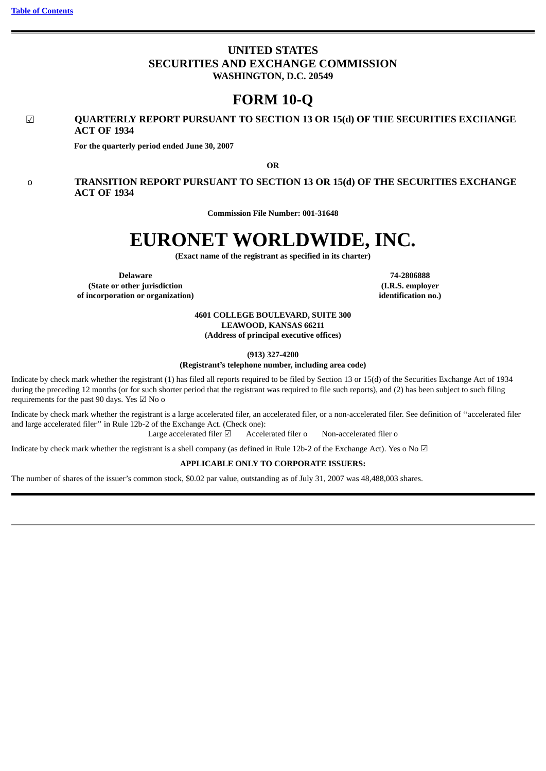## **UNITED STATES SECURITIES AND EXCHANGE COMMISSION WASHINGTON, D.C. 20549**

# **FORM 10-Q**

## ☑ **QUARTERLY REPORT PURSUANT TO SECTION 13 OR 15(d) OF THE SECURITIES EXCHANGE ACT OF 1934**

**For the quarterly period ended June 30, 2007**

**OR**

## o **TRANSITION REPORT PURSUANT TO SECTION 13 OR 15(d) OF THE SECURITIES EXCHANGE ACT OF 1934**

**Commission File Number: 001-31648**

# **EURONET WORLDWIDE, INC.**

**(Exact name of the registrant as specified in its charter)**

**Delaware 74-2806888 (State or other jurisdiction (I.R.S. employer of incorporation or organization) identification no.)**

#### **4601 COLLEGE BOULEVARD, SUITE 300 LEAWOOD, KANSAS 66211 (Address of principal executive offices)**

**(913) 327-4200**

**(Registrant's telephone number, including area code)**

Indicate by check mark whether the registrant (1) has filed all reports required to be filed by Section 13 or 15(d) of the Securities Exchange Act of 1934 during the preceding 12 months (or for such shorter period that the registrant was required to file such reports), and (2) has been subject to such filing requirements for the past 90 days. Yes  $\boxtimes$  No o

Indicate by check mark whether the registrant is a large accelerated filer, an accelerated filer, or a non-accelerated filer. See definition of ''accelerated filer and large accelerated filer'' in Rule 12b-2 of the Exchange Act. (Check one):

Large accelerated filer **☑** Accelerated filer o Non-accelerated filer o

Indicate by check mark whether the registrant is a shell company (as defined in Rule 12b-2 of the Exchange Act). Yes o No ☑

#### **APPLICABLE ONLY TO CORPORATE ISSUERS:**

The number of shares of the issuer's common stock, \$0.02 par value, outstanding as of July 31, 2007 was 48,488,003 shares.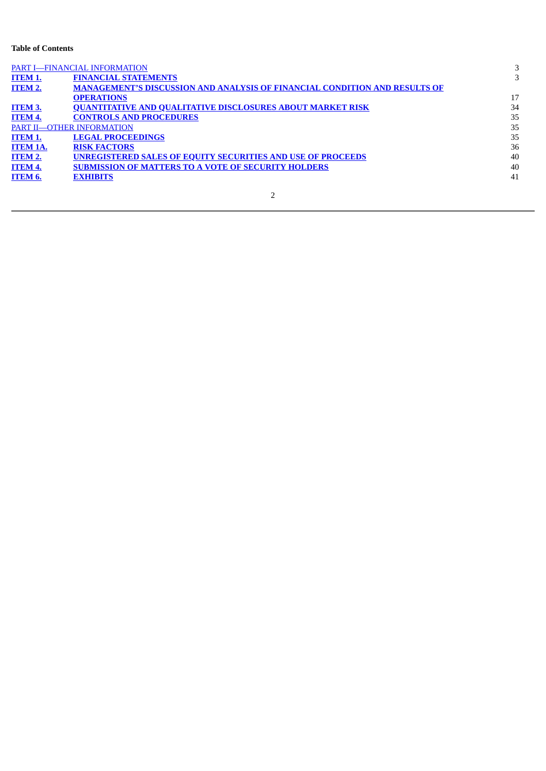## <span id="page-2-0"></span>**Table of Contents**

|                 | <b>PART I-FINANCIAL INFORMATION</b>                                               | 3  |
|-----------------|-----------------------------------------------------------------------------------|----|
| <b>ITEM 1.</b>  | <b>FINANCIAL STATEMENTS</b>                                                       | 3  |
| <b>ITEM 2.</b>  | <b>MANAGEMENT'S DISCUSSION AND ANALYSIS OF FINANCIAL CONDITION AND RESULTS OF</b> |    |
|                 | <b>OPERATIONS</b>                                                                 | 17 |
| <b>ITEM 3.</b>  | <b>OUANTITATIVE AND QUALITATIVE DISCLOSURES ABOUT MARKET RISK</b>                 | 34 |
| <b>ITEM 4.</b>  | <b>CONTROLS AND PROCEDURES</b>                                                    | 35 |
|                 | <b>PART II-OTHER INFORMATION</b>                                                  | 35 |
| <b>ITEM 1.</b>  | <b>LEGAL PROCEEDINGS</b>                                                          | 35 |
| <b>ITEM 1A.</b> | <b>RISK FACTORS</b>                                                               | 36 |
| <b>ITEM 2.</b>  | <b>UNREGISTERED SALES OF EQUITY SECURITIES AND USE OF PROCEEDS</b>                | 40 |
| <b>ITEM 4.</b>  | <b>SUBMISSION OF MATTERS TO A VOTE OF SECURITY HOLDERS</b>                        | 40 |
| <b>ITEM 6.</b>  | <b>EXHIBITS</b>                                                                   | 41 |
|                 |                                                                                   |    |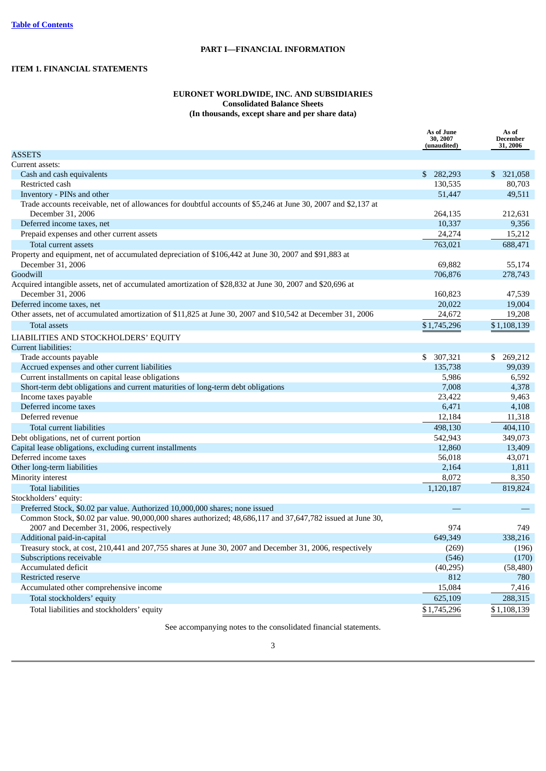## **PART I—FINANCIAL INFORMATION**

## <span id="page-3-1"></span><span id="page-3-0"></span>**ITEM 1. FINANCIAL STATEMENTS**

## **EURONET WORLDWIDE, INC. AND SUBSIDIARIES Consolidated Balance Sheets (In thousands, except share and per share data)**

|                                                                                                               | As of June<br>30, 2007<br>(unaudited) | As of<br><b>December</b><br>31, 2006 |
|---------------------------------------------------------------------------------------------------------------|---------------------------------------|--------------------------------------|
| <b>ASSETS</b>                                                                                                 |                                       |                                      |
| Current assets:                                                                                               |                                       |                                      |
| Cash and cash equivalents                                                                                     | \$ 282,293                            | \$321,058                            |
| Restricted cash                                                                                               | 130,535                               | 80,703                               |
| Inventory - PINs and other                                                                                    | 51,447                                | 49,511                               |
| Trade accounts receivable, net of allowances for doubtful accounts of \$5,246 at June 30, 2007 and \$2,137 at |                                       |                                      |
| December 31, 2006                                                                                             | 264,135                               | 212,631                              |
| Deferred income taxes, net                                                                                    | 10,337                                | 9,356                                |
| Prepaid expenses and other current assets                                                                     | 24,274                                | 15,212                               |
| Total current assets                                                                                          | 763,021                               | 688,471                              |
| Property and equipment, net of accumulated depreciation of \$106,442 at June 30, 2007 and \$91,883 at         |                                       |                                      |
| December 31, 2006                                                                                             | 69,882                                | 55,174                               |
| Goodwill                                                                                                      | 706,876                               | 278,743                              |
| Acquired intangible assets, net of accumulated amortization of \$28,832 at June 30, 2007 and \$20,696 at      |                                       |                                      |
| December 31, 2006                                                                                             | 160,823                               | 47,539                               |
| Deferred income taxes, net                                                                                    | 20,022                                | 19,004                               |
| Other assets, net of accumulated amortization of \$11,825 at June 30, 2007 and \$10,542 at December 31, 2006  | 24,672                                | 19,208                               |
| <b>Total assets</b>                                                                                           | \$1,745,296                           | \$1,108,139                          |
| LIABILITIES AND STOCKHOLDERS' EQUITY                                                                          |                                       |                                      |
| Current liabilities:                                                                                          |                                       |                                      |
| Trade accounts payable                                                                                        | 307,321<br>\$                         | 269,212<br>S.                        |
| Accrued expenses and other current liabilities                                                                | 135,738                               | 99,039                               |
| Current installments on capital lease obligations                                                             | 5,986                                 | 6,592                                |
| Short-term debt obligations and current maturities of long-term debt obligations                              | 7,008                                 | 4,378                                |
| Income taxes payable                                                                                          | 23,422                                | 9,463                                |
| Deferred income taxes                                                                                         | 6,471                                 | 4,108                                |
| Deferred revenue                                                                                              | 12,184                                | 11,318                               |
| Total current liabilities                                                                                     | 498,130                               | 404,110                              |
| Debt obligations, net of current portion                                                                      | 542,943                               | 349,073                              |
| Capital lease obligations, excluding current installments                                                     | 12,860                                | 13,409                               |
| Deferred income taxes                                                                                         | 56,018                                | 43,071                               |
| Other long-term liabilities                                                                                   | 2,164                                 | 1,811                                |
| Minority interest                                                                                             | 8,072                                 | 8,350                                |
| <b>Total liabilities</b>                                                                                      | 1,120,187                             | 819,824                              |
| Stockholders' equity:                                                                                         |                                       |                                      |
| Preferred Stock, \$0.02 par value. Authorized 10,000,000 shares; none issued                                  |                                       |                                      |
| Common Stock, \$0.02 par value. 90,000,000 shares authorized; 48,686,117 and 37,647,782 issued at June 30,    |                                       |                                      |
| 2007 and December 31, 2006, respectively                                                                      | 974                                   | 749                                  |
| Additional paid-in-capital                                                                                    | 649,349                               | 338,216                              |
| Treasury stock, at cost, 210,441 and 207,755 shares at June 30, 2007 and December 31, 2006, respectively      | (269)                                 | (196)                                |
| Subscriptions receivable<br>Accumulated deficit                                                               | (546)                                 | (170)                                |
| Restricted reserve                                                                                            | (40, 295)<br>812                      | (58, 480)<br>780                     |
| Accumulated other comprehensive income                                                                        | 15,084                                | 7,416                                |
|                                                                                                               | 625,109                               | 288,315                              |
| Total stockholders' equity                                                                                    |                                       |                                      |
| Total liabilities and stockholders' equity                                                                    | \$1,745,296                           | \$1,108,139                          |

See accompanying notes to the consolidated financial statements.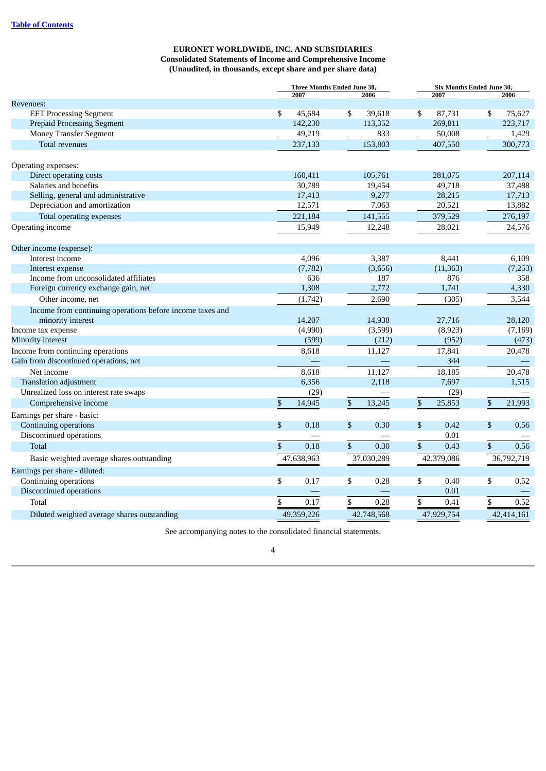## **EURONET WORLDWIDE, INC. AND SUBSIDIARIES Consolidated Statements of Income and Comprehensive Income (Unaudited, in thousands, except share and per share data)**

|                                                           |                           | <b>Three Months Ended June 30,</b> |                           |            | <b>Six Months Ended June 30,</b> |            |            |            |
|-----------------------------------------------------------|---------------------------|------------------------------------|---------------------------|------------|----------------------------------|------------|------------|------------|
|                                                           |                           | 2007                               |                           | 2006       |                                  | 2007       |            | 2006       |
| Revenues:<br><b>EFT Processing Segment</b>                | \$                        | 45.684                             | \$                        | 39,618     | \$                               | 87,731     | \$         | 75,627     |
| <b>Prepaid Processing Segment</b>                         |                           | 142,230                            |                           | 113,352    |                                  | 269,811    |            | 223,717    |
| <b>Money Transfer Segment</b>                             |                           | 49,219                             |                           | 833        |                                  | 50,008     |            | 1,429      |
| <b>Total revenues</b>                                     |                           | 237,133                            |                           | 153,803    |                                  | 407,550    |            | 300,773    |
|                                                           |                           |                                    |                           |            |                                  |            |            |            |
| Operating expenses:                                       |                           |                                    |                           |            |                                  |            |            |            |
| Direct operating costs                                    |                           | 160,411                            |                           | 105,761    |                                  | 281,075    |            | 207,114    |
| Salaries and benefits                                     |                           | 30,789                             |                           | 19,454     |                                  | 49,718     |            | 37,488     |
| Selling, general and administrative                       |                           | 17,413                             |                           | 9,277      |                                  | 28,215     |            | 17,713     |
| Depreciation and amortization                             |                           | 12,571                             |                           | 7,063      |                                  | 20,521     |            | 13,882     |
| Total operating expenses                                  |                           | 221,184                            |                           | 141,555    |                                  | 379,529    |            | 276,197    |
| Operating income                                          |                           | 15,949                             |                           | 12,248     |                                  | 28,021     |            | 24,576     |
|                                                           |                           |                                    |                           |            |                                  |            |            |            |
| Other income (expense):                                   |                           |                                    |                           |            |                                  |            |            |            |
| Interest income                                           |                           | 4,096                              |                           | 3,387      |                                  | 8,441      |            | 6,109      |
| Interest expense                                          |                           | (7, 782)                           |                           | (3,656)    |                                  | (11, 363)  |            | (7,253)    |
| Income from unconsolidated affiliates                     |                           | 636                                |                           | 187        |                                  | 876        |            | 358        |
| Foreign currency exchange gain, net                       |                           | 1,308                              |                           | 2,772      |                                  | 1,741      |            | 4,330      |
| Other income, net                                         |                           | (1, 742)                           |                           | 2,690      |                                  | (305)      |            | 3,544      |
| Income from continuing operations before income taxes and |                           |                                    |                           |            |                                  |            |            |            |
| minority interest                                         |                           | 14,207                             |                           | 14,938     |                                  | 27,716     |            | 28,120     |
| Income tax expense                                        |                           | (4,990)                            |                           | (3,599)    |                                  | (8,923)    |            | (7, 169)   |
| Minority interest                                         |                           | (599)                              |                           | (212)      |                                  | (952)      |            | (473)      |
| Income from continuing operations                         |                           | 8,618                              |                           | 11,127     |                                  | 17,841     |            | 20,478     |
| Gain from discontinued operations, net                    |                           |                                    |                           |            |                                  | 344        |            |            |
| Net income                                                |                           | 8,618                              |                           | 11,127     |                                  | 18,185     |            | 20,478     |
| <b>Translation adjustment</b>                             |                           | 6,356                              |                           | 2,118      |                                  | 7,697      |            | 1,515      |
| Unrealized loss on interest rate swaps                    |                           | (29)                               |                           |            |                                  | (29)       |            |            |
| Comprehensive income                                      | $\boldsymbol{\mathsf{S}}$ | 14,945                             | $\boldsymbol{\mathsf{S}}$ | 13,245     | \$                               | 25,853     | $\sqrt{3}$ | 21,993     |
| Earnings per share - basic:                               |                           |                                    |                           |            |                                  |            |            |            |
| Continuing operations                                     | \$                        | 0.18                               | \$                        | 0.30       | \$                               | 0.42       | \$         | 0.56       |
| Discontinued operations                                   |                           |                                    |                           |            |                                  | 0.01       |            |            |
| Total                                                     | \$                        | 0.18                               | \$                        | 0.30       | $\boldsymbol{\mathsf{S}}$        | 0.43       | \$         | 0.56       |
| Basic weighted average shares outstanding                 |                           | 47,638,963                         |                           | 37,030,289 |                                  | 42,379,086 |            | 36,792,719 |
| Earnings per share - diluted:                             |                           |                                    |                           |            |                                  |            |            |            |
| Continuing operations                                     | \$                        | 0.17                               | \$                        | 0.28       | \$                               | 0.40       | \$         | 0.52       |
| <b>Discontinued operations</b>                            |                           |                                    |                           |            |                                  | 0.01       |            |            |
| Total                                                     | \$                        | 0.17                               | \$                        | 0.28       | \$                               | 0.41       | \$         | 0.52       |
| Diluted weighted average shares outstanding               |                           | 49,359,226                         |                           | 42,748,568 |                                  | 47,929,754 |            | 42,414,161 |

See accompanying notes to the consolidated financial statements.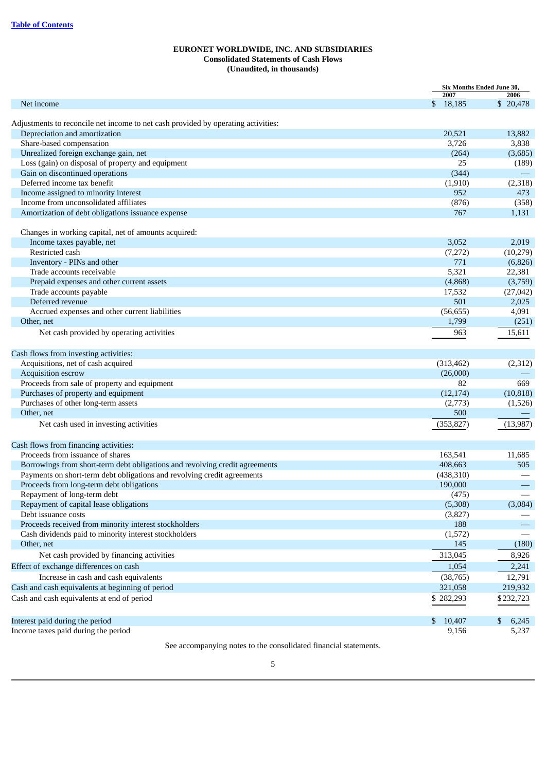## **EURONET WORLDWIDE, INC. AND SUBSIDIARIES Consolidated Statements of Cash Flows (Unaudited, in thousands)**

|                                                                                                                    |              | <b>Six Months Ended June 30.</b><br>2007<br>2006   |  |  |  |
|--------------------------------------------------------------------------------------------------------------------|--------------|----------------------------------------------------|--|--|--|
| Net income                                                                                                         | \$<br>18,185 | \$20,478                                           |  |  |  |
|                                                                                                                    |              |                                                    |  |  |  |
| Adjustments to reconcile net income to net cash provided by operating activities:<br>Depreciation and amortization | 20,521       | 13,882                                             |  |  |  |
| Share-based compensation                                                                                           | 3,726        | 3,838                                              |  |  |  |
|                                                                                                                    |              |                                                    |  |  |  |
| Unrealized foreign exchange gain, net<br>Loss (gain) on disposal of property and equipment                         | (264)<br>25  | (3,685)                                            |  |  |  |
| Gain on discontinued operations                                                                                    |              | (189)<br>$\qquad \qquad \overline{\qquad \qquad }$ |  |  |  |
| Deferred income tax benefit                                                                                        | (344)        |                                                    |  |  |  |
|                                                                                                                    | (1,910)      | (2,318)                                            |  |  |  |
| Income assigned to minority interest                                                                               | 952          | 473                                                |  |  |  |
| Income from unconsolidated affiliates                                                                              | (876)        | (358)                                              |  |  |  |
| Amortization of debt obligations issuance expense                                                                  | 767          | 1,131                                              |  |  |  |
| Changes in working capital, net of amounts acquired:                                                               |              |                                                    |  |  |  |
| Income taxes payable, net                                                                                          | 3,052        | 2,019                                              |  |  |  |
| Restricted cash                                                                                                    | (7, 272)     | (10, 279)                                          |  |  |  |
| Inventory - PINs and other                                                                                         | 771          | (6,826)                                            |  |  |  |
| Trade accounts receivable                                                                                          | 5,321        | 22,381                                             |  |  |  |
| Prepaid expenses and other current assets                                                                          | (4,868)      | (3,759)                                            |  |  |  |
| Trade accounts payable                                                                                             | 17,532       | (27, 042)                                          |  |  |  |
| Deferred revenue                                                                                                   | 501          | 2,025                                              |  |  |  |
| Accrued expenses and other current liabilities                                                                     | (56, 655)    | 4,091                                              |  |  |  |
| Other, net                                                                                                         | 1,799        | (251)                                              |  |  |  |
| Net cash provided by operating activities                                                                          | 963          | 15,611                                             |  |  |  |
|                                                                                                                    |              |                                                    |  |  |  |
| Cash flows from investing activities:                                                                              |              |                                                    |  |  |  |
| Acquisitions, net of cash acquired                                                                                 | (313, 462)   | (2,312)                                            |  |  |  |
| Acquisition escrow                                                                                                 | (26,000)     |                                                    |  |  |  |
| Proceeds from sale of property and equipment                                                                       | 82           | 669                                                |  |  |  |
| Purchases of property and equipment                                                                                | (12, 174)    | (10, 818)                                          |  |  |  |
| Purchases of other long-term assets                                                                                | (2,773)      | (1,526)                                            |  |  |  |
| Other, net                                                                                                         | 500          |                                                    |  |  |  |
| Net cash used in investing activities                                                                              | (353, 827)   | (13,987)                                           |  |  |  |
| Cash flows from financing activities:                                                                              |              |                                                    |  |  |  |
| Proceeds from issuance of shares                                                                                   | 163,541      | 11,685                                             |  |  |  |
| Borrowings from short-term debt obligations and revolving credit agreements                                        | 408,663      | 505                                                |  |  |  |
| Payments on short-term debt obligations and revolving credit agreements                                            | (438, 310)   |                                                    |  |  |  |
| Proceeds from long-term debt obligations                                                                           | 190,000      |                                                    |  |  |  |
| Repayment of long-term debt                                                                                        | (475)        | $\overbrace{\hspace{25mm}}$                        |  |  |  |
| Repayment of capital lease obligations                                                                             | (5,308)      | (3,084)                                            |  |  |  |
| Debt issuance costs                                                                                                | (3,827)      |                                                    |  |  |  |
| Proceeds received from minority interest stockholders                                                              | 188          |                                                    |  |  |  |
| Cash dividends paid to minority interest stockholders                                                              | (1, 572)     |                                                    |  |  |  |
| Other, net                                                                                                         | 145          | (180)                                              |  |  |  |
| Net cash provided by financing activities                                                                          | 313,045      | 8,926                                              |  |  |  |
| Effect of exchange differences on cash                                                                             | 1,054        | 2,241                                              |  |  |  |
| Increase in cash and cash equivalents                                                                              | (38, 765)    | 12,791                                             |  |  |  |
| Cash and cash equivalents at beginning of period                                                                   | 321,058      | 219,932                                            |  |  |  |
| Cash and cash equivalents at end of period                                                                         | \$282,293    | \$232,723                                          |  |  |  |
|                                                                                                                    |              |                                                    |  |  |  |
| Interest paid during the period                                                                                    | \$10,407     | 6,245<br>$\mathbb{S}$                              |  |  |  |
| Income taxes paid during the period                                                                                | 9,156        | 5,237                                              |  |  |  |

See accompanying notes to the consolidated financial statements.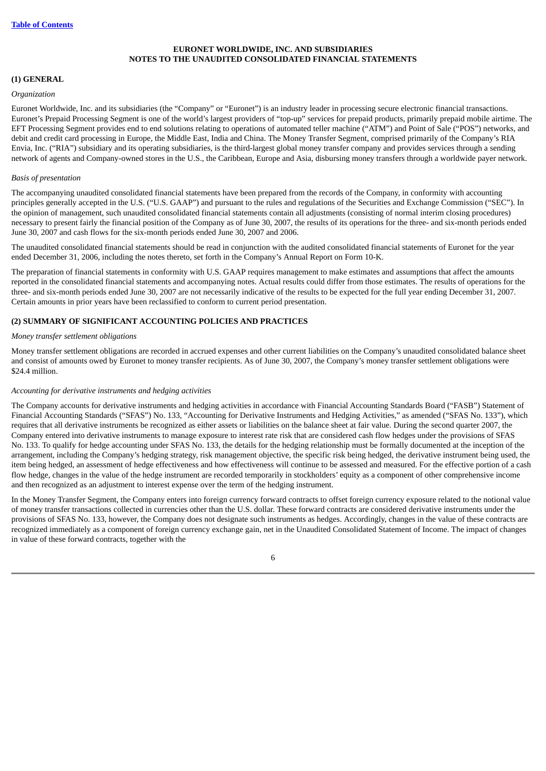## **EURONET WORLDWIDE, INC. AND SUBSIDIARIES NOTES TO THE UNAUDITED CONSOLIDATED FINANCIAL STATEMENTS**

#### **(1) GENERAL**

#### *Organization*

Euronet Worldwide, Inc. and its subsidiaries (the "Company" or "Euronet") is an industry leader in processing secure electronic financial transactions. Euronet's Prepaid Processing Segment is one of the world's largest providers of "top-up" services for prepaid products, primarily prepaid mobile airtime. The EFT Processing Segment provides end to end solutions relating to operations of automated teller machine ("ATM") and Point of Sale ("POS") networks, and debit and credit card processing in Europe, the Middle East, India and China. The Money Transfer Segment, comprised primarily of the Company's RIA Envia, Inc. ("RIA") subsidiary and its operating subsidiaries, is the third-largest global money transfer company and provides services through a sending network of agents and Company-owned stores in the U.S., the Caribbean, Europe and Asia, disbursing money transfers through a worldwide payer network.

#### *Basis of presentation*

The accompanying unaudited consolidated financial statements have been prepared from the records of the Company, in conformity with accounting principles generally accepted in the U.S. ("U.S. GAAP") and pursuant to the rules and regulations of the Securities and Exchange Commission ("SEC"). In the opinion of management, such unaudited consolidated financial statements contain all adjustments (consisting of normal interim closing procedures) necessary to present fairly the financial position of the Company as of June 30, 2007, the results of its operations for the three- and six-month periods ended June 30, 2007 and cash flows for the six-month periods ended June 30, 2007 and 2006.

The unaudited consolidated financial statements should be read in conjunction with the audited consolidated financial statements of Euronet for the year ended December 31, 2006, including the notes thereto, set forth in the Company's Annual Report on Form 10-K.

The preparation of financial statements in conformity with U.S. GAAP requires management to make estimates and assumptions that affect the amounts reported in the consolidated financial statements and accompanying notes. Actual results could differ from those estimates. The results of operations for the three- and six-month periods ended June 30, 2007 are not necessarily indicative of the results to be expected for the full year ending December 31, 2007. Certain amounts in prior years have been reclassified to conform to current period presentation.

## **(2) SUMMARY OF SIGNIFICANT ACCOUNTING POLICIES AND PRACTICES**

#### *Money transfer settlement obligations*

Money transfer settlement obligations are recorded in accrued expenses and other current liabilities on the Company's unaudited consolidated balance sheet and consist of amounts owed by Euronet to money transfer recipients. As of June 30, 2007, the Company's money transfer settlement obligations were \$24.4 million.

#### *Accounting for derivative instruments and hedging activities*

The Company accounts for derivative instruments and hedging activities in accordance with Financial Accounting Standards Board ("FASB") Statement of Financial Accounting Standards ("SFAS") No. 133, "Accounting for Derivative Instruments and Hedging Activities," as amended ("SFAS No. 133"), which requires that all derivative instruments be recognized as either assets or liabilities on the balance sheet at fair value. During the second quarter 2007, the Company entered into derivative instruments to manage exposure to interest rate risk that are considered cash flow hedges under the provisions of SFAS No. 133. To qualify for hedge accounting under SFAS No. 133, the details for the hedging relationship must be formally documented at the inception of the arrangement, including the Company's hedging strategy, risk management objective, the specific risk being hedged, the derivative instrument being used, the item being hedged, an assessment of hedge effectiveness and how effectiveness will continue to be assessed and measured. For the effective portion of a cash flow hedge, changes in the value of the hedge instrument are recorded temporarily in stockholders' equity as a component of other comprehensive income and then recognized as an adjustment to interest expense over the term of the hedging instrument.

In the Money Transfer Segment, the Company enters into foreign currency forward contracts to offset foreign currency exposure related to the notional value of money transfer transactions collected in currencies other than the U.S. dollar. These forward contracts are considered derivative instruments under the provisions of SFAS No. 133, however, the Company does not designate such instruments as hedges. Accordingly, changes in the value of these contracts are recognized immediately as a component of foreign currency exchange gain, net in the Unaudited Consolidated Statement of Income. The impact of changes in value of these forward contracts, together with the

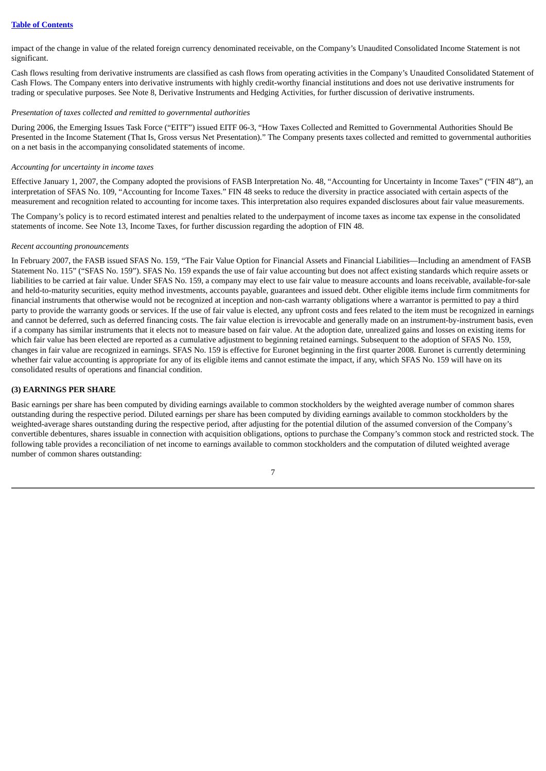#### **Table of [Contents](#page-2-0)**

impact of the change in value of the related foreign currency denominated receivable, on the Company's Unaudited Consolidated Income Statement is not significant.

Cash flows resulting from derivative instruments are classified as cash flows from operating activities in the Company's Unaudited Consolidated Statement of Cash Flows. The Company enters into derivative instruments with highly credit-worthy financial institutions and does not use derivative instruments for trading or speculative purposes. See Note 8, Derivative Instruments and Hedging Activities, for further discussion of derivative instruments.

#### *Presentation of taxes collected and remitted to governmental authorities*

During 2006, the Emerging Issues Task Force ("EITF") issued EITF 06-3, "How Taxes Collected and Remitted to Governmental Authorities Should Be Presented in the Income Statement (That Is, Gross versus Net Presentation)." The Company presents taxes collected and remitted to governmental authorities on a net basis in the accompanying consolidated statements of income.

#### *Accounting for uncertainty in income taxes*

Effective January 1, 2007, the Company adopted the provisions of FASB Interpretation No. 48, "Accounting for Uncertainty in Income Taxes" ("FIN 48"), an interpretation of SFAS No. 109, "Accounting for Income Taxes." FIN 48 seeks to reduce the diversity in practice associated with certain aspects of the measurement and recognition related to accounting for income taxes. This interpretation also requires expanded disclosures about fair value measurements.

The Company's policy is to record estimated interest and penalties related to the underpayment of income taxes as income tax expense in the consolidated statements of income. See Note 13, Income Taxes, for further discussion regarding the adoption of FIN 48.

#### *Recent accounting pronouncements*

In February 2007, the FASB issued SFAS No. 159, "The Fair Value Option for Financial Assets and Financial Liabilities—Including an amendment of FASB Statement No. 115" ("SFAS No. 159"). SFAS No. 159 expands the use of fair value accounting but does not affect existing standards which require assets or liabilities to be carried at fair value. Under SFAS No. 159, a company may elect to use fair value to measure accounts and loans receivable, available-for-sale and held-to-maturity securities, equity method investments, accounts payable, guarantees and issued debt. Other eligible items include firm commitments for financial instruments that otherwise would not be recognized at inception and non-cash warranty obligations where a warrantor is permitted to pay a third party to provide the warranty goods or services. If the use of fair value is elected, any upfront costs and fees related to the item must be recognized in earnings and cannot be deferred, such as deferred financing costs. The fair value election is irrevocable and generally made on an instrument-by-instrument basis, even if a company has similar instruments that it elects not to measure based on fair value. At the adoption date, unrealized gains and losses on existing items for which fair value has been elected are reported as a cumulative adjustment to beginning retained earnings. Subsequent to the adoption of SFAS No. 159, changes in fair value are recognized in earnings. SFAS No. 159 is effective for Euronet beginning in the first quarter 2008. Euronet is currently determining whether fair value accounting is appropriate for any of its eligible items and cannot estimate the impact, if any, which SFAS No. 159 will have on its consolidated results of operations and financial condition.

#### **(3) EARNINGS PER SHARE**

Basic earnings per share has been computed by dividing earnings available to common stockholders by the weighted average number of common shares outstanding during the respective period. Diluted earnings per share has been computed by dividing earnings available to common stockholders by the weighted-average shares outstanding during the respective period, after adjusting for the potential dilution of the assumed conversion of the Company's convertible debentures, shares issuable in connection with acquisition obligations, options to purchase the Company's common stock and restricted stock. The following table provides a reconciliation of net income to earnings available to common stockholders and the computation of diluted weighted average number of common shares outstanding: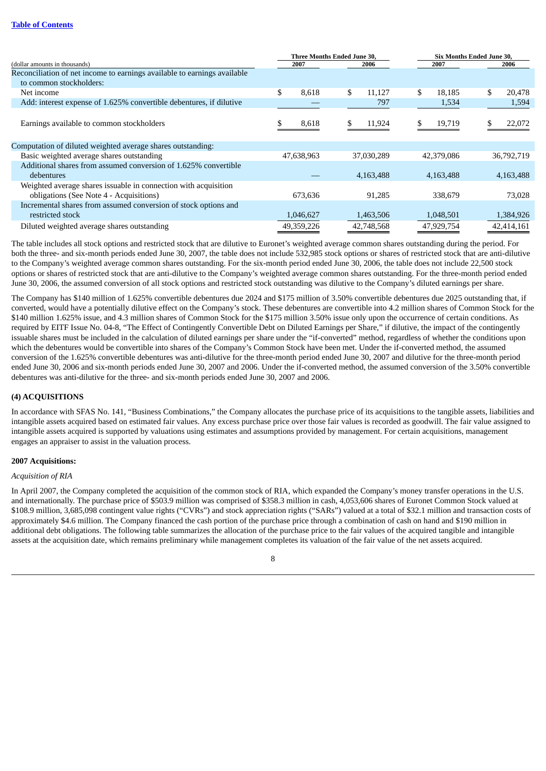|                                                                          | Three Months Ended June 30. |         |    |            | <b>Six Months Ended June 30.</b> |            |    |            |
|--------------------------------------------------------------------------|-----------------------------|---------|----|------------|----------------------------------|------------|----|------------|
| (dollar amounts in thousands)                                            | 2007                        |         |    | 2006       |                                  | 2007       |    | 2006       |
| Reconciliation of net income to earnings available to earnings available |                             |         |    |            |                                  |            |    |            |
| to common stockholders:                                                  |                             |         |    |            |                                  |            |    |            |
| Net income                                                               | \$                          | 8,618   | \$ | 11.127     | \$                               | 18,185     | \$ | 20,478     |
| Add: interest expense of 1.625% convertible debentures, if dilutive      |                             |         |    | 797        |                                  | 1,534      |    | 1,594      |
| Earnings available to common stockholders                                |                             | 8,618   |    | 11,924     | S                                | 19,719     |    | 22,072     |
| Computation of diluted weighted average shares outstanding:              |                             |         |    |            |                                  |            |    |            |
| Basic weighted average shares outstanding                                | 47,638,963                  |         |    | 37,030,289 |                                  | 42,379,086 |    | 36,792,719 |
| Additional shares from assumed conversion of 1.625% convertible          |                             |         |    |            |                                  |            |    |            |
| debentures                                                               |                             |         |    | 4,163,488  |                                  | 4,163,488  |    | 4,163,488  |
| Weighted average shares issuable in connection with acquisition          |                             |         |    |            |                                  |            |    |            |
| obligations (See Note 4 - Acquisitions)                                  |                             | 673,636 |    | 91,285     |                                  | 338,679    |    | 73.028     |
| Incremental shares from assumed conversion of stock options and          |                             |         |    |            |                                  |            |    |            |
| restricted stock                                                         | 1,046,627                   |         |    | 1,463,506  |                                  | 1,048,501  |    | 1,384,926  |
| Diluted weighted average shares outstanding                              | 49,359,226                  |         |    | 42,748,568 |                                  | 47,929,754 |    | 42,414,161 |

The table includes all stock options and restricted stock that are dilutive to Euronet's weighted average common shares outstanding during the period. For both the three- and six-month periods ended June 30, 2007, the table does not include 532,985 stock options or shares of restricted stock that are anti-dilutive to the Company's weighted average common shares outstanding. For the six-month period ended June 30, 2006, the table does not include 22,500 stock options or shares of restricted stock that are anti-dilutive to the Company's weighted average common shares outstanding. For the three-month period ended June 30, 2006, the assumed conversion of all stock options and restricted stock outstanding was dilutive to the Company's diluted earnings per share.

The Company has \$140 million of 1.625% convertible debentures due 2024 and \$175 million of 3.50% convertible debentures due 2025 outstanding that, if converted, would have a potentially dilutive effect on the Company's stock. These debentures are convertible into 4.2 million shares of Common Stock for the \$140 million 1.625% issue, and 4.3 million shares of Common Stock for the \$175 million 3.50% issue only upon the occurrence of certain conditions. As required by EITF Issue No. 04-8, "The Effect of Contingently Convertible Debt on Diluted Earnings per Share," if dilutive, the impact of the contingently issuable shares must be included in the calculation of diluted earnings per share under the "if-converted" method, regardless of whether the conditions upon which the debentures would be convertible into shares of the Company's Common Stock have been met. Under the if-converted method, the assumed conversion of the 1.625% convertible debentures was anti-dilutive for the three-month period ended June 30, 2007 and dilutive for the three-month period ended June 30, 2006 and six-month periods ended June 30, 2007 and 2006. Under the if-converted method, the assumed conversion of the 3.50% convertible debentures was anti-dilutive for the three- and six-month periods ended June 30, 2007 and 2006.

#### **(4) ACQUISITIONS**

In accordance with SFAS No. 141, "Business Combinations," the Company allocates the purchase price of its acquisitions to the tangible assets, liabilities and intangible assets acquired based on estimated fair values. Any excess purchase price over those fair values is recorded as goodwill. The fair value assigned to intangible assets acquired is supported by valuations using estimates and assumptions provided by management. For certain acquisitions, management engages an appraiser to assist in the valuation process.

#### **2007 Acquisitions:**

#### *Acquisition of RIA*

In April 2007, the Company completed the acquisition of the common stock of RIA, which expanded the Company's money transfer operations in the U.S. and internationally. The purchase price of \$503.9 million was comprised of \$358.3 million in cash, 4,053,606 shares of Euronet Common Stock valued at \$108.9 million, 3,685,098 contingent value rights ("CVRs") and stock appreciation rights ("SARs") valued at a total of \$32.1 million and transaction costs of approximately \$4.6 million. The Company financed the cash portion of the purchase price through a combination of cash on hand and \$190 million in additional debt obligations. The following table summarizes the allocation of the purchase price to the fair values of the acquired tangible and intangible assets at the acquisition date, which remains preliminary while management completes its valuation of the fair value of the net assets acquired.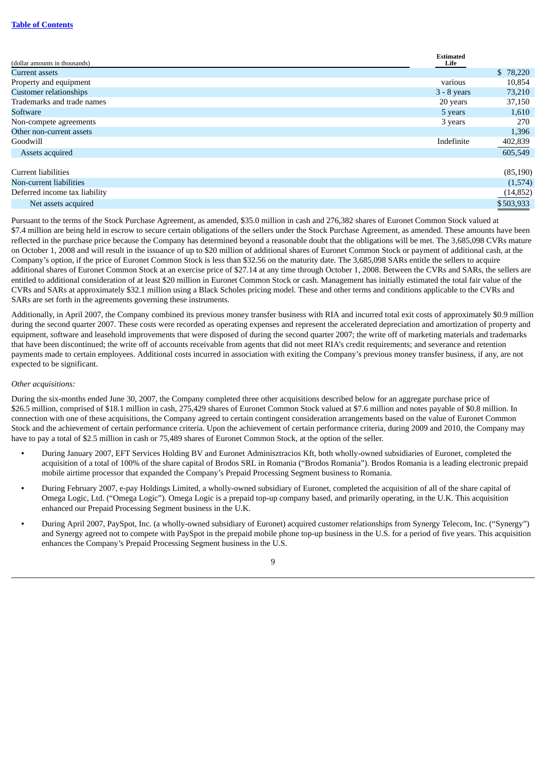|                               | <b>Estimated</b> |           |
|-------------------------------|------------------|-----------|
| (dollar amounts in thousands) | Life             |           |
| Current assets                |                  | \$78,220  |
| Property and equipment        | various          | 10,854    |
| <b>Customer relationships</b> | $3 - 8$ years    | 73,210    |
| Trademarks and trade names    | 20 years         | 37,150    |
| Software                      | 5 years          | 1,610     |
| Non-compete agreements        | 3 years          | 270       |
| Other non-current assets      |                  | 1,396     |
| Goodwill                      | Indefinite       | 402,839   |
| Assets acquired               |                  | 605,549   |
|                               |                  |           |
| Current liabilities           |                  | (85, 190) |
| Non-current liabilities       |                  | (1,574)   |
| Deferred income tax liability |                  | (14, 852) |
| Net assets acquired           |                  | \$503,933 |

Pursuant to the terms of the Stock Purchase Agreement, as amended, \$35.0 million in cash and 276,382 shares of Euronet Common Stock valued at \$7.4 million are being held in escrow to secure certain obligations of the sellers under the Stock Purchase Agreement, as amended. These amounts have been reflected in the purchase price because the Company has determined beyond a reasonable doubt that the obligations will be met. The 3,685,098 CVRs mature on October 1, 2008 and will result in the issuance of up to \$20 million of additional shares of Euronet Common Stock or payment of additional cash, at the Company's option, if the price of Euronet Common Stock is less than \$32.56 on the maturity date. The 3,685,098 SARs entitle the sellers to acquire additional shares of Euronet Common Stock at an exercise price of \$27.14 at any time through October 1, 2008. Between the CVRs and SARs, the sellers are entitled to additional consideration of at least \$20 million in Euronet Common Stock or cash. Management has initially estimated the total fair value of the CVRs and SARs at approximately \$32.1 million using a Black Scholes pricing model. These and other terms and conditions applicable to the CVRs and SARs are set forth in the agreements governing these instruments.

Additionally, in April 2007, the Company combined its previous money transfer business with RIA and incurred total exit costs of approximately \$0.9 million during the second quarter 2007. These costs were recorded as operating expenses and represent the accelerated depreciation and amortization of property and equipment, software and leasehold improvements that were disposed of during the second quarter 2007; the write off of marketing materials and trademarks that have been discontinued; the write off of accounts receivable from agents that did not meet RIA's credit requirements; and severance and retention payments made to certain employees. Additional costs incurred in association with exiting the Company's previous money transfer business, if any, are not expected to be significant.

#### *Other acquisitions:*

During the six-months ended June 30, 2007, the Company completed three other acquisitions described below for an aggregate purchase price of \$26.5 million, comprised of \$18.1 million in cash, 275,429 shares of Euronet Common Stock valued at \$7.6 million and notes payable of \$0.8 million. In connection with one of these acquisitions, the Company agreed to certain contingent consideration arrangements based on the value of Euronet Common Stock and the achievement of certain performance criteria. Upon the achievement of certain performance criteria, during 2009 and 2010, the Company may have to pay a total of \$2.5 million in cash or 75,489 shares of Euronet Common Stock, at the option of the seller.

- **•** During January 2007, EFT Services Holding BV and Euronet Adminisztracios Kft, both wholly-owned subsidiaries of Euronet, completed the acquisition of a total of 100% of the share capital of Brodos SRL in Romania ("Brodos Romania"). Brodos Romania is a leading electronic prepaid mobile airtime processor that expanded the Company's Prepaid Processing Segment business to Romania.
- **•** During February 2007, e-pay Holdings Limited, a wholly-owned subsidiary of Euronet, completed the acquisition of all of the share capital of Omega Logic, Ltd. ("Omega Logic"). Omega Logic is a prepaid top-up company based, and primarily operating, in the U.K. This acquisition enhanced our Prepaid Processing Segment business in the U.K.
- **•** During April 2007, PaySpot, Inc. (a wholly-owned subsidiary of Euronet) acquired customer relationships from Synergy Telecom, Inc. ("Synergy") and Synergy agreed not to compete with PaySpot in the prepaid mobile phone top-up business in the U.S. for a period of five years. This acquisition enhances the Company's Prepaid Processing Segment business in the U.S.

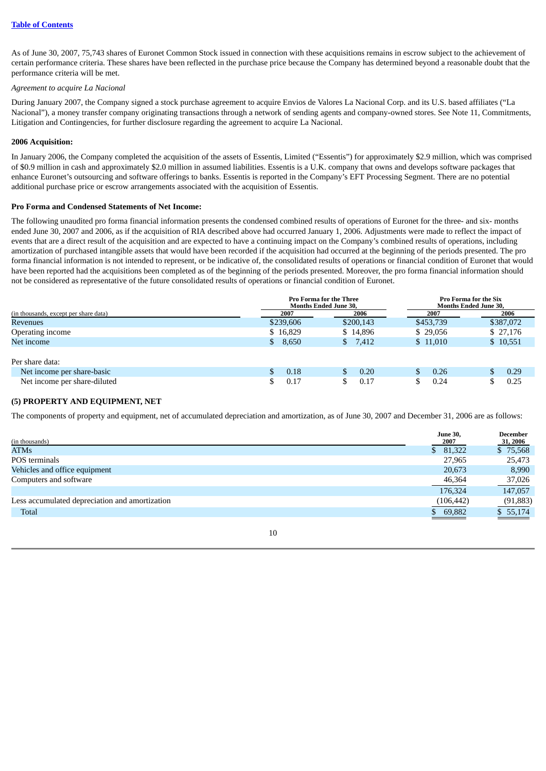As of June 30, 2007, 75,743 shares of Euronet Common Stock issued in connection with these acquisitions remains in escrow subject to the achievement of certain performance criteria. These shares have been reflected in the purchase price because the Company has determined beyond a reasonable doubt that the performance criteria will be met.

#### *Agreement to acquire La Nacional*

During January 2007, the Company signed a stock purchase agreement to acquire Envios de Valores La Nacional Corp. and its U.S. based affiliates ("La Nacional"), a money transfer company originating transactions through a network of sending agents and company-owned stores. See Note 11, Commitments, Litigation and Contingencies, for further disclosure regarding the agreement to acquire La Nacional.

#### **2006 Acquisition:**

In January 2006, the Company completed the acquisition of the assets of Essentis, Limited ("Essentis") for approximately \$2.9 million, which was comprised of \$0.9 million in cash and approximately \$2.0 million in assumed liabilities. Essentis is a U.K. company that owns and develops software packages that enhance Euronet's outsourcing and software offerings to banks. Essentis is reported in the Company's EFT Processing Segment. There are no potential additional purchase price or escrow arrangements associated with the acquisition of Essentis.

#### **Pro Forma and Condensed Statements of Net Income:**

The following unaudited pro forma financial information presents the condensed combined results of operations of Euronet for the three- and six- months ended June 30, 2007 and 2006, as if the acquisition of RIA described above had occurred January 1, 2006. Adjustments were made to reflect the impact of events that are a direct result of the acquisition and are expected to have a continuing impact on the Company's combined results of operations, including amortization of purchased intangible assets that would have been recorded if the acquisition had occurred at the beginning of the periods presented. The pro forma financial information is not intended to represent, or be indicative of, the consolidated results of operations or financial condition of Euronet that would have been reported had the acquisitions been completed as of the beginning of the periods presented. Moreover, the pro forma financial information should not be considered as representative of the future consolidated results of operations or financial condition of Euronet.

|                                       |              | <b>Pro Forma for the Three</b><br><b>Months Ended June 30.</b> | <b>Pro Forma for the Six</b><br><b>Months Ended June 30.</b> |           |  |
|---------------------------------------|--------------|----------------------------------------------------------------|--------------------------------------------------------------|-----------|--|
| (in thousands, except per share data) | 2007         | 2006                                                           | 2007                                                         | 2006      |  |
| Revenues                              | \$239,606    | \$200,143                                                      | \$453,739                                                    | \$387,072 |  |
| Operating income                      | \$16,829     | \$14,896                                                       | \$29.056                                                     | \$27,176  |  |
| Net income                            | 8,650<br>SS. | \$7,412                                                        | \$11,010                                                     | \$10,551  |  |
| Per share data:                       |              |                                                                |                                                              |           |  |
| Net income per share-basic            | 0.18<br>S.   | 0.20                                                           | 0.26                                                         | 0.29      |  |
| Net income per share-diluted          | 0.17         | 0.17                                                           | 0.24                                                         | 0.25      |  |

#### **(5) PROPERTY AND EQUIPMENT, NET**

The components of property and equipment, net of accumulated depreciation and amortization, as of June 30, 2007 and December 31, 2006 are as follows:

| (in thousands)                                 | <b>June 30,</b><br>2007 | <b>December</b><br>31, 2006 |
|------------------------------------------------|-------------------------|-----------------------------|
| <b>ATMs</b>                                    | \$81,322                | \$75,568                    |
| POS terminals                                  | 27,965                  | 25,473                      |
| Vehicles and office equipment                  | 20,673                  | 8,990                       |
| Computers and software                         | 46,364                  | 37,026                      |
|                                                | 176,324                 | 147,057                     |
| Less accumulated depreciation and amortization | (106, 442)              | (91, 883)                   |
| <b>Total</b>                                   | \$69,882                | \$55,174                    |
|                                                |                         |                             |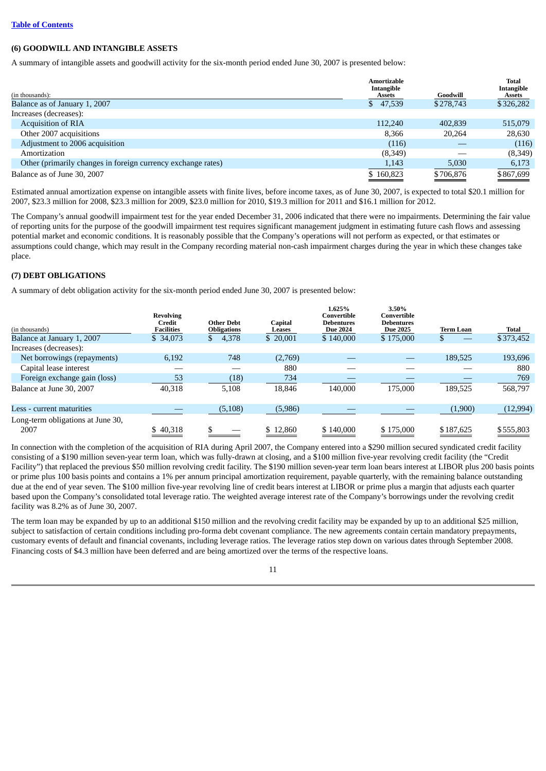## **(6) GOODWILL AND INTANGIBLE ASSETS**

A summary of intangible assets and goodwill activity for the six-month period ended June 30, 2007 is presented below:

| (in thousands):                                              | Amortizable<br>Intangible<br>Assets | Goodwill  | <b>Total</b><br>Intangible<br>Assets |
|--------------------------------------------------------------|-------------------------------------|-----------|--------------------------------------|
| Balance as of January 1, 2007                                | \$47,539                            | \$278,743 | \$326,282                            |
| Increases (decreases):                                       |                                     |           |                                      |
| <b>Acquisition of RIA</b>                                    | 112.240                             | 402.839   | 515,079                              |
| Other 2007 acquisitions                                      | 8.366                               | 20.264    | 28,630                               |
| Adjustment to 2006 acquisition                               | (116)                               |           | (116)                                |
| Amortization                                                 | (8,349)                             |           | (8,349)                              |
| Other (primarily changes in foreign currency exchange rates) | 1,143                               | 5,030     | 6,173                                |
| Balance as of June 30, 2007                                  | \$160,823                           | \$706,876 | \$867,699                            |

Estimated annual amortization expense on intangible assets with finite lives, before income taxes, as of June 30, 2007, is expected to total \$20.1 million for 2007, \$23.3 million for 2008, \$23.3 million for 2009, \$23.0 million for 2010, \$19.3 million for 2011 and \$16.1 million for 2012.

The Company's annual goodwill impairment test for the year ended December 31, 2006 indicated that there were no impairments. Determining the fair value of reporting units for the purpose of the goodwill impairment test requires significant management judgment in estimating future cash flows and assessing potential market and economic conditions. It is reasonably possible that the Company's operations will not perform as expected, or that estimates or assumptions could change, which may result in the Company recording material non-cash impairment charges during the year in which these changes take place.

## **(7) DEBT OBLIGATIONS**

A summary of debt obligation activity for the six-month period ended June 30, 2007 is presented below:

| (in thousands)<br>Balance at January 1, 2007 | <b>Revolving</b><br>Credit<br><b>Facilities</b><br>\$ 34,073 | Other Debt<br><b>Obligations</b><br>4,378<br>\$ | Capital<br>Leases<br>\$20,001 | 1.625%<br>Convertible<br><b>Debentures</b><br><b>Due 2024</b><br>\$140,000 | 3.50%<br>Convertible<br><b>Debentures</b><br><b>Due 2025</b><br>\$175,000 | <b>Term Loan</b><br>S | Total<br>\$373,452 |
|----------------------------------------------|--------------------------------------------------------------|-------------------------------------------------|-------------------------------|----------------------------------------------------------------------------|---------------------------------------------------------------------------|-----------------------|--------------------|
| Increases (decreases):                       |                                                              |                                                 |                               |                                                                            |                                                                           |                       |                    |
| Net borrowings (repayments)                  | 6,192                                                        | 748                                             | (2,769)                       |                                                                            |                                                                           | 189,525               | 193,696            |
| Capital lease interest                       |                                                              |                                                 | 880                           |                                                                            |                                                                           |                       | 880                |
| Foreign exchange gain (loss)                 | 53                                                           | (18)                                            | 734                           |                                                                            |                                                                           |                       | 769                |
| Balance at June 30, 2007                     | 40,318                                                       | 5,108                                           | 18,846                        | 140,000                                                                    | 175,000                                                                   | 189,525               | 568,797            |
| Less - current maturities                    |                                                              | (5, 108)                                        | (5,986)                       |                                                                            |                                                                           | (1,900)               | (12, 994)          |
| Long-term obligations at June 30,<br>2007    | \$40,318                                                     |                                                 | \$12,860                      | \$140,000                                                                  | \$175,000                                                                 | \$187,625             | \$555,803          |

In connection with the completion of the acquisition of RIA during April 2007, the Company entered into a \$290 million secured syndicated credit facility consisting of a \$190 million seven-year term loan, which was fully-drawn at closing, and a \$100 million five-year revolving credit facility (the "Credit Facility") that replaced the previous \$50 million revolving credit facility. The \$190 million seven-year term loan bears interest at LIBOR plus 200 basis points or prime plus 100 basis points and contains a 1% per annum principal amortization requirement, payable quarterly, with the remaining balance outstanding due at the end of year seven. The \$100 million five-year revolving line of credit bears interest at LIBOR or prime plus a margin that adjusts each quarter based upon the Company's consolidated total leverage ratio. The weighted average interest rate of the Company's borrowings under the revolving credit facility was 8.2% as of June 30, 2007.

The term loan may be expanded by up to an additional \$150 million and the revolving credit facility may be expanded by up to an additional \$25 million, subject to satisfaction of certain conditions including pro-forma debt covenant compliance. The new agreements contain certain mandatory prepayments, customary events of default and financial covenants, including leverage ratios. The leverage ratios step down on various dates through September 2008. Financing costs of \$4.3 million have been deferred and are being amortized over the terms of the respective loans.

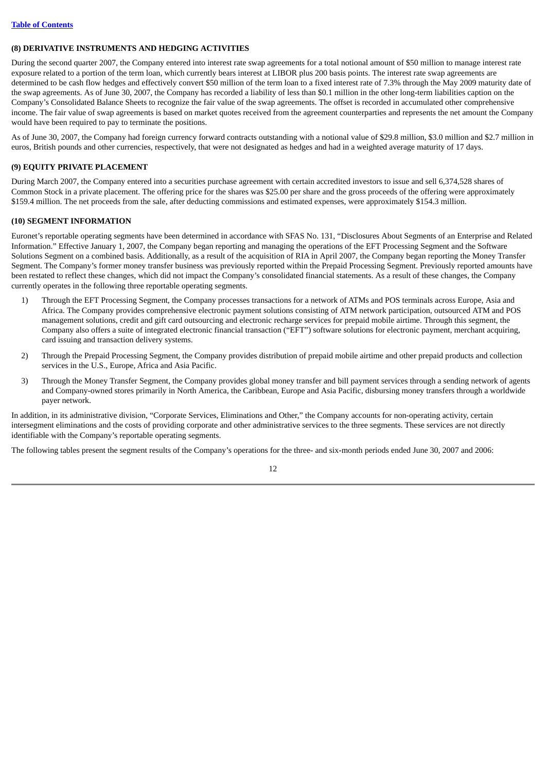## **(8) DERIVATIVE INSTRUMENTS AND HEDGING ACTIVITIES**

During the second quarter 2007, the Company entered into interest rate swap agreements for a total notional amount of \$50 million to manage interest rate exposure related to a portion of the term loan, which currently bears interest at LIBOR plus 200 basis points. The interest rate swap agreements are determined to be cash flow hedges and effectively convert \$50 million of the term loan to a fixed interest rate of 7.3% through the May 2009 maturity date of the swap agreements. As of June 30, 2007, the Company has recorded a liability of less than \$0.1 million in the other long-term liabilities caption on the Company's Consolidated Balance Sheets to recognize the fair value of the swap agreements. The offset is recorded in accumulated other comprehensive income. The fair value of swap agreements is based on market quotes received from the agreement counterparties and represents the net amount the Company would have been required to pay to terminate the positions.

As of June 30, 2007, the Company had foreign currency forward contracts outstanding with a notional value of \$29.8 million, \$3.0 million and \$2.7 million in euros, British pounds and other currencies, respectively, that were not designated as hedges and had in a weighted average maturity of 17 days.

#### **(9) EQUITY PRIVATE PLACEMENT**

During March 2007, the Company entered into a securities purchase agreement with certain accredited investors to issue and sell 6,374,528 shares of Common Stock in a private placement. The offering price for the shares was \$25.00 per share and the gross proceeds of the offering were approximately \$159.4 million. The net proceeds from the sale, after deducting commissions and estimated expenses, were approximately \$154.3 million.

#### **(10) SEGMENT INFORMATION**

Euronet's reportable operating segments have been determined in accordance with SFAS No. 131, "Disclosures About Segments of an Enterprise and Related Information." Effective January 1, 2007, the Company began reporting and managing the operations of the EFT Processing Segment and the Software Solutions Segment on a combined basis. Additionally, as a result of the acquisition of RIA in April 2007, the Company began reporting the Money Transfer Segment. The Company's former money transfer business was previously reported within the Prepaid Processing Segment. Previously reported amounts have been restated to reflect these changes, which did not impact the Company's consolidated financial statements. As a result of these changes, the Company currently operates in the following three reportable operating segments.

- 1) Through the EFT Processing Segment, the Company processes transactions for a network of ATMs and POS terminals across Europe, Asia and Africa. The Company provides comprehensive electronic payment solutions consisting of ATM network participation, outsourced ATM and POS management solutions, credit and gift card outsourcing and electronic recharge services for prepaid mobile airtime. Through this segment, the Company also offers a suite of integrated electronic financial transaction ("EFT") software solutions for electronic payment, merchant acquiring, card issuing and transaction delivery systems.
- 2) Through the Prepaid Processing Segment, the Company provides distribution of prepaid mobile airtime and other prepaid products and collection services in the U.S., Europe, Africa and Asia Pacific.
- 3) Through the Money Transfer Segment, the Company provides global money transfer and bill payment services through a sending network of agents and Company-owned stores primarily in North America, the Caribbean, Europe and Asia Pacific, disbursing money transfers through a worldwide payer network.

In addition, in its administrative division, "Corporate Services, Eliminations and Other," the Company accounts for non-operating activity, certain intersegment eliminations and the costs of providing corporate and other administrative services to the three segments. These services are not directly identifiable with the Company's reportable operating segments.

The following tables present the segment results of the Company's operations for the three- and six-month periods ended June 30, 2007 and 2006:

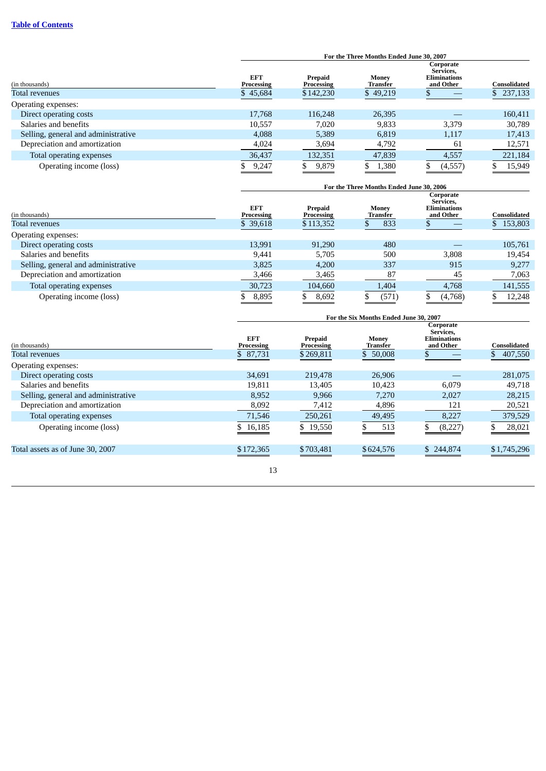|                                     | For the Three Months Ended June 30, 2007 |                       |                   |                                                            |              |  |  |
|-------------------------------------|------------------------------------------|-----------------------|-------------------|------------------------------------------------------------|--------------|--|--|
| (in thousands)                      | EFT<br>Processing                        | Prepaid<br>Processing | Money<br>Transfer | Corporate<br>Services.<br><b>Eliminations</b><br>and Other | Consolidated |  |  |
| Total revenues                      | \$45,684                                 | \$142,230             | \$49,219          |                                                            | 237,133<br>S |  |  |
| Operating expenses:                 |                                          |                       |                   |                                                            |              |  |  |
| Direct operating costs              | 17,768                                   | 116,248               | 26,395            |                                                            | 160,411      |  |  |
| Salaries and benefits               | 10,557                                   | 7.020                 | 9,833             | 3,379                                                      | 30,789       |  |  |
| Selling, general and administrative | 4,088                                    | 5,389                 | 6.819             | 1,117                                                      | 17,413       |  |  |
| Depreciation and amortization       | 4,024                                    | 3,694                 | 4,792             | 61                                                         | 12,571       |  |  |
| Total operating expenses            | 36,437                                   | 132,351               | 47,839            | 4,557                                                      | 221,184      |  |  |
| Operating income (loss)             | 9,247                                    | 9,879                 | 1,380             | (4,557)                                                    | 15,949       |  |  |

|                                     | For the Three Months Ended June 30, 2006 |                       |                   |                                                            |              |  |  |
|-------------------------------------|------------------------------------------|-----------------------|-------------------|------------------------------------------------------------|--------------|--|--|
| (in thousands)                      | <b>EFT</b><br>Processing                 | Prepaid<br>Processing | Money<br>Transfer | Corporate<br>Services.<br><b>Eliminations</b><br>and Other | Consolidated |  |  |
| Total revenues                      | \$39,618                                 | \$113,352             | 833               |                                                            | 153,803      |  |  |
| Operating expenses:                 |                                          |                       |                   |                                                            |              |  |  |
| Direct operating costs              | 13,991                                   | 91,290                | 480               |                                                            | 105,761      |  |  |
| Salaries and benefits               | 9.441                                    | 5,705                 | 500               | 3,808                                                      | 19,454       |  |  |
| Selling, general and administrative | 3.825                                    | 4,200                 | 337               | 915                                                        | 9,277        |  |  |
| Depreciation and amortization       | 3,466                                    | 3,465                 | 87                | 45                                                         | 7,063        |  |  |
| Total operating expenses            | 30,723                                   | 104,660               | 1,404             | 4,768                                                      | 141,555      |  |  |
| Operating income (loss)             | 8,895<br>Эb.                             | 8,692                 | (571)             | (4,768)                                                    | 12,248       |  |  |

|                                     |                          |                              | For the Six Months Ended June 30, 2007 |                                                            |              |
|-------------------------------------|--------------------------|------------------------------|----------------------------------------|------------------------------------------------------------|--------------|
| (in thousands)                      | <b>EFT</b><br>Processing | Prepaid<br><b>Processing</b> |                                        | Corporate<br>Services,<br><b>Eliminations</b><br>and Other | Consolidated |
| Total revenues                      | \$87,731                 | \$269,811                    | \$50,008                               |                                                            | 407,550      |
| Operating expenses:                 |                          |                              |                                        |                                                            |              |
| Direct operating costs              | 34,691                   | 219,478                      | 26,906                                 |                                                            | 281,075      |
| Salaries and benefits               | 19,811                   | 13,405                       | 10,423                                 | 6,079                                                      | 49,718       |
| Selling, general and administrative | 8,952                    | 9,966                        | 7,270                                  | 2,027                                                      | 28,215       |
| Depreciation and amortization       | 8,092                    | 7,412                        | 4,896                                  | 121                                                        | 20,521       |
| Total operating expenses            | 71,546                   | 250,261                      | 49,495                                 | 8,227                                                      | 379,529      |
| Operating income (loss)             | 16,185                   | 19,550                       | 513                                    | (8,227)                                                    | 28,021       |
| Total assets as of June 30, 2007    | \$172,365                | \$703,481                    | \$624,576                              | \$244,874                                                  | \$1,745,296  |
|                                     | 1 <sub>D</sub>           |                              |                                        |                                                            |              |

13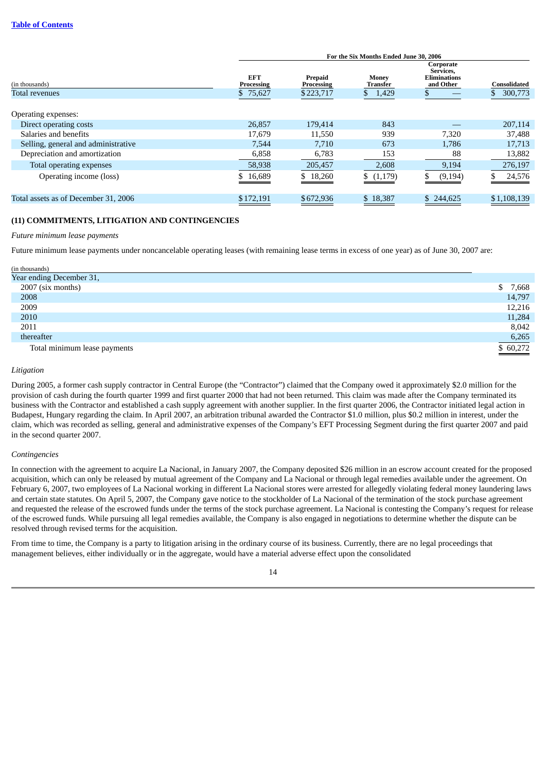|                                      |                          | For the Six Months Ended June 30, 2006 |                   |                                                            |              |  |  |  |  |  |  |
|--------------------------------------|--------------------------|----------------------------------------|-------------------|------------------------------------------------------------|--------------|--|--|--|--|--|--|
| (in thousands)                       | <b>EFT</b><br>Processing | Prepaid<br>Processing                  | Money<br>Transfer | Corporate<br>Services,<br><b>Eliminations</b><br>and Other | Consolidated |  |  |  |  |  |  |
| <b>Total revenues</b>                | \$75,627                 | \$223,717                              | 1,429             |                                                            | 300,773      |  |  |  |  |  |  |
| Operating expenses:                  |                          |                                        |                   |                                                            |              |  |  |  |  |  |  |
| Direct operating costs               | 26,857                   | 179,414                                | 843               |                                                            | 207,114      |  |  |  |  |  |  |
| Salaries and benefits                | 17.679                   | 11.550                                 | 939               | 7,320                                                      | 37,488       |  |  |  |  |  |  |
| Selling, general and administrative  | 7.544                    | 7,710                                  | 673               | 1,786                                                      | 17,713       |  |  |  |  |  |  |
| Depreciation and amortization        | 6,858                    | 6,783                                  | 153               | 88                                                         | 13,882       |  |  |  |  |  |  |
| Total operating expenses             | 58,938                   | 205,457                                | 2,608             | 9,194                                                      | 276,197      |  |  |  |  |  |  |
| Operating income (loss)              | 16,689                   | \$18,260                               | (1, 179)          | (9, 194)                                                   | 24,576       |  |  |  |  |  |  |
| Total assets as of December 31, 2006 | \$172,191                | \$672,936                              | \$18,387          | \$244,625                                                  | \$1,108,139  |  |  |  |  |  |  |

#### **(11) COMMITMENTS, LITIGATION AND CONTINGENCIES**

#### *Future minimum lease payments*

Future minimum lease payments under noncancelable operating leases (with remaining lease terms in excess of one year) as of June 30, 2007 are:

| (in thousands)               |                           |
|------------------------------|---------------------------|
| Year ending December 31,     |                           |
| 2007 (six months)            | 7,668                     |
| 2008                         | 14,797                    |
| 2009                         | 12,216                    |
| 2010                         | 11,284                    |
| 2011                         | 8,042                     |
| thereafter                   |                           |
| Total minimum lease payments | $\frac{6,265}{\$ 60,272}$ |

#### *Litigation*

During 2005, a former cash supply contractor in Central Europe (the "Contractor") claimed that the Company owed it approximately \$2.0 million for the provision of cash during the fourth quarter 1999 and first quarter 2000 that had not been returned. This claim was made after the Company terminated its business with the Contractor and established a cash supply agreement with another supplier. In the first quarter 2006, the Contractor initiated legal action in Budapest, Hungary regarding the claim. In April 2007, an arbitration tribunal awarded the Contractor \$1.0 million, plus \$0.2 million in interest, under the claim, which was recorded as selling, general and administrative expenses of the Company's EFT Processing Segment during the first quarter 2007 and paid in the second quarter 2007.

#### *Contingencies*

In connection with the agreement to acquire La Nacional, in January 2007, the Company deposited \$26 million in an escrow account created for the proposed acquisition, which can only be released by mutual agreement of the Company and La Nacional or through legal remedies available under the agreement. On February 6, 2007, two employees of La Nacional working in different La Nacional stores were arrested for allegedly violating federal money laundering laws and certain state statutes. On April 5, 2007, the Company gave notice to the stockholder of La Nacional of the termination of the stock purchase agreement and requested the release of the escrowed funds under the terms of the stock purchase agreement. La Nacional is contesting the Company's request for release of the escrowed funds. While pursuing all legal remedies available, the Company is also engaged in negotiations to determine whether the dispute can be resolved through revised terms for the acquisition.

From time to time, the Company is a party to litigation arising in the ordinary course of its business. Currently, there are no legal proceedings that management believes, either individually or in the aggregate, would have a material adverse effect upon the consolidated

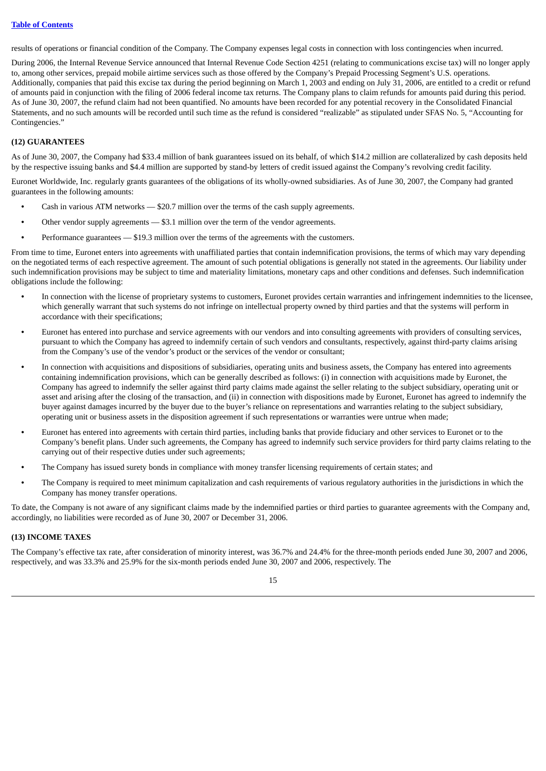results of operations or financial condition of the Company. The Company expenses legal costs in connection with loss contingencies when incurred.

During 2006, the Internal Revenue Service announced that Internal Revenue Code Section 4251 (relating to communications excise tax) will no longer apply to, among other services, prepaid mobile airtime services such as those offered by the Company's Prepaid Processing Segment's U.S. operations. Additionally, companies that paid this excise tax during the period beginning on March 1, 2003 and ending on July 31, 2006, are entitled to a credit or refund of amounts paid in conjunction with the filing of 2006 federal income tax returns. The Company plans to claim refunds for amounts paid during this period. As of June 30, 2007, the refund claim had not been quantified. No amounts have been recorded for any potential recovery in the Consolidated Financial Statements, and no such amounts will be recorded until such time as the refund is considered "realizable" as stipulated under SFAS No. 5, "Accounting for Contingencies."

#### **(12) GUARANTEES**

As of June 30, 2007, the Company had \$33.4 million of bank guarantees issued on its behalf, of which \$14.2 million are collateralized by cash deposits held by the respective issuing banks and \$4.4 million are supported by stand-by letters of credit issued against the Company's revolving credit facility.

Euronet Worldwide, Inc. regularly grants guarantees of the obligations of its wholly-owned subsidiaries. As of June 30, 2007, the Company had granted guarantees in the following amounts:

- **•** Cash in various ATM networks \$20.7 million over the terms of the cash supply agreements.
- **•** Other vendor supply agreements \$3.1 million over the term of the vendor agreements.
- **•** Performance guarantees \$19.3 million over the terms of the agreements with the customers.

From time to time, Euronet enters into agreements with unaffiliated parties that contain indemnification provisions, the terms of which may vary depending on the negotiated terms of each respective agreement. The amount of such potential obligations is generally not stated in the agreements. Our liability under such indemnification provisions may be subject to time and materiality limitations, monetary caps and other conditions and defenses. Such indemnification obligations include the following:

- **•** In connection with the license of proprietary systems to customers, Euronet provides certain warranties and infringement indemnities to the licensee, which generally warrant that such systems do not infringe on intellectual property owned by third parties and that the systems will perform in accordance with their specifications;
- **•** Euronet has entered into purchase and service agreements with our vendors and into consulting agreements with providers of consulting services, pursuant to which the Company has agreed to indemnify certain of such vendors and consultants, respectively, against third-party claims arising from the Company's use of the vendor's product or the services of the vendor or consultant;
- **•** In connection with acquisitions and dispositions of subsidiaries, operating units and business assets, the Company has entered into agreements containing indemnification provisions, which can be generally described as follows: (i) in connection with acquisitions made by Euronet, the Company has agreed to indemnify the seller against third party claims made against the seller relating to the subject subsidiary, operating unit or asset and arising after the closing of the transaction, and (ii) in connection with dispositions made by Euronet, Euronet has agreed to indemnify the buyer against damages incurred by the buyer due to the buyer's reliance on representations and warranties relating to the subject subsidiary, operating unit or business assets in the disposition agreement if such representations or warranties were untrue when made;
- **•** Euronet has entered into agreements with certain third parties, including banks that provide fiduciary and other services to Euronet or to the Company's benefit plans. Under such agreements, the Company has agreed to indemnify such service providers for third party claims relating to the carrying out of their respective duties under such agreements;
- **•** The Company has issued surety bonds in compliance with money transfer licensing requirements of certain states; and
- **•** The Company is required to meet minimum capitalization and cash requirements of various regulatory authorities in the jurisdictions in which the Company has money transfer operations.

To date, the Company is not aware of any significant claims made by the indemnified parties or third parties to guarantee agreements with the Company and, accordingly, no liabilities were recorded as of June 30, 2007 or December 31, 2006.

#### **(13) INCOME TAXES**

The Company's effective tax rate, after consideration of minority interest, was 36.7% and 24.4% for the three-month periods ended June 30, 2007 and 2006, respectively, and was 33.3% and 25.9% for the six-month periods ended June 30, 2007 and 2006, respectively. The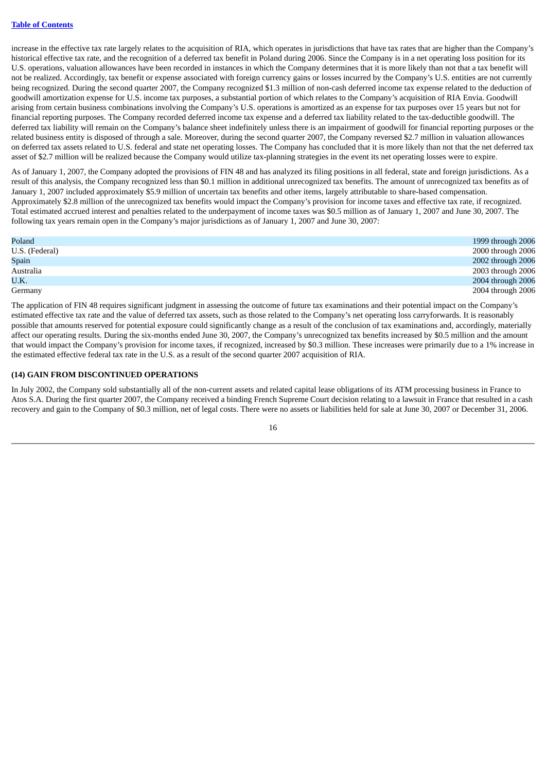increase in the effective tax rate largely relates to the acquisition of RIA, which operates in jurisdictions that have tax rates that are higher than the Company's historical effective tax rate, and the recognition of a deferred tax benefit in Poland during 2006. Since the Company is in a net operating loss position for its U.S. operations, valuation allowances have been recorded in instances in which the Company determines that it is more likely than not that a tax benefit will not be realized. Accordingly, tax benefit or expense associated with foreign currency gains or losses incurred by the Company's U.S. entities are not currently being recognized. During the second quarter 2007, the Company recognized \$1.3 million of non-cash deferred income tax expense related to the deduction of goodwill amortization expense for U.S. income tax purposes, a substantial portion of which relates to the Company's acquisition of RIA Envia. Goodwill arising from certain business combinations involving the Company's U.S. operations is amortized as an expense for tax purposes over 15 years but not for financial reporting purposes. The Company recorded deferred income tax expense and a deferred tax liability related to the tax-deductible goodwill. The deferred tax liability will remain on the Company's balance sheet indefinitely unless there is an impairment of goodwill for financial reporting purposes or the related business entity is disposed of through a sale. Moreover, during the second quarter 2007, the Company reversed \$2.7 million in valuation allowances on deferred tax assets related to U.S. federal and state net operating losses. The Company has concluded that it is more likely than not that the net deferred tax asset of \$2.7 million will be realized because the Company would utilize tax-planning strategies in the event its net operating losses were to expire.

As of January 1, 2007, the Company adopted the provisions of FIN 48 and has analyzed its filing positions in all federal, state and foreign jurisdictions. As a result of this analysis, the Company recognized less than \$0.1 million in additional unrecognized tax benefits. The amount of unrecognized tax benefits as of January 1, 2007 included approximately \$5.9 million of uncertain tax benefits and other items, largely attributable to share-based compensation. Approximately \$2.8 million of the unrecognized tax benefits would impact the Company's provision for income taxes and effective tax rate, if recognized. Total estimated accrued interest and penalties related to the underpayment of income taxes was \$0.5 million as of January 1, 2007 and June 30, 2007. The following tax years remain open in the Company's major jurisdictions as of January 1, 2007 and June 30, 2007:

| Poland         | 1999 through 2006 |
|----------------|-------------------|
| U.S. (Federal) | 2000 through 2006 |
| Spain          | 2002 through 2006 |
| Australia      | 2003 through 2006 |
| U.K.           | 2004 through 2006 |
| Germany        | 2004 through 2006 |

The application of FIN 48 requires significant judgment in assessing the outcome of future tax examinations and their potential impact on the Company's estimated effective tax rate and the value of deferred tax assets, such as those related to the Company's net operating loss carryforwards. It is reasonably possible that amounts reserved for potential exposure could significantly change as a result of the conclusion of tax examinations and, accordingly, materially affect our operating results. During the six-months ended June 30, 2007, the Company's unrecognized tax benefits increased by \$0.5 million and the amount that would impact the Company's provision for income taxes, if recognized, increased by \$0.3 million. These increases were primarily due to a 1% increase in the estimated effective federal tax rate in the U.S. as a result of the second quarter 2007 acquisition of RIA.

#### **(14) GAIN FROM DISCONTINUED OPERATIONS**

In July 2002, the Company sold substantially all of the non-current assets and related capital lease obligations of its ATM processing business in France to Atos S.A. During the first quarter 2007, the Company received a binding French Supreme Court decision relating to a lawsuit in France that resulted in a cash recovery and gain to the Company of \$0.3 million, net of legal costs. There were no assets or liabilities held for sale at June 30, 2007 or December 31, 2006.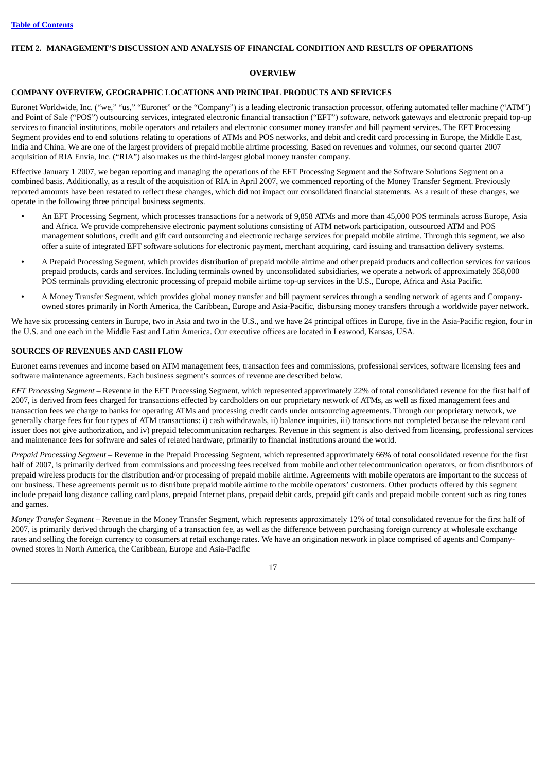#### <span id="page-17-0"></span>**ITEM 2. MANAGEMENT'S DISCUSSION AND ANALYSIS OF FINANCIAL CONDITION AND RESULTS OF OPERATIONS**

#### **OVERVIEW**

## **COMPANY OVERVIEW, GEOGRAPHIC LOCATIONS AND PRINCIPAL PRODUCTS AND SERVICES**

Euronet Worldwide, Inc. ("we," "us," "Euronet" or the "Company") is a leading electronic transaction processor, offering automated teller machine ("ATM") and Point of Sale ("POS") outsourcing services, integrated electronic financial transaction ("EFT") software, network gateways and electronic prepaid top-up services to financial institutions, mobile operators and retailers and electronic consumer money transfer and bill payment services. The EFT Processing Segment provides end to end solutions relating to operations of ATMs and POS networks, and debit and credit card processing in Europe, the Middle East, India and China. We are one of the largest providers of prepaid mobile airtime processing. Based on revenues and volumes, our second quarter 2007 acquisition of RIA Envia, Inc. ("RIA") also makes us the third-largest global money transfer company.

Effective January 1 2007, we began reporting and managing the operations of the EFT Processing Segment and the Software Solutions Segment on a combined basis. Additionally, as a result of the acquisition of RIA in April 2007, we commenced reporting of the Money Transfer Segment. Previously reported amounts have been restated to reflect these changes, which did not impact our consolidated financial statements. As a result of these changes, we operate in the following three principal business segments.

- **•** An EFT Processing Segment, which processes transactions for a network of 9,858 ATMs and more than 45,000 POS terminals across Europe, Asia and Africa. We provide comprehensive electronic payment solutions consisting of ATM network participation, outsourced ATM and POS management solutions, credit and gift card outsourcing and electronic recharge services for prepaid mobile airtime. Through this segment, we also offer a suite of integrated EFT software solutions for electronic payment, merchant acquiring, card issuing and transaction delivery systems.
- **•** A Prepaid Processing Segment, which provides distribution of prepaid mobile airtime and other prepaid products and collection services for various prepaid products, cards and services. Including terminals owned by unconsolidated subsidiaries, we operate a network of approximately 358,000 POS terminals providing electronic processing of prepaid mobile airtime top-up services in the U.S., Europe, Africa and Asia Pacific.
- **•** A Money Transfer Segment, which provides global money transfer and bill payment services through a sending network of agents and Companyowned stores primarily in North America, the Caribbean, Europe and Asia-Pacific, disbursing money transfers through a worldwide payer network.

We have six processing centers in Europe, two in Asia and two in the U.S., and we have 24 principal offices in Europe, five in the Asia-Pacific region, four in the U.S. and one each in the Middle East and Latin America. Our executive offices are located in Leawood, Kansas, USA.

## **SOURCES OF REVENUES AND CASH FLOW**

Euronet earns revenues and income based on ATM management fees, transaction fees and commissions, professional services, software licensing fees and software maintenance agreements. Each business segment's sources of revenue are described below.

*EFT Processing Segment* – Revenue in the EFT Processing Segment, which represented approximately 22% of total consolidated revenue for the first half of 2007, is derived from fees charged for transactions effected by cardholders on our proprietary network of ATMs, as well as fixed management fees and transaction fees we charge to banks for operating ATMs and processing credit cards under outsourcing agreements. Through our proprietary network, we generally charge fees for four types of ATM transactions: i) cash withdrawals, ii) balance inquiries, iii) transactions not completed because the relevant card issuer does not give authorization, and iv) prepaid telecommunication recharges. Revenue in this segment is also derived from licensing, professional services and maintenance fees for software and sales of related hardware, primarily to financial institutions around the world.

*Prepaid Processing Segment* – Revenue in the Prepaid Processing Segment, which represented approximately 66% of total consolidated revenue for the first half of 2007, is primarily derived from commissions and processing fees received from mobile and other telecommunication operators, or from distributors of prepaid wireless products for the distribution and/or processing of prepaid mobile airtime. Agreements with mobile operators are important to the success of our business. These agreements permit us to distribute prepaid mobile airtime to the mobile operators' customers. Other products offered by this segment include prepaid long distance calling card plans, prepaid Internet plans, prepaid debit cards, prepaid gift cards and prepaid mobile content such as ring tones and games.

*Money Transfer Segment* – Revenue in the Money Transfer Segment, which represents approximately 12% of total consolidated revenue for the first half of 2007, is primarily derived through the charging of a transaction fee, as well as the difference between purchasing foreign currency at wholesale exchange rates and selling the foreign currency to consumers at retail exchange rates. We have an origination network in place comprised of agents and Companyowned stores in North America, the Caribbean, Europe and Asia-Pacific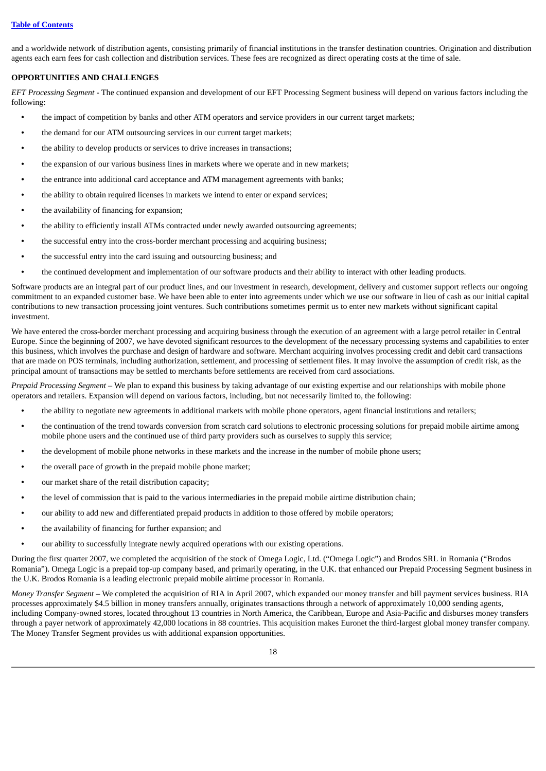and a worldwide network of distribution agents, consisting primarily of financial institutions in the transfer destination countries. Origination and distribution agents each earn fees for cash collection and distribution services. These fees are recognized as direct operating costs at the time of sale.

#### **OPPORTUNITIES AND CHALLENGES**

*EFT Processing Segment* - The continued expansion and development of our EFT Processing Segment business will depend on various factors including the following:

- **•** the impact of competition by banks and other ATM operators and service providers in our current target markets;
- **•** the demand for our ATM outsourcing services in our current target markets;
- **•** the ability to develop products or services to drive increases in transactions;
- **•** the expansion of our various business lines in markets where we operate and in new markets;
- **•** the entrance into additional card acceptance and ATM management agreements with banks;
- **•** the ability to obtain required licenses in markets we intend to enter or expand services;
- **•** the availability of financing for expansion;
- **•** the ability to efficiently install ATMs contracted under newly awarded outsourcing agreements;
- **•** the successful entry into the cross-border merchant processing and acquiring business;
- **•** the successful entry into the card issuing and outsourcing business; and
- **•** the continued development and implementation of our software products and their ability to interact with other leading products.

Software products are an integral part of our product lines, and our investment in research, development, delivery and customer support reflects our ongoing commitment to an expanded customer base. We have been able to enter into agreements under which we use our software in lieu of cash as our initial capital contributions to new transaction processing joint ventures. Such contributions sometimes permit us to enter new markets without significant capital investment.

We have entered the cross-border merchant processing and acquiring business through the execution of an agreement with a large petrol retailer in Central Europe. Since the beginning of 2007, we have devoted significant resources to the development of the necessary processing systems and capabilities to enter this business, which involves the purchase and design of hardware and software. Merchant acquiring involves processing credit and debit card transactions that are made on POS terminals, including authorization, settlement, and processing of settlement files. It may involve the assumption of credit risk, as the principal amount of transactions may be settled to merchants before settlements are received from card associations.

*Prepaid Processing Segment* – We plan to expand this business by taking advantage of our existing expertise and our relationships with mobile phone operators and retailers. Expansion will depend on various factors, including, but not necessarily limited to, the following:

- **•** the ability to negotiate new agreements in additional markets with mobile phone operators, agent financial institutions and retailers;
- **•** the continuation of the trend towards conversion from scratch card solutions to electronic processing solutions for prepaid mobile airtime among mobile phone users and the continued use of third party providers such as ourselves to supply this service;
- **•** the development of mobile phone networks in these markets and the increase in the number of mobile phone users;
- **•** the overall pace of growth in the prepaid mobile phone market;
- **•** our market share of the retail distribution capacity;
- **•** the level of commission that is paid to the various intermediaries in the prepaid mobile airtime distribution chain;
- **•** our ability to add new and differentiated prepaid products in addition to those offered by mobile operators;
- **•** the availability of financing for further expansion; and
- **•** our ability to successfully integrate newly acquired operations with our existing operations.

During the first quarter 2007, we completed the acquisition of the stock of Omega Logic, Ltd. ("Omega Logic") and Brodos SRL in Romania ("Brodos Romania"). Omega Logic is a prepaid top-up company based, and primarily operating, in the U.K. that enhanced our Prepaid Processing Segment business in the U.K. Brodos Romania is a leading electronic prepaid mobile airtime processor in Romania.

*Money Transfer Segment –* We completed the acquisition of RIA in April 2007, which expanded our money transfer and bill payment services business. RIA processes approximately \$4.5 billion in money transfers annually, originates transactions through a network of approximately 10,000 sending agents, including Company-owned stores, located throughout 13 countries in North America, the Caribbean, Europe and Asia-Pacific and disburses money transfers through a payer network of approximately 42,000 locations in 88 countries. This acquisition makes Euronet the third-largest global money transfer company. The Money Transfer Segment provides us with additional expansion opportunities.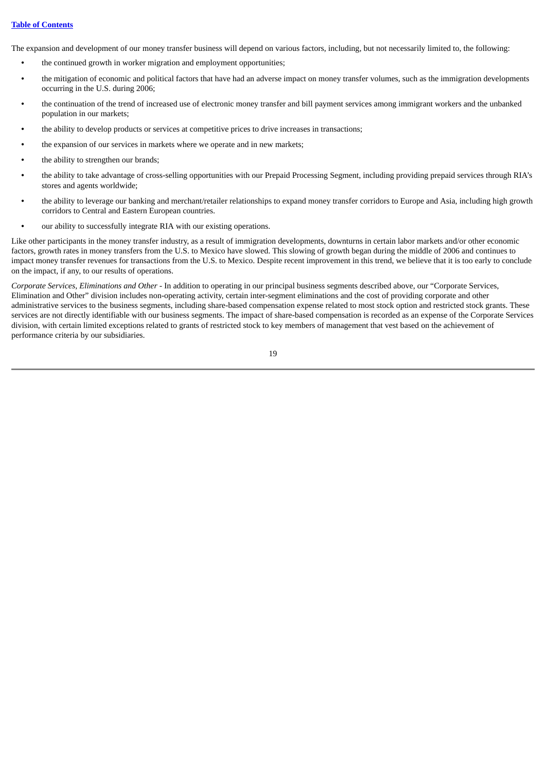#### **Table of [Contents](#page-2-0)**

The expansion and development of our money transfer business will depend on various factors, including, but not necessarily limited to, the following:

- **•** the continued growth in worker migration and employment opportunities;
- **•** the mitigation of economic and political factors that have had an adverse impact on money transfer volumes, such as the immigration developments occurring in the U.S. during 2006;
- **•** the continuation of the trend of increased use of electronic money transfer and bill payment services among immigrant workers and the unbanked population in our markets;
- **•** the ability to develop products or services at competitive prices to drive increases in transactions;
- **•** the expansion of our services in markets where we operate and in new markets;
- **•** the ability to strengthen our brands;
- **•** the ability to take advantage of cross-selling opportunities with our Prepaid Processing Segment, including providing prepaid services through RIA's stores and agents worldwide;
- **•** the ability to leverage our banking and merchant/retailer relationships to expand money transfer corridors to Europe and Asia, including high growth corridors to Central and Eastern European countries.
	- **•** our ability to successfully integrate RIA with our existing operations.

Like other participants in the money transfer industry, as a result of immigration developments, downturns in certain labor markets and/or other economic factors, growth rates in money transfers from the U.S. to Mexico have slowed. This slowing of growth began during the middle of 2006 and continues to impact money transfer revenues for transactions from the U.S. to Mexico. Despite recent improvement in this trend, we believe that it is too early to conclude on the impact, if any, to our results of operations.

*Corporate Services, Eliminations and Other* - In addition to operating in our principal business segments described above, our "Corporate Services, Elimination and Other" division includes non-operating activity, certain inter-segment eliminations and the cost of providing corporate and other administrative services to the business segments, including share-based compensation expense related to most stock option and restricted stock grants. These services are not directly identifiable with our business segments. The impact of share-based compensation is recorded as an expense of the Corporate Services division, with certain limited exceptions related to grants of restricted stock to key members of management that vest based on the achievement of performance criteria by our subsidiaries.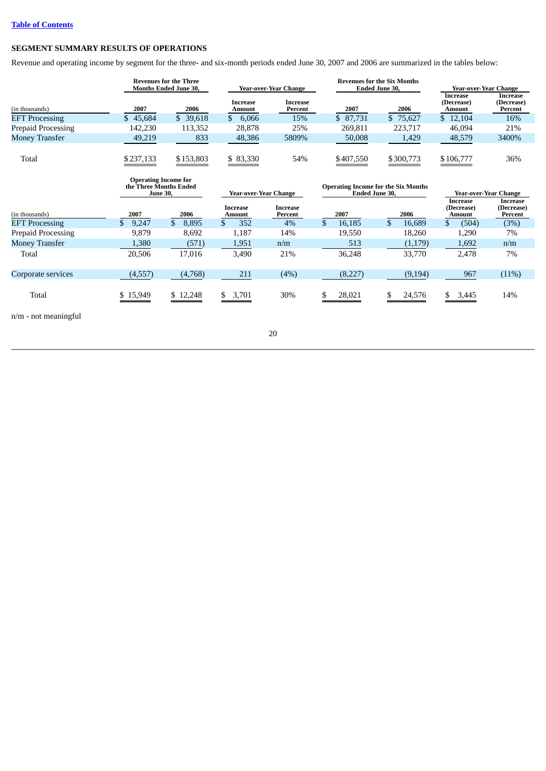## **SEGMENT SUMMARY RESULTS OF OPERATIONS**

Revenue and operating income by segment for the three- and six-month periods ended June 30, 2007 and 2006 are summarized in the tables below:

|                           |                                                                          | <b>Revenues for the Three</b><br><b>Months Ended June 30,</b> | Year-over-Year Change            |                            | <b>Revenues for the Six Months</b><br>Ended June 30,                |              | <b>Year-over-Year Change</b>                         |                                          |
|---------------------------|--------------------------------------------------------------------------|---------------------------------------------------------------|----------------------------------|----------------------------|---------------------------------------------------------------------|--------------|------------------------------------------------------|------------------------------------------|
| (in thousands)            | 2007                                                                     | 2006                                                          | Increase<br>Amount               | <b>Increase</b><br>Percent | 2007                                                                | 2006         | <b>Increase</b><br>(Decrease)<br>Amount              | <b>Increase</b><br>(Decrease)<br>Percent |
| <b>EFT</b> Processing     | 45,684<br>\$                                                             | \$39,618                                                      | 6,066<br>\$.                     | 15%                        | \$87,731                                                            | \$75,627     | \$12,104                                             | 16%                                      |
| Prepaid Processing        | 142,230                                                                  | 113,352                                                       | 28,878                           | 25%                        | 269,811                                                             | 223,717      | 46,094                                               | 21%                                      |
| <b>Money Transfer</b>     | 49,219                                                                   | 833                                                           | 48,386                           | 5809%                      | 50,008                                                              | 1,429        | 48,579                                               | 3400%                                    |
| Total                     | \$237,133                                                                | \$153,803                                                     | \$83,330                         | 54%                        | \$407,550                                                           | \$300,773    | \$106,777                                            | 36%                                      |
|                           | <b>Operating Income for</b><br>the Three Months Ended<br><b>June 30,</b> |                                                               | Year-over-Year Change            |                            | <b>Operating Income for the Six Months</b><br><b>Ended June 30.</b> |              | Year-over-Year Change<br><b>Increase</b><br>Increase |                                          |
| (in thousands)            | 2007                                                                     | 2006                                                          | <b>Increase</b><br><b>Amount</b> | <b>Increase</b><br>Percent | 2007                                                                | 2006         | (Decrease)<br>Amount                                 | (Decrease)<br>Percent                    |
| <b>EFT Processing</b>     | \$<br>9,247                                                              | \$<br>8,895                                                   | $\mathbb{S}$<br>352              | 4%                         | $\mathbb{S}$<br>16,185                                              | \$<br>16,689 | \$<br>(504)                                          | (3%)                                     |
| <b>Prepaid Processing</b> | 9,879                                                                    | 8,692                                                         | 1,187                            | 14%                        | 19,550                                                              | 18,260       | 1,290                                                | 7%                                       |
| <b>Money Transfer</b>     | 1,380                                                                    | (571)                                                         | 1,951                            | n/m                        | 513                                                                 | (1, 179)     | 1,692                                                | n/m                                      |
| Total                     | 20,506                                                                   | 17,016                                                        | 3,490                            | 21%                        | 36,248                                                              | 33,770       | 2,478                                                | 7%                                       |
| Corporate services        | (4,557)                                                                  | (4,768)                                                       | 211                              | (4%)                       | (8,227)                                                             | (9, 194)     | 967                                                  | (11%)                                    |

n/m - not meaningful

20

Total \$ 15,949 \$ 12,248 \$ 3,701 30% \$ 28,021 \$ 24,576 \$ 3,445 14%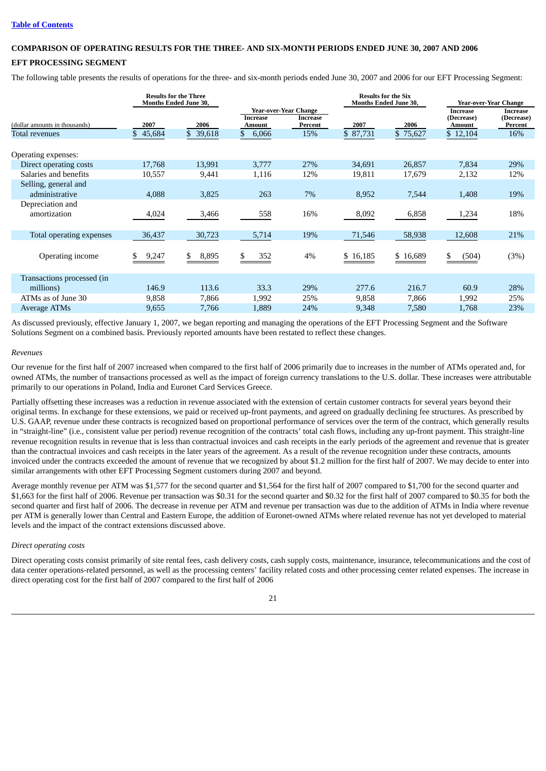#### **COMPARISON OF OPERATING RESULTS FOR THE THREE- AND SIX-MONTH PERIODS ENDED JUNE 30, 2007 AND 2006**

#### **EFT PROCESSING SEGMENT**

The following table presents the results of operations for the three- and six-month periods ended June 30, 2007 and 2006 for our EFT Processing Segment:

|                                                                            | <b>Results for the Three</b><br><b>Months Ended June 30.</b> |                |                           |                            | <b>Months Ended June 30.</b> | <b>Results for the Six</b> | Year-over-Year Change       |                       |
|----------------------------------------------------------------------------|--------------------------------------------------------------|----------------|---------------------------|----------------------------|------------------------------|----------------------------|-----------------------------|-----------------------|
|                                                                            |                                                              |                | Year-over-Year Change     |                            |                              |                            | <b>Increase</b>             | <b>Increase</b>       |
| (dollar amounts in thousands)                                              | 2007                                                         | 2006           | <b>Increase</b><br>Amount | <b>Increase</b><br>Percent | 2007                         | 2006                       | (Decrease)<br><b>Amount</b> | (Decrease)<br>Percent |
| Total revenues                                                             | 45,684                                                       | 39,618<br>\$   | 6,066<br>\$               | 15%                        | \$87,731                     | \$75,627                   | \$12,104                    | 16%                   |
| Operating expenses:                                                        |                                                              |                |                           |                            |                              |                            |                             |                       |
| Direct operating costs                                                     | 17,768                                                       | 13,991         | 3,777                     | 27%                        | 34,691                       | 26,857                     | 7,834                       | 29%                   |
| Salaries and benefits                                                      | 10,557                                                       | 9,441          | 1,116                     | 12%                        | 19,811                       | 17,679                     | 2,132                       | 12%                   |
| Selling, general and<br>administrative<br>Depreciation and<br>amortization | 4,088<br>4,024                                               | 3,825<br>3,466 | 263<br>558                | 7%<br>16%                  | 8,952<br>8,092               | 7,544<br>6,858             | 1,408<br>1,234              | 19%<br>18%            |
| Total operating expenses                                                   | 36,437                                                       | 30,723         | 5,714                     | 19%                        | 71,546                       | 58,938                     | 12,608                      | 21%                   |
| Operating income                                                           | 9,247                                                        | 8,895<br>\$    | 352<br>\$                 | 4%                         | \$16,185                     | \$16,689                   | \$<br>(504)                 | (3%)                  |
| Transactions processed (in<br>millions)                                    | 146.9                                                        | 113.6          | 33.3                      | 29%                        | 277.6                        | 216.7                      | 60.9                        | 28%                   |
| ATMs as of June 30                                                         | 9,858                                                        | 7,866          | 1,992                     | 25%                        | 9,858                        | 7,866                      | 1,992                       | 25%                   |
| Average ATMs                                                               | 9,655                                                        | 7,766          | 1,889                     | 24%                        | 9,348                        | 7,580                      | 1,768                       | 23%                   |
|                                                                            |                                                              |                |                           |                            |                              |                            |                             |                       |

As discussed previously, effective January 1, 2007, we began reporting and managing the operations of the EFT Processing Segment and the Software Solutions Segment on a combined basis. Previously reported amounts have been restated to reflect these changes.

#### *Revenues*

Our revenue for the first half of 2007 increased when compared to the first half of 2006 primarily due to increases in the number of ATMs operated and, for owned ATMs, the number of transactions processed as well as the impact of foreign currency translations to the U.S. dollar. These increases were attributable primarily to our operations in Poland, India and Euronet Card Services Greece.

Partially offsetting these increases was a reduction in revenue associated with the extension of certain customer contracts for several years beyond their original terms. In exchange for these extensions, we paid or received up-front payments, and agreed on gradually declining fee structures. As prescribed by U.S. GAAP, revenue under these contracts is recognized based on proportional performance of services over the term of the contract, which generally results in "straight-line" (i.e., consistent value per period) revenue recognition of the contracts' total cash flows, including any up-front payment. This straight-line revenue recognition results in revenue that is less than contractual invoices and cash receipts in the early periods of the agreement and revenue that is greater than the contractual invoices and cash receipts in the later years of the agreement. As a result of the revenue recognition under these contracts, amounts invoiced under the contracts exceeded the amount of revenue that we recognized by about \$1.2 million for the first half of 2007. We may decide to enter into similar arrangements with other EFT Processing Segment customers during 2007 and beyond.

Average monthly revenue per ATM was \$1,577 for the second quarter and \$1,564 for the first half of 2007 compared to \$1,700 for the second quarter and \$1,663 for the first half of 2006. Revenue per transaction was \$0.31 for the second quarter and \$0.32 for the first half of 2007 compared to \$0.35 for both the second quarter and first half of 2006. The decrease in revenue per ATM and revenue per transaction was due to the addition of ATMs in India where revenue per ATM is generally lower than Central and Eastern Europe, the addition of Euronet-owned ATMs where related revenue has not yet developed to material levels and the impact of the contract extensions discussed above.

#### *Direct operating costs*

Direct operating costs consist primarily of site rental fees, cash delivery costs, cash supply costs, maintenance, insurance, telecommunications and the cost of data center operations-related personnel, as well as the processing centers' facility related costs and other processing center related expenses. The increase in direct operating cost for the first half of 2007 compared to the first half of 2006

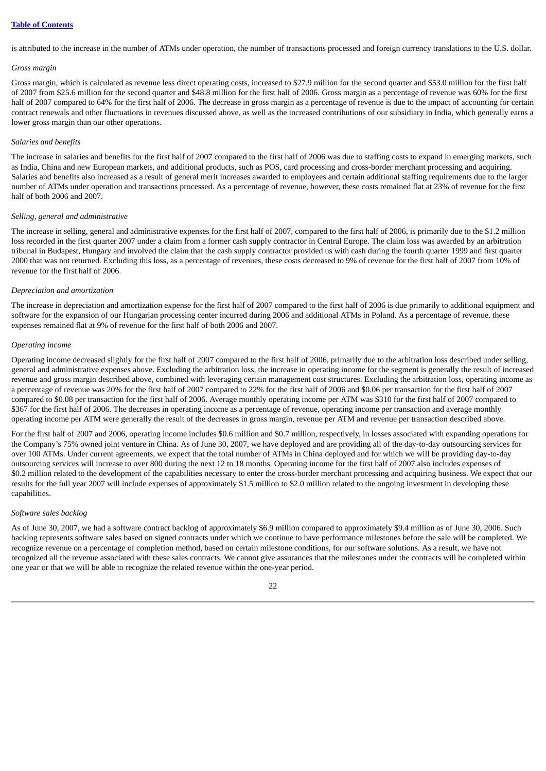#### **Table of [Contents](#page-2-0)**

is attributed to the increase in the number of ATMs under operation, the number of transactions processed and foreign currency translations to the U.S. dollar.

#### *Gross margin*

Gross margin, which is calculated as revenue less direct operating costs, increased to \$27.9 million for the second quarter and \$53.0 million for the first half of 2007 from \$25.6 million for the second quarter and \$48.8 million for the first half of 2006. Gross margin as a percentage of revenue was 60% for the first half of 2007 compared to 64% for the first half of 2006. The decrease in gross margin as a percentage of revenue is due to the impact of accounting for certain contract renewals and other fluctuations in revenues discussed above, as well as the increased contributions of our subsidiary in India, which generally earns a lower gross margin than our other operations.

#### *Salaries and benefits*

The increase in salaries and benefits for the first half of 2007 compared to the first half of 2006 was due to staffing costs to expand in emerging markets, such as India, China and new European markets, and additional products, such as POS, card processing and cross-border merchant processing and acquiring. Salaries and benefits also increased as a result of general merit increases awarded to employees and certain additional staffing requirements due to the larger number of ATMs under operation and transactions processed. As a percentage of revenue, however, these costs remained flat at 23% of revenue for the first half of both 2006 and 2007.

#### *Selling, general and administrative*

The increase in selling, general and administrative expenses for the first half of 2007, compared to the first half of 2006, is primarily due to the \$1.2 million loss recorded in the first quarter 2007 under a claim from a former cash supply contractor in Central Europe. The claim loss was awarded by an arbitration tribunal in Budapest, Hungary and involved the claim that the cash supply contractor provided us with cash during the fourth quarter 1999 and first quarter 2000 that was not returned. Excluding this loss, as a percentage of revenues, these costs decreased to 9% of revenue for the first half of 2007 from 10% of revenue for the first half of 2006.

#### *Depreciation and amortization*

The increase in depreciation and amortization expense for the first half of 2007 compared to the first half of 2006 is due primarily to additional equipment and software for the expansion of our Hungarian processing center incurred during 2006 and additional ATMs in Poland. As a percentage of revenue, these expenses remained flat at 9% of revenue for the first half of both 2006 and 2007.

#### *Operating income*

Operating income decreased slightly for the first half of 2007 compared to the first half of 2006, primarily due to the arbitration loss described under selling, general and administrative expenses above. Excluding the arbitration loss, the increase in operating income for the segment is generally the result of increased revenue and gross margin described above, combined with leveraging certain management cost structures. Excluding the arbitration loss, operating income as a percentage of revenue was 20% for the first half of 2007 compared to 22% for the first half of 2006 and \$0.06 per transaction for the first half of 2007 compared to \$0.08 per transaction for the first half of 2006. Average monthly operating income per ATM was \$310 for the first half of 2007 compared to \$367 for the first half of 2006. The decreases in operating income as a percentage of revenue, operating income per transaction and average monthly operating income per ATM were generally the result of the decreases in gross margin, revenue per ATM and revenue per transaction described above.

For the first half of 2007 and 2006, operating income includes \$0.6 million and \$0.7 million, respectively, in losses associated with expanding operations for the Company's 75% owned joint venture in China. As of June 30, 2007, we have deployed and are providing all of the day-to-day outsourcing services for over 100 ATMs. Under current agreements, we expect that the total number of ATMs in China deployed and for which we will be providing day-to-day outsourcing services will increase to over 800 during the next 12 to 18 months. Operating income for the first half of 2007 also includes expenses of \$0.2 million related to the development of the capabilities necessary to enter the cross-border merchant processing and acquiring business. We expect that our results for the full year 2007 will include expenses of approximately \$1.5 million to \$2.0 million related to the ongoing investment in developing these capabilities.

#### *Software sales backlog*

As of June 30, 2007, we had a software contract backlog of approximately \$6.9 million compared to approximately \$9.4 million as of June 30, 2006. Such backlog represents software sales based on signed contracts under which we continue to have performance milestones before the sale will be completed. We recognize revenue on a percentage of completion method, based on certain milestone conditions, for our software solutions. As a result, we have not recognized all the revenue associated with these sales contracts. We cannot give assurances that the milestones under the contracts will be completed within one year or that we will be able to recognize the related revenue within the one-year period.

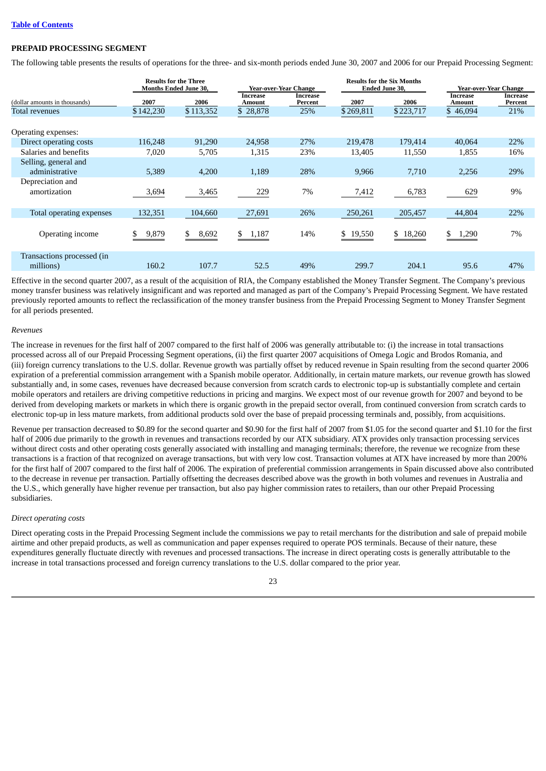## **PREPAID PROCESSING SEGMENT**

The following table presents the results of operations for the three- and six-month periods ended June 30, 2007 and 2006 for our Prepaid Processing Segment:

|                                                                            | <b>Results for the Three</b><br><b>Months Ended June 30,</b> |                | Year-over-Year Change            |                     |                | <b>Results for the Six Months</b> | Year-over-Year Change     |                     |
|----------------------------------------------------------------------------|--------------------------------------------------------------|----------------|----------------------------------|---------------------|----------------|-----------------------------------|---------------------------|---------------------|
| (dollar amounts in thousands)                                              | 2007                                                         | 2006           | <b>Increase</b><br><b>Amount</b> | Increase<br>Percent | 2007           | Ended June 30,<br>2006            | <b>Increase</b><br>Amount | Increase<br>Percent |
| <b>Total revenues</b>                                                      | \$142,230                                                    | \$113,352      | \$28,878                         | 25%                 | \$269,811      | \$223,717                         | \$46,094                  | 21%                 |
| Operating expenses:<br>Direct operating costs                              | 116,248                                                      | 91,290         | 24,958                           | 27%                 | 219,478        | 179,414                           | 40,064                    | 22%                 |
| Salaries and benefits                                                      | 7,020                                                        | 5,705          | 1,315                            | 23%                 | 13,405         | 11,550                            | 1,855                     | 16%                 |
| Selling, general and<br>administrative<br>Depreciation and<br>amortization | 5,389<br>3,694                                               | 4,200<br>3,465 | 1,189<br>229                     | 28%<br>7%           | 9,966<br>7,412 | 7,710<br>6,783                    | 2,256<br>629              | 29%<br>9%           |
| Total operating expenses                                                   | 132,351                                                      | 104,660        | 27,691                           | 26%                 | 250,261        | 205,457                           | 44,804                    | 22%                 |
| Operating income                                                           | 9,879                                                        | 8,692<br>\$    | 1,187<br>\$                      | 14%                 | \$19,550       | \$18,260                          | 1,290<br>\$               | 7%                  |
| Transactions processed (in<br>millions)                                    | 160.2                                                        | 107.7          | 52.5                             | 49%                 | 299.7          | 204.1                             | 95.6                      | 47%                 |

Effective in the second quarter 2007, as a result of the acquisition of RIA, the Company established the Money Transfer Segment. The Company's previous money transfer business was relatively insignificant and was reported and managed as part of the Company's Prepaid Processing Segment. We have restated previously reported amounts to reflect the reclassification of the money transfer business from the Prepaid Processing Segment to Money Transfer Segment for all periods presented.

#### *Revenues*

The increase in revenues for the first half of 2007 compared to the first half of 2006 was generally attributable to: (i) the increase in total transactions processed across all of our Prepaid Processing Segment operations, (ii) the first quarter 2007 acquisitions of Omega Logic and Brodos Romania, and (iii) foreign currency translations to the U.S. dollar. Revenue growth was partially offset by reduced revenue in Spain resulting from the second quarter 2006 expiration of a preferential commission arrangement with a Spanish mobile operator. Additionally, in certain mature markets, our revenue growth has slowed substantially and, in some cases, revenues have decreased because conversion from scratch cards to electronic top-up is substantially complete and certain mobile operators and retailers are driving competitive reductions in pricing and margins. We expect most of our revenue growth for 2007 and beyond to be derived from developing markets or markets in which there is organic growth in the prepaid sector overall, from continued conversion from scratch cards to electronic top-up in less mature markets, from additional products sold over the base of prepaid processing terminals and, possibly, from acquisitions.

Revenue per transaction decreased to \$0.89 for the second quarter and \$0.90 for the first half of 2007 from \$1.05 for the second quarter and \$1.10 for the first half of 2006 due primarily to the growth in revenues and transactions recorded by our ATX subsidiary. ATX provides only transaction processing services without direct costs and other operating costs generally associated with installing and managing terminals; therefore, the revenue we recognize from these transactions is a fraction of that recognized on average transactions, but with very low cost. Transaction volumes at ATX have increased by more than 200% for the first half of 2007 compared to the first half of 2006. The expiration of preferential commission arrangements in Spain discussed above also contributed to the decrease in revenue per transaction. Partially offsetting the decreases described above was the growth in both volumes and revenues in Australia and the U.S., which generally have higher revenue per transaction, but also pay higher commission rates to retailers, than our other Prepaid Processing subsidiaries.

#### *Direct operating costs*

Direct operating costs in the Prepaid Processing Segment include the commissions we pay to retail merchants for the distribution and sale of prepaid mobile airtime and other prepaid products, as well as communication and paper expenses required to operate POS terminals. Because of their nature, these expenditures generally fluctuate directly with revenues and processed transactions. The increase in direct operating costs is generally attributable to the increase in total transactions processed and foreign currency translations to the U.S. dollar compared to the prior year.

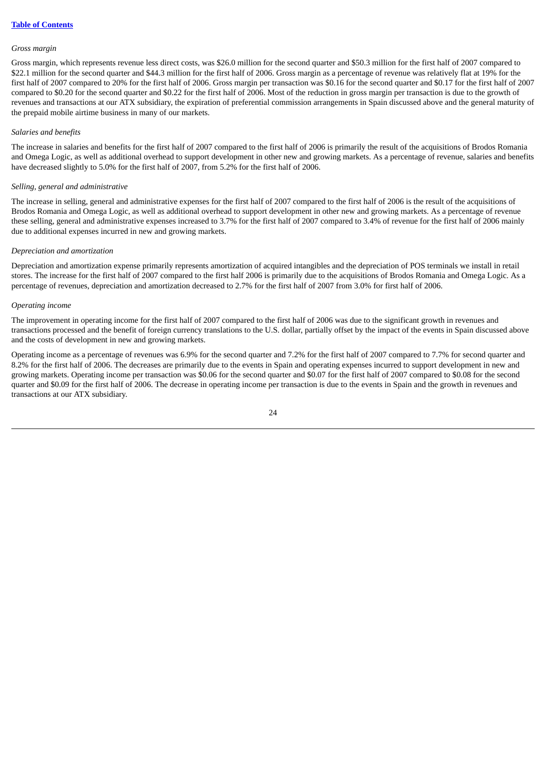#### *Gross margin*

Gross margin, which represents revenue less direct costs, was \$26.0 million for the second quarter and \$50.3 million for the first half of 2007 compared to \$22.1 million for the second quarter and \$44.3 million for the first half of 2006. Gross margin as a percentage of revenue was relatively flat at 19% for the first half of 2007 compared to 20% for the first half of 2006. Gross margin per transaction was \$0.16 for the second quarter and \$0.17 for the first half of 2007 compared to \$0.20 for the second quarter and \$0.22 for the first half of 2006. Most of the reduction in gross margin per transaction is due to the growth of revenues and transactions at our ATX subsidiary, the expiration of preferential commission arrangements in Spain discussed above and the general maturity of the prepaid mobile airtime business in many of our markets.

#### *Salaries and benefits*

The increase in salaries and benefits for the first half of 2007 compared to the first half of 2006 is primarily the result of the acquisitions of Brodos Romania and Omega Logic, as well as additional overhead to support development in other new and growing markets. As a percentage of revenue, salaries and benefits have decreased slightly to 5.0% for the first half of 2007, from 5.2% for the first half of 2006.

#### *Selling, general and administrative*

The increase in selling, general and administrative expenses for the first half of 2007 compared to the first half of 2006 is the result of the acquisitions of Brodos Romania and Omega Logic, as well as additional overhead to support development in other new and growing markets. As a percentage of revenue these selling, general and administrative expenses increased to 3.7% for the first half of 2007 compared to 3.4% of revenue for the first half of 2006 mainly due to additional expenses incurred in new and growing markets.

#### *Depreciation and amortization*

Depreciation and amortization expense primarily represents amortization of acquired intangibles and the depreciation of POS terminals we install in retail stores. The increase for the first half of 2007 compared to the first half 2006 is primarily due to the acquisitions of Brodos Romania and Omega Logic. As a percentage of revenues, depreciation and amortization decreased to 2.7% for the first half of 2007 from 3.0% for first half of 2006.

#### *Operating income*

The improvement in operating income for the first half of 2007 compared to the first half of 2006 was due to the significant growth in revenues and transactions processed and the benefit of foreign currency translations to the U.S. dollar, partially offset by the impact of the events in Spain discussed above and the costs of development in new and growing markets.

Operating income as a percentage of revenues was 6.9% for the second quarter and 7.2% for the first half of 2007 compared to 7.7% for second quarter and 8.2% for the first half of 2006. The decreases are primarily due to the events in Spain and operating expenses incurred to support development in new and growing markets. Operating income per transaction was \$0.06 for the second quarter and \$0.07 for the first half of 2007 compared to \$0.08 for the second quarter and \$0.09 for the first half of 2006. The decrease in operating income per transaction is due to the events in Spain and the growth in revenues and transactions at our ATX subsidiary.

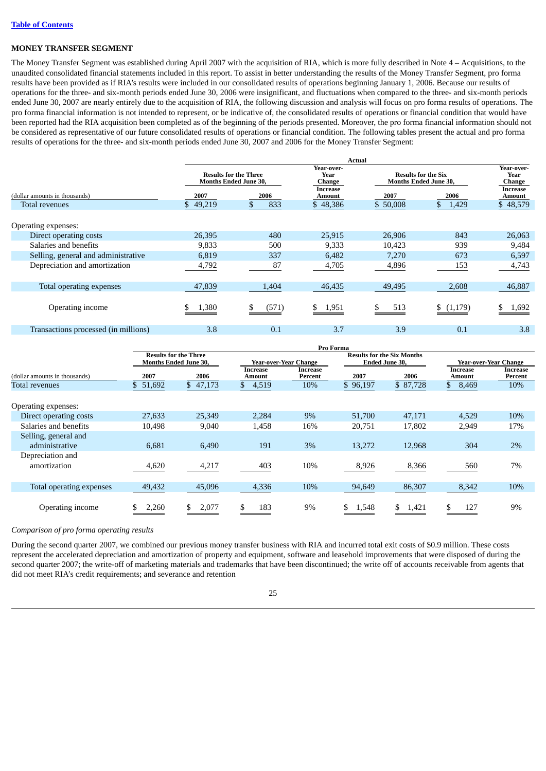#### **MONEY TRANSFER SEGMENT**

The Money Transfer Segment was established during April 2007 with the acquisition of RIA, which is more fully described in Note 4 – Acquisitions, to the unaudited consolidated financial statements included in this report. To assist in better understanding the results of the Money Transfer Segment, pro forma results have been provided as if RIA's results were included in our consolidated results of operations beginning January 1, 2006. Because our results of operations for the three- and six-month periods ended June 30, 2006 were insignificant, and fluctuations when compared to the three- and six-month periods ended June 30, 2007 are nearly entirely due to the acquisition of RIA, the following discussion and analysis will focus on pro forma results of operations. The pro forma financial information is not intended to represent, or be indicative of, the consolidated results of operations or financial condition that would have been reported had the RIA acquisition been completed as of the beginning of the periods presented. Moreover, the pro forma financial information should not be considered as representative of our future consolidated results of operations or financial condition. The following tables present the actual and pro forma results of operations for the three- and six-month periods ended June 30, 2007 and 2006 for the Money Transfer Segment:

|                                      | <b>Actual</b> |                                                              |                           |                                                            |                                                 |          |  |  |  |  |
|--------------------------------------|---------------|--------------------------------------------------------------|---------------------------|------------------------------------------------------------|-------------------------------------------------|----------|--|--|--|--|
|                                      |               | <b>Results for the Three</b><br><b>Months Ended June 30,</b> |                           | <b>Results for the Six</b><br><b>Months Ended June 30,</b> | Year-over-<br>Year<br><b>Change</b><br>Increase |          |  |  |  |  |
| (dollar amounts in thousands)        | 2007          | 2006                                                         | Increase<br><b>Amount</b> | 2007                                                       | 2006                                            | Amount   |  |  |  |  |
| Total revenues                       | 49,219<br>\$  | 833                                                          | \$48,386                  | \$50,008                                                   | 1,429                                           | \$48,579 |  |  |  |  |
| Operating expenses:                  |               |                                                              |                           |                                                            |                                                 |          |  |  |  |  |
| Direct operating costs               | 26,395        | 480                                                          | 25,915                    | 26,906                                                     | 843                                             | 26,063   |  |  |  |  |
| Salaries and benefits                | 9,833         | 500                                                          | 9,333                     | 10,423                                                     | 939                                             | 9,484    |  |  |  |  |
| Selling, general and administrative  | 6,819         | 337                                                          | 6,482                     | 7,270                                                      | 673                                             | 6,597    |  |  |  |  |
| Depreciation and amortization        | 4,792         | 87                                                           | 4,705                     | 4,896                                                      | 153                                             | 4,743    |  |  |  |  |
| Total operating expenses             | 47,839        | 1,404                                                        | 46,435                    | 49,495                                                     | 2,608                                           | 46,887   |  |  |  |  |
| Operating income                     | 1,380         | (571)<br>\$                                                  | 1,951                     | \$<br>513                                                  | \$(1,179)                                       | 1,692    |  |  |  |  |
| Transactions processed (in millions) | 3.8           | 0.1                                                          | 3.7                       | 3.9                                                        | 0.1                                             | 3.8      |  |  |  |  |

|                                        | Pro Forma                                                    |              |                    |                       |                                                            |          |                       |                     |  |  |
|----------------------------------------|--------------------------------------------------------------|--------------|--------------------|-----------------------|------------------------------------------------------------|----------|-----------------------|---------------------|--|--|
|                                        | <b>Results for the Three</b><br><b>Months Ended June 30.</b> |              |                    | Year-over-Year Change | <b>Results for the Six Months</b><br><b>Ended June 30.</b> |          | Year-over-Year Change |                     |  |  |
| (dollar amounts in thousands)          | 2007                                                         | 2006         | Increase<br>Amount | Increase<br>Percent   | 2007                                                       | 2006     | Increase<br>Amount    | Increase<br>Percent |  |  |
| <b>Total revenues</b>                  | 51,692<br>\$                                                 | 47,173<br>\$ | 4,519              | 10%                   | \$96,197                                                   | \$87,728 | \$<br>8,469           | 10%                 |  |  |
| Operating expenses:                    |                                                              |              |                    |                       |                                                            |          |                       |                     |  |  |
| Direct operating costs                 | 27,633                                                       | 25,349       | 2,284              | 9%                    | 51,700                                                     | 47,171   | 4,529                 | 10%                 |  |  |
| Salaries and benefits                  | 10,498                                                       | 9,040        | 1,458              | 16%                   | 20,751                                                     | 17,802   | 2,949                 | 17%                 |  |  |
| Selling, general and<br>administrative | 6,681                                                        | 6,490        | 191                | 3%                    | 13,272                                                     | 12,968   | 304                   | $2\%$               |  |  |
| Depreciation and<br>amortization       | 4,620                                                        | 4,217        | 403                | 10%                   | 8,926                                                      | 8,366    | 560                   | 7%                  |  |  |
| Total operating expenses               | 49,432                                                       | 45,096       | 4,336              | 10%                   | 94,649                                                     | 86,307   | 8,342                 | 10%                 |  |  |
| Operating income                       | 2,260                                                        | 2,077        | 183                | 9%                    | 1,548                                                      | 1,421    | 127                   | 9%                  |  |  |

#### *Comparison of pro forma operating results*

During the second quarter 2007, we combined our previous money transfer business with RIA and incurred total exit costs of \$0.9 million. These costs represent the accelerated depreciation and amortization of property and equipment, software and leasehold improvements that were disposed of during the second quarter 2007; the write-off of marketing materials and trademarks that have been discontinued; the write off of accounts receivable from agents that did not meet RIA's credit requirements; and severance and retention

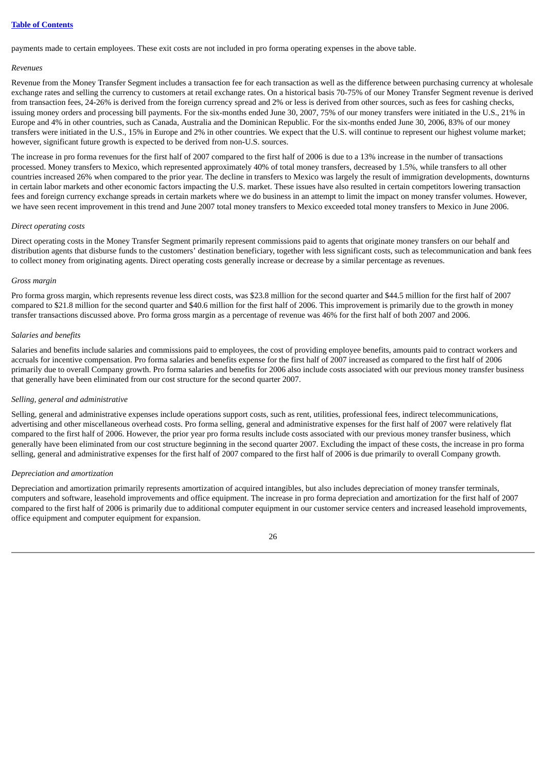#### **Table of [Contents](#page-2-0)**

payments made to certain employees. These exit costs are not included in pro forma operating expenses in the above table.

#### *Revenues*

Revenue from the Money Transfer Segment includes a transaction fee for each transaction as well as the difference between purchasing currency at wholesale exchange rates and selling the currency to customers at retail exchange rates. On a historical basis 70-75% of our Money Transfer Segment revenue is derived from transaction fees, 24-26% is derived from the foreign currency spread and 2% or less is derived from other sources, such as fees for cashing checks, issuing money orders and processing bill payments. For the six-months ended June 30, 2007, 75% of our money transfers were initiated in the U.S., 21% in Europe and 4% in other countries, such as Canada, Australia and the Dominican Republic. For the six-months ended June 30, 2006, 83% of our money transfers were initiated in the U.S., 15% in Europe and 2% in other countries. We expect that the U.S. will continue to represent our highest volume market; however, significant future growth is expected to be derived from non-U.S. sources.

The increase in pro forma revenues for the first half of 2007 compared to the first half of 2006 is due to a 13% increase in the number of transactions processed. Money transfers to Mexico, which represented approximately 40% of total money transfers, decreased by 1.5%, while transfers to all other countries increased 26% when compared to the prior year. The decline in transfers to Mexico was largely the result of immigration developments, downturns in certain labor markets and other economic factors impacting the U.S. market. These issues have also resulted in certain competitors lowering transaction fees and foreign currency exchange spreads in certain markets where we do business in an attempt to limit the impact on money transfer volumes. However, we have seen recent improvement in this trend and June 2007 total money transfers to Mexico exceeded total money transfers to Mexico in June 2006.

#### *Direct operating costs*

Direct operating costs in the Money Transfer Segment primarily represent commissions paid to agents that originate money transfers on our behalf and distribution agents that disburse funds to the customers' destination beneficiary, together with less significant costs, such as telecommunication and bank fees to collect money from originating agents. Direct operating costs generally increase or decrease by a similar percentage as revenues.

#### *Gross margin*

Pro forma gross margin, which represents revenue less direct costs, was \$23.8 million for the second quarter and \$44.5 million for the first half of 2007 compared to \$21.8 million for the second quarter and \$40.6 million for the first half of 2006. This improvement is primarily due to the growth in money transfer transactions discussed above. Pro forma gross margin as a percentage of revenue was 46% for the first half of both 2007 and 2006.

#### *Salaries and benefits*

Salaries and benefits include salaries and commissions paid to employees, the cost of providing employee benefits, amounts paid to contract workers and accruals for incentive compensation. Pro forma salaries and benefits expense for the first half of 2007 increased as compared to the first half of 2006 primarily due to overall Company growth. Pro forma salaries and benefits for 2006 also include costs associated with our previous money transfer business that generally have been eliminated from our cost structure for the second quarter 2007.

#### *Selling, general and administrative*

Selling, general and administrative expenses include operations support costs, such as rent, utilities, professional fees, indirect telecommunications, advertising and other miscellaneous overhead costs. Pro forma selling, general and administrative expenses for the first half of 2007 were relatively flat compared to the first half of 2006. However, the prior year pro forma results include costs associated with our previous money transfer business, which generally have been eliminated from our cost structure beginning in the second quarter 2007. Excluding the impact of these costs, the increase in pro forma selling, general and administrative expenses for the first half of 2007 compared to the first half of 2006 is due primarily to overall Company growth.

#### *Depreciation and amortization*

Depreciation and amortization primarily represents amortization of acquired intangibles, but also includes depreciation of money transfer terminals, computers and software, leasehold improvements and office equipment. The increase in pro forma depreciation and amortization for the first half of 2007 compared to the first half of 2006 is primarily due to additional computer equipment in our customer service centers and increased leasehold improvements, office equipment and computer equipment for expansion.

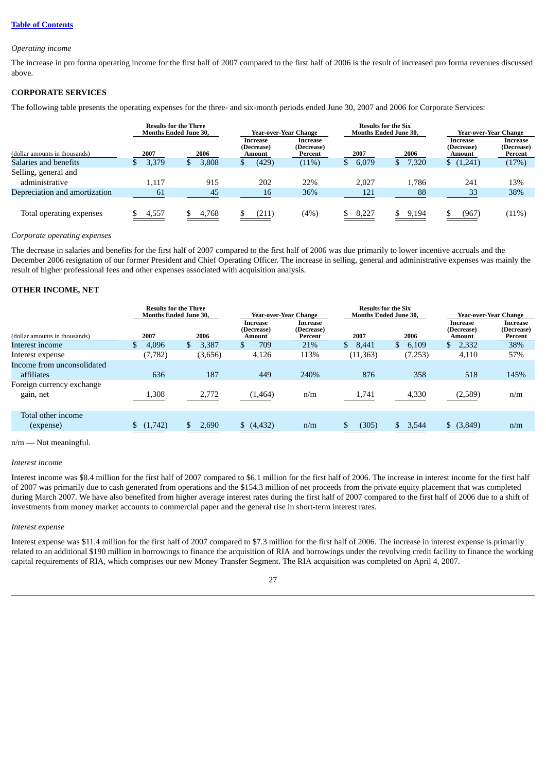#### *Operating income*

The increase in pro forma operating income for the first half of 2007 compared to the first half of 2006 is the result of increased pro forma revenues discussed above.

## **CORPORATE SERVICES**

The following table presents the operating expenses for the three- and six-month periods ended June 30, 2007 and 2006 for Corporate Services:

|                               | <b>Results for the Three</b><br><b>Months Ended June 30,</b> |       | Year-over-Year Change            |                                   | <b>Results for the Six</b><br><b>Months Ended June 30,</b> |              | Year-over-Year Change            |                                   |
|-------------------------------|--------------------------------------------------------------|-------|----------------------------------|-----------------------------------|------------------------------------------------------------|--------------|----------------------------------|-----------------------------------|
| (dollar amounts in thousands) | 2007                                                         | 2006  | Increase<br>(Decrease)<br>Amount | Increase<br>(Decrease)<br>Percent | 2007                                                       | 2006         | Increase<br>(Decrease)<br>Amount | Increase<br>(Decrease)<br>Percent |
| Salaries and benefits         | 3,379<br>S.                                                  | 3,808 | (429)                            | (11%)                             | 6,079<br>\$                                                | 7,320<br>\$. | \$(1,241)                        | (17%)                             |
| Selling, general and          |                                                              |       |                                  |                                   |                                                            |              |                                  |                                   |
| administrative                | 1,117                                                        | 915   | 202                              | 22%                               | 2.027                                                      | 1.786        | 241                              | 13%                               |
| Depreciation and amortization | 61                                                           | 45    | 16                               | 36%                               | 121                                                        | 88           | 33                               | 38%                               |
| Total operating expenses      | 4,557                                                        | 4,768 | (211)                            | (4%)                              | 8,227                                                      | 9,194        | (967                             | (11%)                             |

#### *Corporate operating expenses*

The decrease in salaries and benefits for the first half of 2007 compared to the first half of 2006 was due primarily to lower incentive accruals and the December 2006 resignation of our former President and Chief Operating Officer. The increase in selling, general and administrative expenses was mainly the result of higher professional fees and other expenses associated with acquisition analysis.

#### **OTHER INCOME, NET**

|                                          |          | <b>Results for the Three</b><br><b>Months Ended June 30,</b> |                                  | Year-over-Year Change             |           | <b>Results for the Six</b><br><b>Months Ended June 30,</b> |                                  | <b>Year-over-Year Change</b>      |  |
|------------------------------------------|----------|--------------------------------------------------------------|----------------------------------|-----------------------------------|-----------|------------------------------------------------------------|----------------------------------|-----------------------------------|--|
| (dollar amounts in thousands)            | 2007     | 2006                                                         | Increase<br>(Decrease)<br>Amount | Increase<br>(Decrease)<br>Percent | 2007      | 2006                                                       | Increase<br>(Decrease)<br>Amount | Increase<br>(Decrease)<br>Percent |  |
| Interest income                          | 4,096    | 3,387                                                        | 709                              | 21%                               | \$8,441   | 6,109<br>$\mathbb{S}^-$                                    | 2,332<br>\$                      | 38%                               |  |
| Interest expense                         | (7, 782) | (3,656)                                                      | 4,126                            | 113%                              | (11, 363) | (7,253)                                                    | 4,110                            | 57%                               |  |
| Income from unconsolidated<br>affiliates | 636      | 187                                                          | 449                              | 240%                              | 876       | 358                                                        | 518                              | 145%                              |  |
| Foreign currency exchange<br>gain, net   | 1,308    | 2,772                                                        | (1,464)                          | n/m                               | 1,741     | 4,330                                                      | (2,589)                          | n/m                               |  |
| Total other income<br>(expense)          | (1,742)  | 2,690                                                        | \$(4,432)                        | n/m                               | (305)     | 3,544                                                      | \$ (3,849)                       | n/m                               |  |

n/m — Not meaningful.

#### *Interest income*

Interest income was \$8.4 million for the first half of 2007 compared to \$6.1 million for the first half of 2006. The increase in interest income for the first half of 2007 was primarily due to cash generated from operations and the \$154.3 million of net proceeds from the private equity placement that was completed during March 2007. We have also benefited from higher average interest rates during the first half of 2007 compared to the first half of 2006 due to a shift of investments from money market accounts to commercial paper and the general rise in short-term interest rates.

#### *Interest expense*

Interest expense was \$11.4 million for the first half of 2007 compared to \$7.3 million for the first half of 2006. The increase in interest expense is primarily related to an additional \$190 million in borrowings to finance the acquisition of RIA and borrowings under the revolving credit facility to finance the working capital requirements of RIA, which comprises our new Money Transfer Segment. The RIA acquisition was completed on April 4, 2007.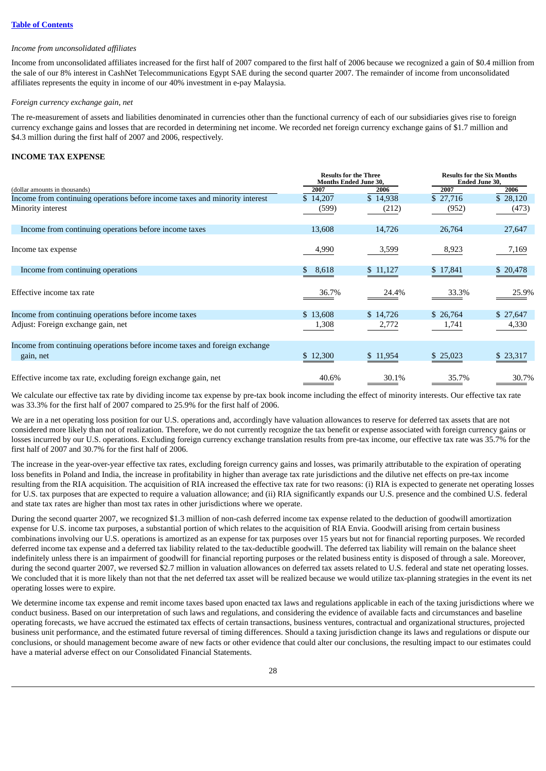#### *Income from unconsolidated affiliates*

Income from unconsolidated affiliates increased for the first half of 2007 compared to the first half of 2006 because we recognized a gain of \$0.4 million from the sale of our 8% interest in CashNet Telecommunications Egypt SAE during the second quarter 2007. The remainder of income from unconsolidated affiliates represents the equity in income of our 40% investment in e-pay Malaysia.

#### *Foreign currency exchange gain, net*

The re-measurement of assets and liabilities denominated in currencies other than the functional currency of each of our subsidiaries gives rise to foreign currency exchange gains and losses that are recorded in determining net income. We recorded net foreign currency exchange gains of \$1.7 million and \$4.3 million during the first half of 2007 and 2006, respectively.

## **INCOME TAX EXPENSE**

|                                                                                         | <b>Results for the Three</b><br><b>Months Ended June 30,</b> |          | <b>Results for the Six Months</b><br>Ended June 30, |           |  |
|-----------------------------------------------------------------------------------------|--------------------------------------------------------------|----------|-----------------------------------------------------|-----------|--|
| (dollar amounts in thousands)                                                           | 2007                                                         | 2006     | 2007                                                | 2006      |  |
| Income from continuing operations before income taxes and minority interest             | \$14,207                                                     | \$14,938 | \$27,716                                            | \$28,120  |  |
| Minority interest                                                                       | (599)                                                        | (212)    | (952)                                               | (473)     |  |
| Income from continuing operations before income taxes                                   | 13,608                                                       | 14,726   | 26,764                                              | 27,647    |  |
| Income tax expense                                                                      | 4,990                                                        | 3,599    | 8,923                                               | 7,169     |  |
| Income from continuing operations                                                       | 8,618                                                        | \$11,127 | \$17,841                                            | \$20,478  |  |
| Effective income tax rate                                                               | 36.7%                                                        | 24.4%    | 33.3%                                               | 25.9%     |  |
| Income from continuing operations before income taxes                                   | \$13,608                                                     | \$14,726 | \$26,764                                            | \$27,647  |  |
| Adjust: Foreign exchange gain, net                                                      | 1,308                                                        | 2,772    | 1,741                                               | 4,330     |  |
| Income from continuing operations before income taxes and foreign exchange<br>gain, net | \$12,300                                                     | \$11,954 | \$25,023                                            | \$ 23,317 |  |
| Effective income tax rate, excluding foreign exchange gain, net                         | 40.6%                                                        | 30.1%    | 35.7%                                               | 30.7%     |  |

We calculate our effective tax rate by dividing income tax expense by pre-tax book income including the effect of minority interests. Our effective tax rate was 33.3% for the first half of 2007 compared to 25.9% for the first half of 2006.

We are in a net operating loss position for our U.S. operations and, accordingly have valuation allowances to reserve for deferred tax assets that are not considered more likely than not of realization. Therefore, we do not currently recognize the tax benefit or expense associated with foreign currency gains or losses incurred by our U.S. operations. Excluding foreign currency exchange translation results from pre-tax income, our effective tax rate was 35.7% for the first half of 2007 and 30.7% for the first half of 2006.

The increase in the year-over-year effective tax rates, excluding foreign currency gains and losses, was primarily attributable to the expiration of operating loss benefits in Poland and India, the increase in profitability in higher than average tax rate jurisdictions and the dilutive net effects on pre-tax income resulting from the RIA acquisition. The acquisition of RIA increased the effective tax rate for two reasons: (i) RIA is expected to generate net operating losses for U.S. tax purposes that are expected to require a valuation allowance; and (ii) RIA significantly expands our U.S. presence and the combined U.S. federal and state tax rates are higher than most tax rates in other jurisdictions where we operate.

During the second quarter 2007, we recognized \$1.3 million of non-cash deferred income tax expense related to the deduction of goodwill amortization expense for U.S. income tax purposes, a substantial portion of which relates to the acquisition of RIA Envia. Goodwill arising from certain business combinations involving our U.S. operations is amortized as an expense for tax purposes over 15 years but not for financial reporting purposes. We recorded deferred income tax expense and a deferred tax liability related to the tax-deductible goodwill. The deferred tax liability will remain on the balance sheet indefinitely unless there is an impairment of goodwill for financial reporting purposes or the related business entity is disposed of through a sale. Moreover, during the second quarter 2007, we reversed \$2.7 million in valuation allowances on deferred tax assets related to U.S. federal and state net operating losses. We concluded that it is more likely than not that the net deferred tax asset will be realized because we would utilize tax-planning strategies in the event its net operating losses were to expire.

We determine income tax expense and remit income taxes based upon enacted tax laws and regulations applicable in each of the taxing jurisdictions where we conduct business. Based on our interpretation of such laws and regulations, and considering the evidence of available facts and circumstances and baseline operating forecasts, we have accrued the estimated tax effects of certain transactions, business ventures, contractual and organizational structures, projected business unit performance, and the estimated future reversal of timing differences. Should a taxing jurisdiction change its laws and regulations or dispute our conclusions, or should management become aware of new facts or other evidence that could alter our conclusions, the resulting impact to our estimates could have a material adverse effect on our Consolidated Financial Statements.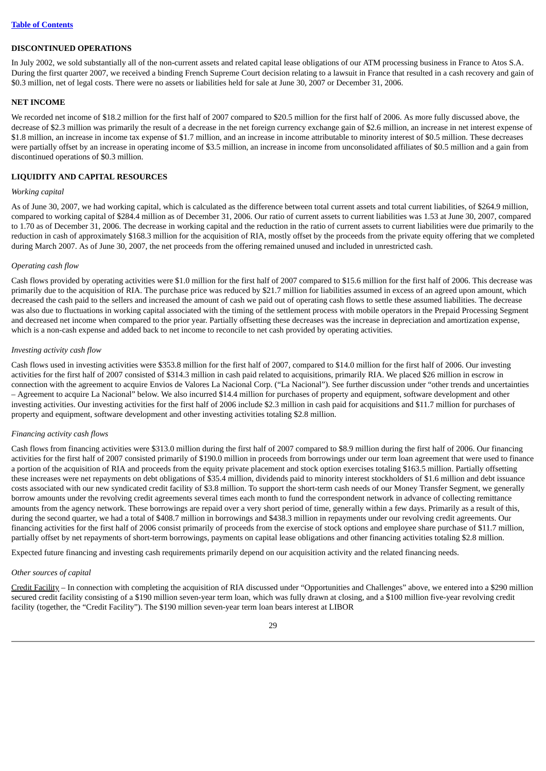#### **DISCONTINUED OPERATIONS**

In July 2002, we sold substantially all of the non-current assets and related capital lease obligations of our ATM processing business in France to Atos S.A. During the first quarter 2007, we received a binding French Supreme Court decision relating to a lawsuit in France that resulted in a cash recovery and gain of \$0.3 million, net of legal costs. There were no assets or liabilities held for sale at June 30, 2007 or December 31, 2006.

#### **NET INCOME**

We recorded net income of \$18.2 million for the first half of 2007 compared to \$20.5 million for the first half of 2006. As more fully discussed above, the decrease of \$2.3 million was primarily the result of a decrease in the net foreign currency exchange gain of \$2.6 million, an increase in net interest expense of \$1.8 million, an increase in income tax expense of \$1.7 million, and an increase in income attributable to minority interest of \$0.5 million. These decreases were partially offset by an increase in operating income of \$3.5 million, an increase in income from unconsolidated affiliates of \$0.5 million and a gain from discontinued operations of \$0.3 million.

#### **LIQUIDITY AND CAPITAL RESOURCES**

#### *Working capital*

As of June 30, 2007, we had working capital, which is calculated as the difference between total current assets and total current liabilities, of \$264.9 million, compared to working capital of \$284.4 million as of December 31, 2006. Our ratio of current assets to current liabilities was 1.53 at June 30, 2007, compared to 1.70 as of December 31, 2006. The decrease in working capital and the reduction in the ratio of current assets to current liabilities were due primarily to the reduction in cash of approximately \$168.3 million for the acquisition of RIA, mostly offset by the proceeds from the private equity offering that we completed during March 2007. As of June 30, 2007, the net proceeds from the offering remained unused and included in unrestricted cash.

#### *Operating cash flow*

Cash flows provided by operating activities were \$1.0 million for the first half of 2007 compared to \$15.6 million for the first half of 2006. This decrease was primarily due to the acquisition of RIA. The purchase price was reduced by \$21.7 million for liabilities assumed in excess of an agreed upon amount, which decreased the cash paid to the sellers and increased the amount of cash we paid out of operating cash flows to settle these assumed liabilities. The decrease was also due to fluctuations in working capital associated with the timing of the settlement process with mobile operators in the Prepaid Processing Segment and decreased net income when compared to the prior year. Partially offsetting these decreases was the increase in depreciation and amortization expense, which is a non-cash expense and added back to net income to reconcile to net cash provided by operating activities.

#### *Investing activity cash flow*

Cash flows used in investing activities were \$353.8 million for the first half of 2007, compared to \$14.0 million for the first half of 2006. Our investing activities for the first half of 2007 consisted of \$314.3 million in cash paid related to acquisitions, primarily RIA. We placed \$26 million in escrow in connection with the agreement to acquire Envios de Valores La Nacional Corp. ("La Nacional"). See further discussion under "other trends and uncertainties – Agreement to acquire La Nacional" below. We also incurred \$14.4 million for purchases of property and equipment, software development and other investing activities. Our investing activities for the first half of 2006 include \$2.3 million in cash paid for acquisitions and \$11.7 million for purchases of property and equipment, software development and other investing activities totaling \$2.8 million.

#### *Financing activity cash flows*

Cash flows from financing activities were \$313.0 million during the first half of 2007 compared to \$8.9 million during the first half of 2006. Our financing activities for the first half of 2007 consisted primarily of \$190.0 million in proceeds from borrowings under our term loan agreement that were used to finance a portion of the acquisition of RIA and proceeds from the equity private placement and stock option exercises totaling \$163.5 million. Partially offsetting these increases were net repayments on debt obligations of \$35.4 million, dividends paid to minority interest stockholders of \$1.6 million and debt issuance costs associated with our new syndicated credit facility of \$3.8 million. To support the short-term cash needs of our Money Transfer Segment, we generally borrow amounts under the revolving credit agreements several times each month to fund the correspondent network in advance of collecting remittance amounts from the agency network. These borrowings are repaid over a very short period of time, generally within a few days. Primarily as a result of this, during the second quarter, we had a total of \$408.7 million in borrowings and \$438.3 million in repayments under our revolving credit agreements. Our financing activities for the first half of 2006 consist primarily of proceeds from the exercise of stock options and employee share purchase of \$11.7 million, partially offset by net repayments of short-term borrowings, payments on capital lease obligations and other financing activities totaling \$2.8 million.

Expected future financing and investing cash requirements primarily depend on our acquisition activity and the related financing needs.

#### *Other sources of capital*

Credit Facility – In connection with completing the acquisition of RIA discussed under "Opportunities and Challenges" above, we entered into a \$290 million secured credit facility consisting of a \$190 million seven-year term loan, which was fully drawn at closing, and a \$100 million five-year revolving credit facility (together, the "Credit Facility"). The \$190 million seven-year term loan bears interest at LIBOR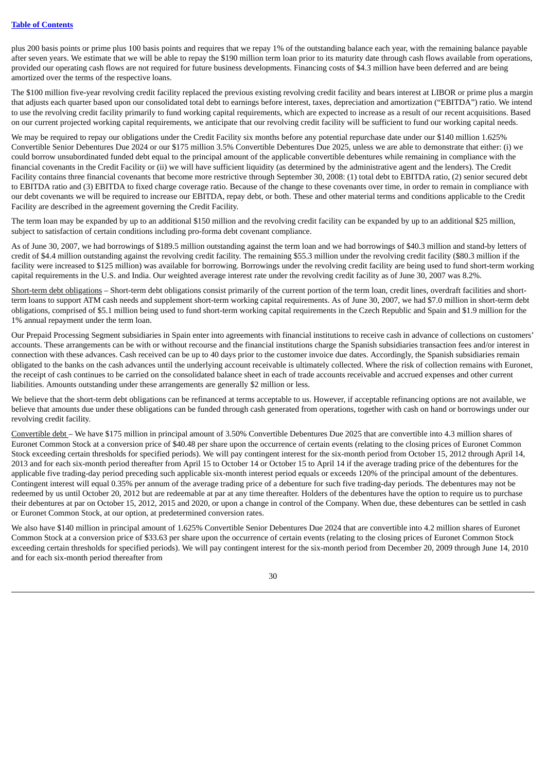plus 200 basis points or prime plus 100 basis points and requires that we repay 1% of the outstanding balance each year, with the remaining balance payable after seven years. We estimate that we will be able to repay the \$190 million term loan prior to its maturity date through cash flows available from operations, provided our operating cash flows are not required for future business developments. Financing costs of \$4.3 million have been deferred and are being amortized over the terms of the respective loans.

The \$100 million five-year revolving credit facility replaced the previous existing revolving credit facility and bears interest at LIBOR or prime plus a margin that adjusts each quarter based upon our consolidated total debt to earnings before interest, taxes, depreciation and amortization ("EBITDA") ratio. We intend to use the revolving credit facility primarily to fund working capital requirements, which are expected to increase as a result of our recent acquisitions. Based on our current projected working capital requirements, we anticipate that our revolving credit facility will be sufficient to fund our working capital needs.

We may be required to repay our obligations under the Credit Facility six months before any potential repurchase date under our \$140 million 1.625% Convertible Senior Debentures Due 2024 or our \$175 million 3.5% Convertible Debentures Due 2025, unless we are able to demonstrate that either: (i) we could borrow unsubordinated funded debt equal to the principal amount of the applicable convertible debentures while remaining in compliance with the financial covenants in the Credit Facility or (ii) we will have sufficient liquidity (as determined by the administrative agent and the lenders). The Credit Facility contains three financial covenants that become more restrictive through September 30, 2008: (1) total debt to EBITDA ratio, (2) senior secured debt to EBITDA ratio and (3) EBITDA to fixed charge coverage ratio. Because of the change to these covenants over time, in order to remain in compliance with our debt covenants we will be required to increase our EBITDA, repay debt, or both. These and other material terms and conditions applicable to the Credit Facility are described in the agreement governing the Credit Facility.

The term loan may be expanded by up to an additional \$150 million and the revolving credit facility can be expanded by up to an additional \$25 million, subject to satisfaction of certain conditions including pro-forma debt covenant compliance.

As of June 30, 2007, we had borrowings of \$189.5 million outstanding against the term loan and we had borrowings of \$40.3 million and stand-by letters of credit of \$4.4 million outstanding against the revolving credit facility. The remaining \$55.3 million under the revolving credit facility (\$80.3 million if the facility were increased to \$125 million) was available for borrowing. Borrowings under the revolving credit facility are being used to fund short-term working capital requirements in the U.S. and India. Our weighted average interest rate under the revolving credit facility as of June 30, 2007 was 8.2%.

Short-term debt obligations – Short-term debt obligations consist primarily of the current portion of the term loan, credit lines, overdraft facilities and shortterm loans to support ATM cash needs and supplement short-term working capital requirements. As of June 30, 2007, we had \$7.0 million in short-term debt obligations, comprised of \$5.1 million being used to fund short-term working capital requirements in the Czech Republic and Spain and \$1.9 million for the 1% annual repayment under the term loan.

Our Prepaid Processing Segment subsidiaries in Spain enter into agreements with financial institutions to receive cash in advance of collections on customers' accounts. These arrangements can be with or without recourse and the financial institutions charge the Spanish subsidiaries transaction fees and/or interest in connection with these advances. Cash received can be up to 40 days prior to the customer invoice due dates. Accordingly, the Spanish subsidiaries remain obligated to the banks on the cash advances until the underlying account receivable is ultimately collected. Where the risk of collection remains with Euronet, the receipt of cash continues to be carried on the consolidated balance sheet in each of trade accounts receivable and accrued expenses and other current liabilities. Amounts outstanding under these arrangements are generally \$2 million or less.

We believe that the short-term debt obligations can be refinanced at terms acceptable to us. However, if acceptable refinancing options are not available, we believe that amounts due under these obligations can be funded through cash generated from operations, together with cash on hand or borrowings under our revolving credit facility.

Convertible debt – We have \$175 million in principal amount of 3.50% Convertible Debentures Due 2025 that are convertible into 4.3 million shares of Euronet Common Stock at a conversion price of \$40.48 per share upon the occurrence of certain events (relating to the closing prices of Euronet Common Stock exceeding certain thresholds for specified periods). We will pay contingent interest for the six-month period from October 15, 2012 through April 14, 2013 and for each six-month period thereafter from April 15 to October 14 or October 15 to April 14 if the average trading price of the debentures for the applicable five trading-day period preceding such applicable six-month interest period equals or exceeds 120% of the principal amount of the debentures. Contingent interest will equal 0.35% per annum of the average trading price of a debenture for such five trading-day periods. The debentures may not be redeemed by us until October 20, 2012 but are redeemable at par at any time thereafter. Holders of the debentures have the option to require us to purchase their debentures at par on October 15, 2012, 2015 and 2020, or upon a change in control of the Company. When due, these debentures can be settled in cash or Euronet Common Stock, at our option, at predetermined conversion rates.

We also have \$140 million in principal amount of 1.625% Convertible Senior Debentures Due 2024 that are convertible into 4.2 million shares of Euronet Common Stock at a conversion price of \$33.63 per share upon the occurrence of certain events (relating to the closing prices of Euronet Common Stock exceeding certain thresholds for specified periods). We will pay contingent interest for the six-month period from December 20, 2009 through June 14, 2010 and for each six-month period thereafter from

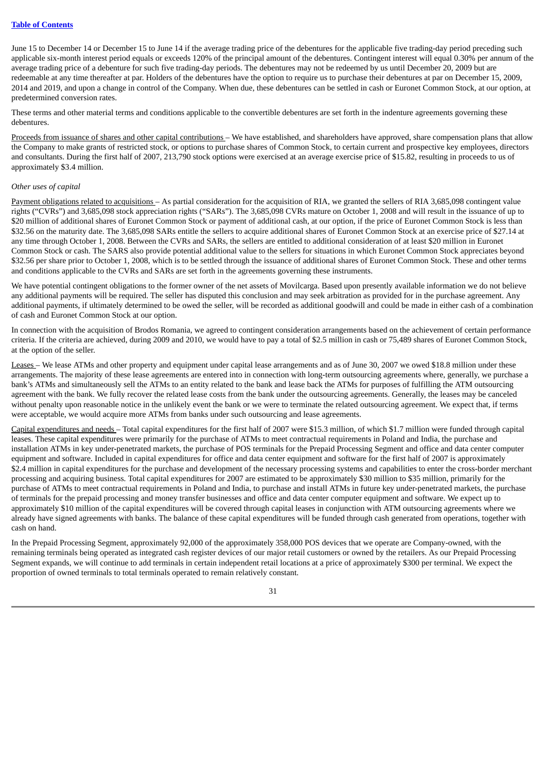June 15 to December 14 or December 15 to June 14 if the average trading price of the debentures for the applicable five trading-day period preceding such applicable six-month interest period equals or exceeds 120% of the principal amount of the debentures. Contingent interest will equal 0.30% per annum of the average trading price of a debenture for such five trading-day periods. The debentures may not be redeemed by us until December 20, 2009 but are redeemable at any time thereafter at par. Holders of the debentures have the option to require us to purchase their debentures at par on December 15, 2009, 2014 and 2019, and upon a change in control of the Company. When due, these debentures can be settled in cash or Euronet Common Stock, at our option, at predetermined conversion rates.

These terms and other material terms and conditions applicable to the convertible debentures are set forth in the indenture agreements governing these debentures.

Proceeds from issuance of shares and other capital contributions – We have established, and shareholders have approved, share compensation plans that allow the Company to make grants of restricted stock, or options to purchase shares of Common Stock, to certain current and prospective key employees, directors and consultants. During the first half of 2007, 213,790 stock options were exercised at an average exercise price of \$15.82, resulting in proceeds to us of approximately \$3.4 million.

#### *Other uses of capital*

Payment obligations related to acquisitions - As partial consideration for the acquisition of RIA, we granted the sellers of RIA 3,685,098 contingent value rights ("CVRs") and 3,685,098 stock appreciation rights ("SARs"). The 3,685,098 CVRs mature on October 1, 2008 and will result in the issuance of up to \$20 million of additional shares of Euronet Common Stock or payment of additional cash, at our option, if the price of Euronet Common Stock is less than \$32.56 on the maturity date. The 3,685,098 SARs entitle the sellers to acquire additional shares of Euronet Common Stock at an exercise price of \$27.14 at any time through October 1, 2008. Between the CVRs and SARs, the sellers are entitled to additional consideration of at least \$20 million in Euronet Common Stock or cash. The SARS also provide potential additional value to the sellers for situations in which Euronet Common Stock appreciates beyond \$32.56 per share prior to October 1, 2008, which is to be settled through the issuance of additional shares of Euronet Common Stock. These and other terms and conditions applicable to the CVRs and SARs are set forth in the agreements governing these instruments.

We have potential contingent obligations to the former owner of the net assets of Movilcarga. Based upon presently available information we do not believe any additional payments will be required. The seller has disputed this conclusion and may seek arbitration as provided for in the purchase agreement. Any additional payments, if ultimately determined to be owed the seller, will be recorded as additional goodwill and could be made in either cash of a combination of cash and Euronet Common Stock at our option.

In connection with the acquisition of Brodos Romania, we agreed to contingent consideration arrangements based on the achievement of certain performance criteria. If the criteria are achieved, during 2009 and 2010, we would have to pay a total of \$2.5 million in cash or 75,489 shares of Euronet Common Stock, at the option of the seller.

Leases – We lease ATMs and other property and equipment under capital lease arrangements and as of June 30, 2007 we owed \$18.8 million under these arrangements. The majority of these lease agreements are entered into in connection with long-term outsourcing agreements where, generally, we purchase a bank's ATMs and simultaneously sell the ATMs to an entity related to the bank and lease back the ATMs for purposes of fulfilling the ATM outsourcing agreement with the bank. We fully recover the related lease costs from the bank under the outsourcing agreements. Generally, the leases may be canceled without penalty upon reasonable notice in the unlikely event the bank or we were to terminate the related outsourcing agreement. We expect that, if terms were acceptable, we would acquire more ATMs from banks under such outsourcing and lease agreements.

Capital expenditures and needs – Total capital expenditures for the first half of 2007 were \$15.3 million, of which \$1.7 million were funded through capital leases. These capital expenditures were primarily for the purchase of ATMs to meet contractual requirements in Poland and India, the purchase and installation ATMs in key under-penetrated markets, the purchase of POS terminals for the Prepaid Processing Segment and office and data center computer equipment and software. Included in capital expenditures for office and data center equipment and software for the first half of 2007 is approximately \$2.4 million in capital expenditures for the purchase and development of the necessary processing systems and capabilities to enter the cross-border merchant processing and acquiring business. Total capital expenditures for 2007 are estimated to be approximately \$30 million to \$35 million, primarily for the purchase of ATMs to meet contractual requirements in Poland and India, to purchase and install ATMs in future key under-penetrated markets, the purchase of terminals for the prepaid processing and money transfer businesses and office and data center computer equipment and software. We expect up to approximately \$10 million of the capital expenditures will be covered through capital leases in conjunction with ATM outsourcing agreements where we already have signed agreements with banks. The balance of these capital expenditures will be funded through cash generated from operations, together with cash on hand.

In the Prepaid Processing Segment, approximately 92,000 of the approximately 358,000 POS devices that we operate are Company-owned, with the remaining terminals being operated as integrated cash register devices of our major retail customers or owned by the retailers. As our Prepaid Processing Segment expands, we will continue to add terminals in certain independent retail locations at a price of approximately \$300 per terminal. We expect the proportion of owned terminals to total terminals operated to remain relatively constant.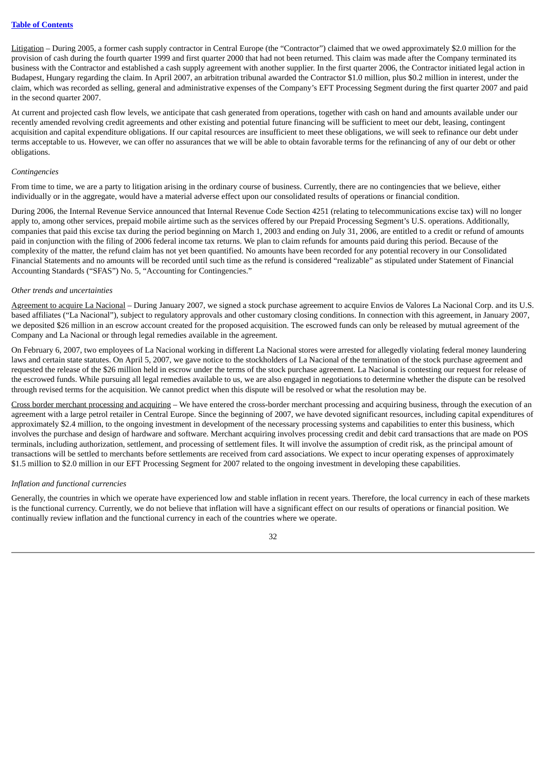Litigation – During 2005, a former cash supply contractor in Central Europe (the "Contractor") claimed that we owed approximately \$2.0 million for the provision of cash during the fourth quarter 1999 and first quarter 2000 that had not been returned. This claim was made after the Company terminated its business with the Contractor and established a cash supply agreement with another supplier. In the first quarter 2006, the Contractor initiated legal action in Budapest, Hungary regarding the claim. In April 2007, an arbitration tribunal awarded the Contractor \$1.0 million, plus \$0.2 million in interest, under the claim, which was recorded as selling, general and administrative expenses of the Company's EFT Processing Segment during the first quarter 2007 and paid in the second quarter 2007.

At current and projected cash flow levels, we anticipate that cash generated from operations, together with cash on hand and amounts available under our recently amended revolving credit agreements and other existing and potential future financing will be sufficient to meet our debt, leasing, contingent acquisition and capital expenditure obligations. If our capital resources are insufficient to meet these obligations, we will seek to refinance our debt under terms acceptable to us. However, we can offer no assurances that we will be able to obtain favorable terms for the refinancing of any of our debt or other obligations.

#### *Contingencies*

From time to time, we are a party to litigation arising in the ordinary course of business. Currently, there are no contingencies that we believe, either individually or in the aggregate, would have a material adverse effect upon our consolidated results of operations or financial condition.

During 2006, the Internal Revenue Service announced that Internal Revenue Code Section 4251 (relating to telecommunications excise tax) will no longer apply to, among other services, prepaid mobile airtime such as the services offered by our Prepaid Processing Segment's U.S. operations. Additionally, companies that paid this excise tax during the period beginning on March 1, 2003 and ending on July 31, 2006, are entitled to a credit or refund of amounts paid in conjunction with the filing of 2006 federal income tax returns. We plan to claim refunds for amounts paid during this period. Because of the complexity of the matter, the refund claim has not yet been quantified. No amounts have been recorded for any potential recovery in our Consolidated Financial Statements and no amounts will be recorded until such time as the refund is considered "realizable" as stipulated under Statement of Financial Accounting Standards ("SFAS") No. 5, "Accounting for Contingencies."

#### *Other trends and uncertainties*

Agreement to acquire La Nacional – During January 2007, we signed a stock purchase agreement to acquire Envios de Valores La Nacional Corp. and its U.S. based affiliates ("La Nacional"), subject to regulatory approvals and other customary closing conditions. In connection with this agreement, in January 2007, we deposited \$26 million in an escrow account created for the proposed acquisition. The escrowed funds can only be released by mutual agreement of the Company and La Nacional or through legal remedies available in the agreement.

On February 6, 2007, two employees of La Nacional working in different La Nacional stores were arrested for allegedly violating federal money laundering laws and certain state statutes. On April 5, 2007, we gave notice to the stockholders of La Nacional of the termination of the stock purchase agreement and requested the release of the \$26 million held in escrow under the terms of the stock purchase agreement. La Nacional is contesting our request for release of the escrowed funds. While pursuing all legal remedies available to us, we are also engaged in negotiations to determine whether the dispute can be resolved through revised terms for the acquisition. We cannot predict when this dispute will be resolved or what the resolution may be.

Cross border merchant processing and acquiring – We have entered the cross-border merchant processing and acquiring business, through the execution of an agreement with a large petrol retailer in Central Europe. Since the beginning of 2007, we have devoted significant resources, including capital expenditures of approximately \$2.4 million, to the ongoing investment in development of the necessary processing systems and capabilities to enter this business, which involves the purchase and design of hardware and software. Merchant acquiring involves processing credit and debit card transactions that are made on POS terminals, including authorization, settlement, and processing of settlement files. It will involve the assumption of credit risk, as the principal amount of transactions will be settled to merchants before settlements are received from card associations. We expect to incur operating expenses of approximately \$1.5 million to \$2.0 million in our EFT Processing Segment for 2007 related to the ongoing investment in developing these capabilities.

#### *Inflation and functional currencies*

Generally, the countries in which we operate have experienced low and stable inflation in recent years. Therefore, the local currency in each of these markets is the functional currency. Currently, we do not believe that inflation will have a significant effect on our results of operations or financial position. We continually review inflation and the functional currency in each of the countries where we operate.

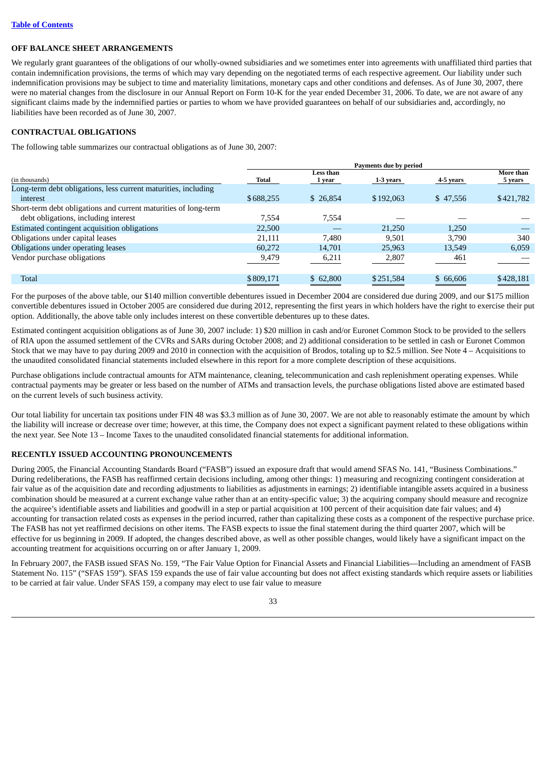#### **OFF BALANCE SHEET ARRANGEMENTS**

We regularly grant guarantees of the obligations of our wholly-owned subsidiaries and we sometimes enter into agreements with unaffiliated third parties that contain indemnification provisions, the terms of which may vary depending on the negotiated terms of each respective agreement. Our liability under such indemnification provisions may be subject to time and materiality limitations, monetary caps and other conditions and defenses. As of June 30, 2007, there were no material changes from the disclosure in our Annual Report on Form 10-K for the year ended December 31, 2006. To date, we are not aware of any significant claims made by the indemnified parties or parties to whom we have provided guarantees on behalf of our subsidiaries and, accordingly, no liabilities have been recorded as of June 30, 2007.

## **CONTRACTUAL OBLIGATIONS**

The following table summarizes our contractual obligations as of June 30, 2007:

|                                                                 |           | Payments due by period |           |           |                      |  |
|-----------------------------------------------------------------|-----------|------------------------|-----------|-----------|----------------------|--|
| (in thousands)                                                  | Total     | Less than<br>1 year    | 1-3 years | 4-5 years | More than<br>5 years |  |
| Long-term debt obligations, less current maturities, including  |           |                        |           |           |                      |  |
| interest                                                        | \$688,255 | \$26,854               | \$192,063 | \$47,556  | \$421,782            |  |
| Short-term debt obligations and current maturities of long-term |           |                        |           |           |                      |  |
| debt obligations, including interest                            | 7.554     | 7,554                  |           |           |                      |  |
| Estimated contingent acquisition obligations                    | 22,500    |                        | 21,250    | 1,250     |                      |  |
| Obligations under capital leases                                | 21,111    | 7.480                  | 9.501     | 3.790     | 340                  |  |
| Obligations under operating leases                              | 60,272    | 14,701                 | 25,963    | 13.549    | 6,059                |  |
| Vendor purchase obligations                                     | 9,479     | 6,211                  | 2,807     | 461       |                      |  |
| Total                                                           | \$809,171 | \$62,800               | \$251,584 | \$66,606  | \$428,181            |  |

For the purposes of the above table, our \$140 million convertible debentures issued in December 2004 are considered due during 2009, and our \$175 million convertible debentures issued in October 2005 are considered due during 2012, representing the first years in which holders have the right to exercise their put option. Additionally, the above table only includes interest on these convertible debentures up to these dates.

Estimated contingent acquisition obligations as of June 30, 2007 include: 1) \$20 million in cash and/or Euronet Common Stock to be provided to the sellers of RIA upon the assumed settlement of the CVRs and SARs during October 2008; and 2) additional consideration to be settled in cash or Euronet Common Stock that we may have to pay during 2009 and 2010 in connection with the acquisition of Brodos, totaling up to \$2.5 million. See Note 4 – Acquisitions to the unaudited consolidated financial statements included elsewhere in this report for a more complete description of these acquisitions.

Purchase obligations include contractual amounts for ATM maintenance, cleaning, telecommunication and cash replenishment operating expenses. While contractual payments may be greater or less based on the number of ATMs and transaction levels, the purchase obligations listed above are estimated based on the current levels of such business activity.

Our total liability for uncertain tax positions under FIN 48 was \$3.3 million as of June 30, 2007. We are not able to reasonably estimate the amount by which the liability will increase or decrease over time; however, at this time, the Company does not expect a significant payment related to these obligations within the next year. See Note 13 – Income Taxes to the unaudited consolidated financial statements for additional information.

#### **RECENTLY ISSUED ACCOUNTING PRONOUNCEMENTS**

During 2005, the Financial Accounting Standards Board ("FASB") issued an exposure draft that would amend SFAS No. 141, "Business Combinations." During redeliberations, the FASB has reaffirmed certain decisions including, among other things: 1) measuring and recognizing contingent consideration at fair value as of the acquisition date and recording adjustments to liabilities as adjustments in earnings; 2) identifiable intangible assets acquired in a business combination should be measured at a current exchange value rather than at an entity-specific value; 3) the acquiring company should measure and recognize the acquiree's identifiable assets and liabilities and goodwill in a step or partial acquisition at 100 percent of their acquisition date fair values; and 4) accounting for transaction related costs as expenses in the period incurred, rather than capitalizing these costs as a component of the respective purchase price. The FASB has not yet reaffirmed decisions on other items. The FASB expects to issue the final statement during the third quarter 2007, which will be effective for us beginning in 2009. If adopted, the changes described above, as well as other possible changes, would likely have a significant impact on the accounting treatment for acquisitions occurring on or after January 1, 2009.

In February 2007, the FASB issued SFAS No. 159, "The Fair Value Option for Financial Assets and Financial Liabilities—Including an amendment of FASB Statement No. 115" ("SFAS 159"). SFAS 159 expands the use of fair value accounting but does not affect existing standards which require assets or liabilities to be carried at fair value. Under SFAS 159, a company may elect to use fair value to measure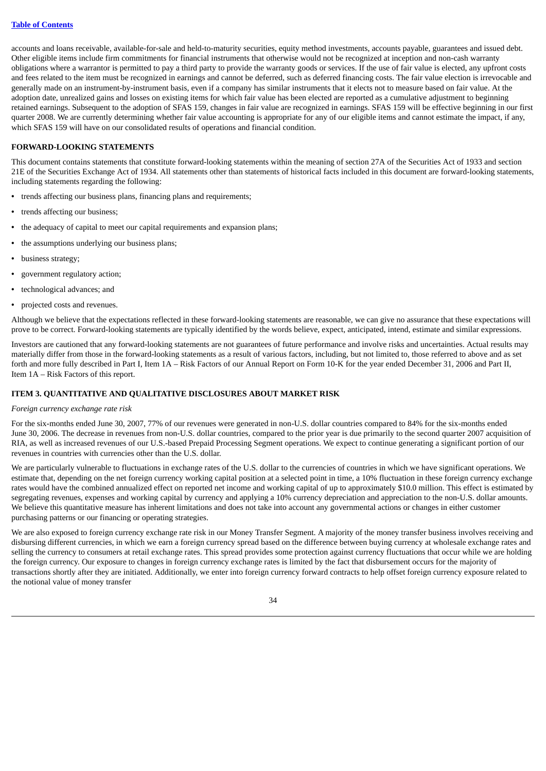accounts and loans receivable, available-for-sale and held-to-maturity securities, equity method investments, accounts payable, guarantees and issued debt. Other eligible items include firm commitments for financial instruments that otherwise would not be recognized at inception and non-cash warranty obligations where a warrantor is permitted to pay a third party to provide the warranty goods or services. If the use of fair value is elected, any upfront costs and fees related to the item must be recognized in earnings and cannot be deferred, such as deferred financing costs. The fair value election is irrevocable and generally made on an instrument-by-instrument basis, even if a company has similar instruments that it elects not to measure based on fair value. At the adoption date, unrealized gains and losses on existing items for which fair value has been elected are reported as a cumulative adjustment to beginning retained earnings. Subsequent to the adoption of SFAS 159, changes in fair value are recognized in earnings. SFAS 159 will be effective beginning in our first quarter 2008. We are currently determining whether fair value accounting is appropriate for any of our eligible items and cannot estimate the impact, if any, which SFAS 159 will have on our consolidated results of operations and financial condition.

#### **FORWARD-LOOKING STATEMENTS**

This document contains statements that constitute forward-looking statements within the meaning of section 27A of the Securities Act of 1933 and section 21E of the Securities Exchange Act of 1934. All statements other than statements of historical facts included in this document are forward-looking statements, including statements regarding the following:

- **•** trends affecting our business plans, financing plans and requirements;
- **•** trends affecting our business;
- **•** the adequacy of capital to meet our capital requirements and expansion plans;
- the assumptions underlying our business plans;
- **•** business strategy;
- **•** government regulatory action;
- **•** technological advances; and
- **•** projected costs and revenues.

Although we believe that the expectations reflected in these forward-looking statements are reasonable, we can give no assurance that these expectations will prove to be correct. Forward-looking statements are typically identified by the words believe, expect, anticipated, intend, estimate and similar expressions.

Investors are cautioned that any forward-looking statements are not guarantees of future performance and involve risks and uncertainties. Actual results may materially differ from those in the forward-looking statements as a result of various factors, including, but not limited to, those referred to above and as set forth and more fully described in Part I, Item 1A – Risk Factors of our Annual Report on Form 10-K for the year ended December 31, 2006 and Part II, Item 1A – Risk Factors of this report.

#### <span id="page-34-0"></span>**ITEM 3. QUANTITATIVE AND QUALITATIVE DISCLOSURES ABOUT MARKET RISK**

#### *Foreign currency exchange rate risk*

For the six-months ended June 30, 2007, 77% of our revenues were generated in non-U.S. dollar countries compared to 84% for the six-months ended June 30, 2006. The decrease in revenues from non-U.S. dollar countries, compared to the prior year is due primarily to the second quarter 2007 acquisition of RIA, as well as increased revenues of our U.S.-based Prepaid Processing Segment operations. We expect to continue generating a significant portion of our revenues in countries with currencies other than the U.S. dollar.

We are particularly vulnerable to fluctuations in exchange rates of the U.S. dollar to the currencies of countries in which we have significant operations. We estimate that, depending on the net foreign currency working capital position at a selected point in time, a 10% fluctuation in these foreign currency exchange rates would have the combined annualized effect on reported net income and working capital of up to approximately \$10.0 million. This effect is estimated by segregating revenues, expenses and working capital by currency and applying a 10% currency depreciation and appreciation to the non-U.S. dollar amounts. We believe this quantitative measure has inherent limitations and does not take into account any governmental actions or changes in either customer purchasing patterns or our financing or operating strategies.

We are also exposed to foreign currency exchange rate risk in our Money Transfer Segment. A majority of the money transfer business involves receiving and disbursing different currencies, in which we earn a foreign currency spread based on the difference between buying currency at wholesale exchange rates and selling the currency to consumers at retail exchange rates. This spread provides some protection against currency fluctuations that occur while we are holding the foreign currency. Our exposure to changes in foreign currency exchange rates is limited by the fact that disbursement occurs for the majority of transactions shortly after they are initiated. Additionally, we enter into foreign currency forward contracts to help offset foreign currency exposure related to the notional value of money transfer

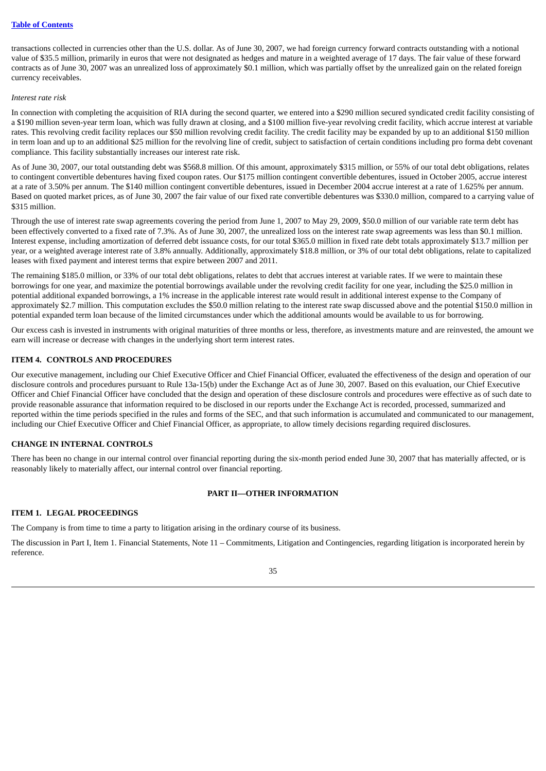transactions collected in currencies other than the U.S. dollar. As of June 30, 2007, we had foreign currency forward contracts outstanding with a notional value of \$35.5 million, primarily in euros that were not designated as hedges and mature in a weighted average of 17 days. The fair value of these forward contracts as of June 30, 2007 was an unrealized loss of approximately \$0.1 million, which was partially offset by the unrealized gain on the related foreign currency receivables.

#### *Interest rate risk*

In connection with completing the acquisition of RIA during the second quarter, we entered into a \$290 million secured syndicated credit facility consisting of a \$190 million seven-year term loan, which was fully drawn at closing, and a \$100 million five-year revolving credit facility, which accrue interest at variable rates. This revolving credit facility replaces our \$50 million revolving credit facility. The credit facility may be expanded by up to an additional \$150 million in term loan and up to an additional \$25 million for the revolving line of credit, subject to satisfaction of certain conditions including pro forma debt covenant compliance. This facility substantially increases our interest rate risk.

As of June 30, 2007, our total outstanding debt was \$568.8 million. Of this amount, approximately \$315 million, or 55% of our total debt obligations, relates to contingent convertible debentures having fixed coupon rates. Our \$175 million contingent convertible debentures, issued in October 2005, accrue interest at a rate of 3.50% per annum. The \$140 million contingent convertible debentures, issued in December 2004 accrue interest at a rate of 1.625% per annum. Based on quoted market prices, as of June 30, 2007 the fair value of our fixed rate convertible debentures was \$330.0 million, compared to a carrying value of \$315 million.

Through the use of interest rate swap agreements covering the period from June 1, 2007 to May 29, 2009, \$50.0 million of our variable rate term debt has been effectively converted to a fixed rate of 7.3%. As of June 30, 2007, the unrealized loss on the interest rate swap agreements was less than \$0.1 million. Interest expense, including amortization of deferred debt issuance costs, for our total \$365.0 million in fixed rate debt totals approximately \$13.7 million per year, or a weighted average interest rate of 3.8% annually. Additionally, approximately \$18.8 million, or 3% of our total debt obligations, relate to capitalized leases with fixed payment and interest terms that expire between 2007 and 2011.

The remaining \$185.0 million, or 33% of our total debt obligations, relates to debt that accrues interest at variable rates. If we were to maintain these borrowings for one year, and maximize the potential borrowings available under the revolving credit facility for one year, including the \$25.0 million in potential additional expanded borrowings, a 1% increase in the applicable interest rate would result in additional interest expense to the Company of approximately \$2.7 million. This computation excludes the \$50.0 million relating to the interest rate swap discussed above and the potential \$150.0 million in potential expanded term loan because of the limited circumstances under which the additional amounts would be available to us for borrowing.

Our excess cash is invested in instruments with original maturities of three months or less, therefore, as investments mature and are reinvested, the amount we earn will increase or decrease with changes in the underlying short term interest rates.

#### <span id="page-35-0"></span>**ITEM 4. CONTROLS AND PROCEDURES**

Our executive management, including our Chief Executive Officer and Chief Financial Officer, evaluated the effectiveness of the design and operation of our disclosure controls and procedures pursuant to Rule 13a-15(b) under the Exchange Act as of June 30, 2007. Based on this evaluation, our Chief Executive Officer and Chief Financial Officer have concluded that the design and operation of these disclosure controls and procedures were effective as of such date to provide reasonable assurance that information required to be disclosed in our reports under the Exchange Act is recorded, processed, summarized and reported within the time periods specified in the rules and forms of the SEC, and that such information is accumulated and communicated to our management, including our Chief Executive Officer and Chief Financial Officer, as appropriate, to allow timely decisions regarding required disclosures.

#### **CHANGE IN INTERNAL CONTROLS**

<span id="page-35-1"></span>There has been no change in our internal control over financial reporting during the six-month period ended June 30, 2007 that has materially affected, or is reasonably likely to materially affect, our internal control over financial reporting.

#### **PART II—OTHER INFORMATION**

#### <span id="page-35-2"></span>**ITEM 1. LEGAL PROCEEDINGS**

The Company is from time to time a party to litigation arising in the ordinary course of its business.

The discussion in Part I, Item 1. Financial Statements, Note 11 – Commitments, Litigation and Contingencies, regarding litigation is incorporated herein by reference.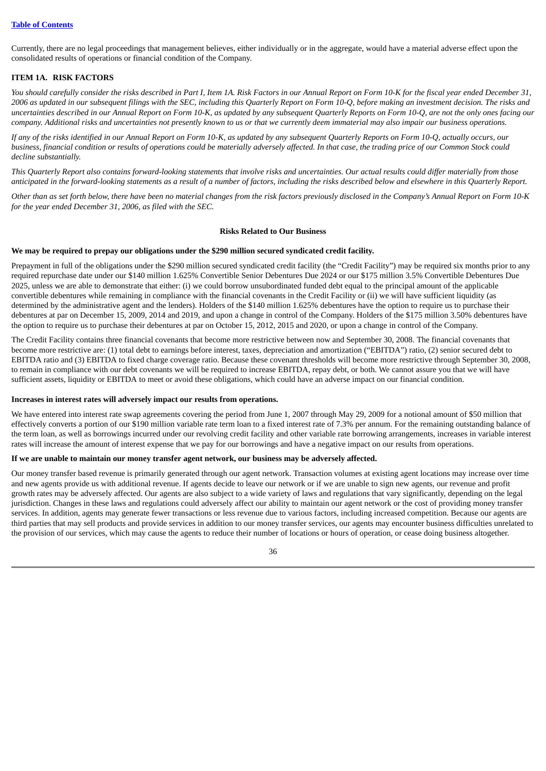Currently, there are no legal proceedings that management believes, either individually or in the aggregate, would have a material adverse effect upon the consolidated results of operations or financial condition of the Company.

#### <span id="page-36-0"></span>**ITEM 1A. RISK FACTORS**

You should carefully consider the risks described in Part I, Item 1A. Risk Factors in our Annual Report on Form 10-K for the fiscal year ended December 31, 2006 as updated in our subsequent filings with the SEC, including this Quarterly Report on Form 10-Q, before making an investment decision. The risks and uncertainties described in our Annual Report on Form 10-K, as updated by any subsequent Quarterly Reports on Form 10-Q, are not the only ones facing our company. Additional risks and uncertainties not presently known to us or that we currently deem immaterial may also impair our business operations.

If any of the risks identified in our Annual Report on Form 10-K, as updated by any subsequent Quarterly Reports on Form 10-Q, actually occurs, our business, financial condition or results of operations could be materially adversely affected. In that case, the trading price of our Common Stock could *decline substantially.*

This Quarterly Report also contains forward-looking statements that involve risks and uncertainties. Our actual results could differ materially from those anticipated in the forward-looking statements as a result of a number of factors, including the risks described below and elsewhere in this Quarterly Report.

Other than as set forth below, there have been no material changes from the risk factors previously disclosed in the Company's Annual Report on Form 10-K *for the year ended December 31, 2006, as filed with the SEC.*

#### **Risks Related to Our Business**

#### **We may be required to prepay our obligations under the \$290 million secured syndicated credit facility.**

Prepayment in full of the obligations under the \$290 million secured syndicated credit facility (the "Credit Facility") may be required six months prior to any required repurchase date under our \$140 million 1.625% Convertible Senior Debentures Due 2024 or our \$175 million 3.5% Convertible Debentures Due 2025, unless we are able to demonstrate that either: (i) we could borrow unsubordinated funded debt equal to the principal amount of the applicable convertible debentures while remaining in compliance with the financial covenants in the Credit Facility or (ii) we will have sufficient liquidity (as determined by the administrative agent and the lenders). Holders of the \$140 million 1.625% debentures have the option to require us to purchase their debentures at par on December 15, 2009, 2014 and 2019, and upon a change in control of the Company. Holders of the \$175 million 3.50% debentures have the option to require us to purchase their debentures at par on October 15, 2012, 2015 and 2020, or upon a change in control of the Company.

The Credit Facility contains three financial covenants that become more restrictive between now and September 30, 2008. The financial covenants that become more restrictive are: (1) total debt to earnings before interest, taxes, depreciation and amortization ("EBITDA") ratio, (2) senior secured debt to EBITDA ratio and (3) EBITDA to fixed charge coverage ratio. Because these covenant thresholds will become more restrictive through September 30, 2008, to remain in compliance with our debt covenants we will be required to increase EBITDA, repay debt, or both. We cannot assure you that we will have sufficient assets, liquidity or EBITDA to meet or avoid these obligations, which could have an adverse impact on our financial condition.

#### **Increases in interest rates will adversely impact our results from operations.**

We have entered into interest rate swap agreements covering the period from June 1, 2007 through May 29, 2009 for a notional amount of \$50 million that effectively converts a portion of our \$190 million variable rate term loan to a fixed interest rate of 7.3% per annum. For the remaining outstanding balance of the term loan, as well as borrowings incurred under our revolving credit facility and other variable rate borrowing arrangements, increases in variable interest rates will increase the amount of interest expense that we pay for our borrowings and have a negative impact on our results from operations.

#### **If we are unable to maintain our money transfer agent network, our business may be adversely affected.**

Our money transfer based revenue is primarily generated through our agent network. Transaction volumes at existing agent locations may increase over time and new agents provide us with additional revenue. If agents decide to leave our network or if we are unable to sign new agents, our revenue and profit growth rates may be adversely affected. Our agents are also subject to a wide variety of laws and regulations that vary significantly, depending on the legal jurisdiction. Changes in these laws and regulations could adversely affect our ability to maintain our agent network or the cost of providing money transfer services. In addition, agents may generate fewer transactions or less revenue due to various factors, including increased competition. Because our agents are third parties that may sell products and provide services in addition to our money transfer services, our agents may encounter business difficulties unrelated to the provision of our services, which may cause the agents to reduce their number of locations or hours of operation, or cease doing business altogether.

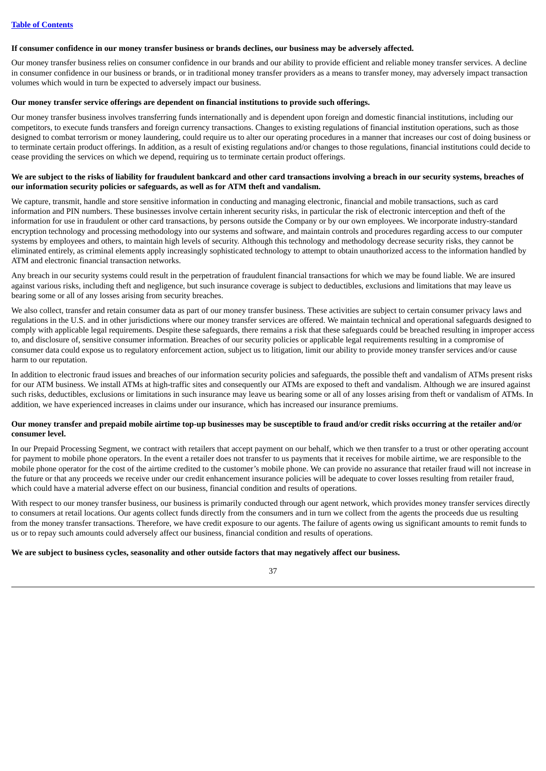#### If consumer confidence in our money transfer business or brands declines, our business may be adversely affected.

Our money transfer business relies on consumer confidence in our brands and our ability to provide efficient and reliable money transfer services. A decline in consumer confidence in our business or brands, or in traditional money transfer providers as a means to transfer money, may adversely impact transaction volumes which would in turn be expected to adversely impact our business.

#### **Our money transfer service offerings are dependent on financial institutions to provide such offerings.**

Our money transfer business involves transferring funds internationally and is dependent upon foreign and domestic financial institutions, including our competitors, to execute funds transfers and foreign currency transactions. Changes to existing regulations of financial institution operations, such as those designed to combat terrorism or money laundering, could require us to alter our operating procedures in a manner that increases our cost of doing business or to terminate certain product offerings. In addition, as a result of existing regulations and/or changes to those regulations, financial institutions could decide to cease providing the services on which we depend, requiring us to terminate certain product offerings.

#### We are subject to the risks of liability for fraudulent bankcard and other card transactions involving a breach in our security systems, breaches of **our information security policies or safeguards, as well as for ATM theft and vandalism.**

We capture, transmit, handle and store sensitive information in conducting and managing electronic, financial and mobile transactions, such as card information and PIN numbers. These businesses involve certain inherent security risks, in particular the risk of electronic interception and theft of the information for use in fraudulent or other card transactions, by persons outside the Company or by our own employees. We incorporate industry-standard encryption technology and processing methodology into our systems and software, and maintain controls and procedures regarding access to our computer systems by employees and others, to maintain high levels of security. Although this technology and methodology decrease security risks, they cannot be eliminated entirely, as criminal elements apply increasingly sophisticated technology to attempt to obtain unauthorized access to the information handled by ATM and electronic financial transaction networks.

Any breach in our security systems could result in the perpetration of fraudulent financial transactions for which we may be found liable. We are insured against various risks, including theft and negligence, but such insurance coverage is subject to deductibles, exclusions and limitations that may leave us bearing some or all of any losses arising from security breaches.

We also collect, transfer and retain consumer data as part of our money transfer business. These activities are subject to certain consumer privacy laws and regulations in the U.S. and in other jurisdictions where our money transfer services are offered. We maintain technical and operational safeguards designed to comply with applicable legal requirements. Despite these safeguards, there remains a risk that these safeguards could be breached resulting in improper access to, and disclosure of, sensitive consumer information. Breaches of our security policies or applicable legal requirements resulting in a compromise of consumer data could expose us to regulatory enforcement action, subject us to litigation, limit our ability to provide money transfer services and/or cause harm to our reputation.

In addition to electronic fraud issues and breaches of our information security policies and safeguards, the possible theft and vandalism of ATMs present risks for our ATM business. We install ATMs at high-traffic sites and consequently our ATMs are exposed to theft and vandalism. Although we are insured against such risks, deductibles, exclusions or limitations in such insurance may leave us bearing some or all of any losses arising from theft or vandalism of ATMs. In addition, we have experienced increases in claims under our insurance, which has increased our insurance premiums.

#### Our money transfer and prepaid mobile airtime top-up businesses may be susceptible to fraud and/or credit risks occurring at the retailer and/or **consumer level.**

In our Prepaid Processing Segment, we contract with retailers that accept payment on our behalf, which we then transfer to a trust or other operating account for payment to mobile phone operators. In the event a retailer does not transfer to us payments that it receives for mobile airtime, we are responsible to the mobile phone operator for the cost of the airtime credited to the customer's mobile phone. We can provide no assurance that retailer fraud will not increase in the future or that any proceeds we receive under our credit enhancement insurance policies will be adequate to cover losses resulting from retailer fraud, which could have a material adverse effect on our business, financial condition and results of operations.

With respect to our money transfer business, our business is primarily conducted through our agent network, which provides money transfer services directly to consumers at retail locations. Our agents collect funds directly from the consumers and in turn we collect from the agents the proceeds due us resulting from the money transfer transactions. Therefore, we have credit exposure to our agents. The failure of agents owing us significant amounts to remit funds to us or to repay such amounts could adversely affect our business, financial condition and results of operations.

#### We are subject to business cycles, seasonality and other outside factors that may negatively affect our business.

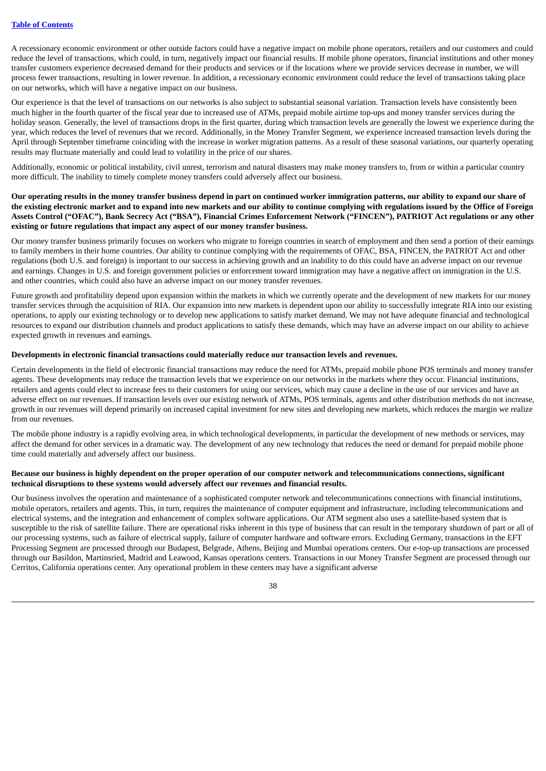A recessionary economic environment or other outside factors could have a negative impact on mobile phone operators, retailers and our customers and could reduce the level of transactions, which could, in turn, negatively impact our financial results. If mobile phone operators, financial institutions and other money transfer customers experience decreased demand for their products and services or if the locations where we provide services decrease in number, we will process fewer transactions, resulting in lower revenue. In addition, a recessionary economic environment could reduce the level of transactions taking place on our networks, which will have a negative impact on our business.

Our experience is that the level of transactions on our networks is also subject to substantial seasonal variation. Transaction levels have consistently been much higher in the fourth quarter of the fiscal year due to increased use of ATMs, prepaid mobile airtime top-ups and money transfer services during the holiday season. Generally, the level of transactions drops in the first quarter, during which transaction levels are generally the lowest we experience during the year, which reduces the level of revenues that we record. Additionally, in the Money Transfer Segment, we experience increased transaction levels during the April through September timeframe coinciding with the increase in worker migration patterns. As a result of these seasonal variations, our quarterly operating results may fluctuate materially and could lead to volatility in the price of our shares.

Additionally, economic or political instability, civil unrest, terrorism and natural disasters may make money transfers to, from or within a particular country more difficult. The inability to timely complete money transfers could adversely affect our business.

#### Our operating results in the money transfer business depend in part on continued worker immigration patterns, our ability to expand our share of the existing electronic market and to expand into new markets and our ability to continue complying with regulations issued by the Office of Foreign Assets Control ("OFAC"), Bank Secrecy Act ("BSA"), Financial Crimes Enforcement Network ("FINCEN"), PATRIOT Act regulations or any other **existing or future regulations that impact any aspect of our money transfer business.**

Our money transfer business primarily focuses on workers who migrate to foreign countries in search of employment and then send a portion of their earnings to family members in their home countries. Our ability to continue complying with the requirements of OFAC, BSA, FINCEN, the PATRIOT Act and other regulations (both U.S. and foreign) is important to our success in achieving growth and an inability to do this could have an adverse impact on our revenue and earnings. Changes in U.S. and foreign government policies or enforcement toward immigration may have a negative affect on immigration in the U.S. and other countries, which could also have an adverse impact on our money transfer revenues.

Future growth and profitability depend upon expansion within the markets in which we currently operate and the development of new markets for our money transfer services through the acquisition of RIA. Our expansion into new markets is dependent upon our ability to successfully integrate RIA into our existing operations, to apply our existing technology or to develop new applications to satisfy market demand. We may not have adequate financial and technological resources to expand our distribution channels and product applications to satisfy these demands, which may have an adverse impact on our ability to achieve expected growth in revenues and earnings.

#### **Developments in electronic financial transactions could materially reduce our transaction levels and revenues.**

Certain developments in the field of electronic financial transactions may reduce the need for ATMs, prepaid mobile phone POS terminals and money transfer agents. These developments may reduce the transaction levels that we experience on our networks in the markets where they occur. Financial institutions, retailers and agents could elect to increase fees to their customers for using our services, which may cause a decline in the use of our services and have an adverse effect on our revenues. If transaction levels over our existing network of ATMs, POS terminals, agents and other distribution methods do not increase, growth in our revenues will depend primarily on increased capital investment for new sites and developing new markets, which reduces the margin we realize from our revenues.

The mobile phone industry is a rapidly evolving area, in which technological developments, in particular the development of new methods or services, may affect the demand for other services in a dramatic way. The development of any new technology that reduces the need or demand for prepaid mobile phone time could materially and adversely affect our business.

#### Because our business is highly dependent on the proper operation of our computer network and telecommunications connections, significant **technical disruptions to these systems would adversely affect our revenues and financial results.**

Our business involves the operation and maintenance of a sophisticated computer network and telecommunications connections with financial institutions, mobile operators, retailers and agents. This, in turn, requires the maintenance of computer equipment and infrastructure, including telecommunications and electrical systems, and the integration and enhancement of complex software applications. Our ATM segment also uses a satellite-based system that is susceptible to the risk of satellite failure. There are operational risks inherent in this type of business that can result in the temporary shutdown of part or all of our processing systems, such as failure of electrical supply, failure of computer hardware and software errors. Excluding Germany, transactions in the EFT Processing Segment are processed through our Budapest, Belgrade, Athens, Beijing and Mumbai operations centers. Our e-top-up transactions are processed through our Basildon, Martinsried, Madrid and Leawood, Kansas operations centers. Transactions in our Money Transfer Segment are processed through our Cerritos, California operations center. Any operational problem in these centers may have a significant adverse

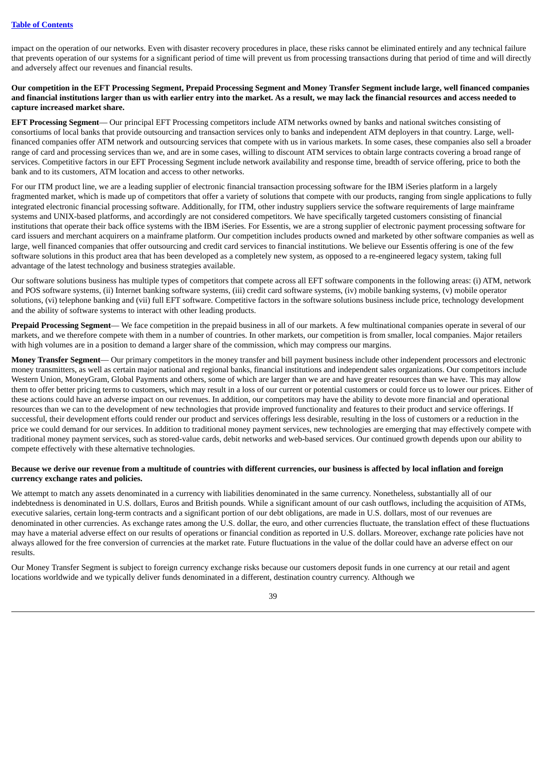impact on the operation of our networks. Even with disaster recovery procedures in place, these risks cannot be eliminated entirely and any technical failure that prevents operation of our systems for a significant period of time will prevent us from processing transactions during that period of time and will directly and adversely affect our revenues and financial results.

#### Our competition in the EFT Processing Segment. Prepaid Processing Segment and Money Transfer Segment include large, well financed companies and financial institutions larger than us with earlier entry into the market. As a result, we may lack the financial resources and access needed to **capture increased market share.**

**EFT Processing Segment**— Our principal EFT Processing competitors include ATM networks owned by banks and national switches consisting of consortiums of local banks that provide outsourcing and transaction services only to banks and independent ATM deployers in that country. Large, wellfinanced companies offer ATM network and outsourcing services that compete with us in various markets. In some cases, these companies also sell a broader range of card and processing services than we, and are in some cases, willing to discount ATM services to obtain large contracts covering a broad range of services. Competitive factors in our EFT Processing Segment include network availability and response time, breadth of service offering, price to both the bank and to its customers, ATM location and access to other networks.

For our ITM product line, we are a leading supplier of electronic financial transaction processing software for the IBM iSeries platform in a largely fragmented market, which is made up of competitors that offer a variety of solutions that compete with our products, ranging from single applications to fully integrated electronic financial processing software. Additionally, for ITM, other industry suppliers service the software requirements of large mainframe systems and UNIX-based platforms, and accordingly are not considered competitors. We have specifically targeted customers consisting of financial institutions that operate their back office systems with the IBM iSeries. For Essentis, we are a strong supplier of electronic payment processing software for card issuers and merchant acquirers on a mainframe platform. Our competition includes products owned and marketed by other software companies as well as large, well financed companies that offer outsourcing and credit card services to financial institutions. We believe our Essentis offering is one of the few software solutions in this product area that has been developed as a completely new system, as opposed to a re-engineered legacy system, taking full advantage of the latest technology and business strategies available.

Our software solutions business has multiple types of competitors that compete across all EFT software components in the following areas: (i) ATM, network and POS software systems, (ii) Internet banking software systems, (iii) credit card software systems, (iv) mobile banking systems, (v) mobile operator solutions, (vi) telephone banking and (vii) full EFT software. Competitive factors in the software solutions business include price, technology development and the ability of software systems to interact with other leading products.

**Prepaid Processing Segment**— We face competition in the prepaid business in all of our markets. A few multinational companies operate in several of our markets, and we therefore compete with them in a number of countries. In other markets, our competition is from smaller, local companies. Major retailers with high volumes are in a position to demand a larger share of the commission, which may compress our margins.

**Money Transfer Segment**— Our primary competitors in the money transfer and bill payment business include other independent processors and electronic money transmitters, as well as certain major national and regional banks, financial institutions and independent sales organizations. Our competitors include Western Union, MoneyGram, Global Payments and others, some of which are larger than we are and have greater resources than we have. This may allow them to offer better pricing terms to customers, which may result in a loss of our current or potential customers or could force us to lower our prices. Either of these actions could have an adverse impact on our revenues. In addition, our competitors may have the ability to devote more financial and operational resources than we can to the development of new technologies that provide improved functionality and features to their product and service offerings. If successful, their development efforts could render our product and services offerings less desirable, resulting in the loss of customers or a reduction in the price we could demand for our services. In addition to traditional money payment services, new technologies are emerging that may effectively compete with traditional money payment services, such as stored-value cards, debit networks and web-based services. Our continued growth depends upon our ability to compete effectively with these alternative technologies.

#### Because we derive our revenue from a multitude of countries with different currencies, our business is affected by local inflation and foreign **currency exchange rates and policies.**

We attempt to match any assets denominated in a currency with liabilities denominated in the same currency. Nonetheless, substantially all of our indebtedness is denominated in U.S. dollars, Euros and British pounds. While a significant amount of our cash outflows, including the acquisition of ATMs, executive salaries, certain long-term contracts and a significant portion of our debt obligations, are made in U.S. dollars, most of our revenues are denominated in other currencies. As exchange rates among the U.S. dollar, the euro, and other currencies fluctuate, the translation effect of these fluctuations may have a material adverse effect on our results of operations or financial condition as reported in U.S. dollars. Moreover, exchange rate policies have not always allowed for the free conversion of currencies at the market rate. Future fluctuations in the value of the dollar could have an adverse effect on our results.

Our Money Transfer Segment is subject to foreign currency exchange risks because our customers deposit funds in one currency at our retail and agent locations worldwide and we typically deliver funds denominated in a different, destination country currency. Although we

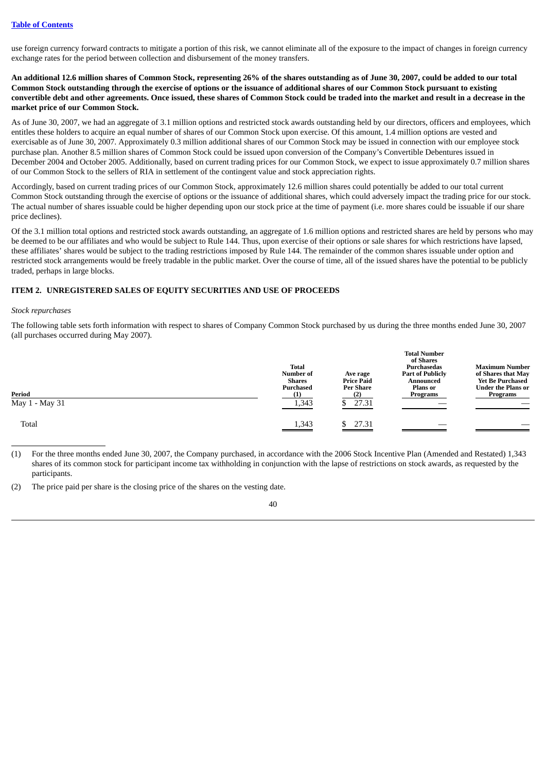use foreign currency forward contracts to mitigate a portion of this risk, we cannot eliminate all of the exposure to the impact of changes in foreign currency exchange rates for the period between collection and disbursement of the money transfers.

#### An additional 12.6 million shares of Common Stock, representing 26% of the shares outstanding as of June 30, 2007, could be added to our total Common Stock outstanding through the exercise of options or the issuance of additional shares of our Common Stock pursuant to existing convertible debt and other agreements. Once issued, these shares of Common Stock could be traded into the market and result in a decrease in the **market price of our Common Stock.**

As of June 30, 2007, we had an aggregate of 3.1 million options and restricted stock awards outstanding held by our directors, officers and employees, which entitles these holders to acquire an equal number of shares of our Common Stock upon exercise. Of this amount, 1.4 million options are vested and exercisable as of June 30, 2007. Approximately 0.3 million additional shares of our Common Stock may be issued in connection with our employee stock purchase plan. Another 8.5 million shares of Common Stock could be issued upon conversion of the Company's Convertible Debentures issued in December 2004 and October 2005. Additionally, based on current trading prices for our Common Stock, we expect to issue approximately 0.7 million shares of our Common Stock to the sellers of RIA in settlement of the contingent value and stock appreciation rights.

Accordingly, based on current trading prices of our Common Stock, approximately 12.6 million shares could potentially be added to our total current Common Stock outstanding through the exercise of options or the issuance of additional shares, which could adversely impact the trading price for our stock. The actual number of shares issuable could be higher depending upon our stock price at the time of payment (i.e. more shares could be issuable if our share price declines).

Of the 3.1 million total options and restricted stock awards outstanding, an aggregate of 1.6 million options and restricted shares are held by persons who may be deemed to be our affiliates and who would be subject to Rule 144. Thus, upon exercise of their options or sale shares for which restrictions have lapsed, these affiliates' shares would be subject to the trading restrictions imposed by Rule 144. The remainder of the common shares issuable under option and restricted stock arrangements would be freely tradable in the public market. Over the course of time, all of the issued shares have the potential to be publicly traded, perhaps in large blocks.

#### <span id="page-40-0"></span>**ITEM 2. UNREGISTERED SALES OF EQUITY SECURITIES AND USE OF PROCEEDS**

#### *Stock repurchases*

The following table sets forth information with respect to shares of Company Common Stock purchased by us during the three months ended June 30, 2007 (all purchases occurred during May 2007).

| Period<br>May 1 - May 31 | <b>Total</b><br>Number of<br><b>Shares</b><br>Purchased<br>1,343 | Ave rage<br><b>Price Paid</b><br><b>Per Share</b><br>(2)<br>27.31 | <b>Total Number</b><br>of Shares<br>Purchasedas<br><b>Part of Publicly</b><br>Announced<br>Plans or<br>Programs | <b>Maximum Number</b><br>of Shares that May<br><b>Yet Be Purchased</b><br><b>Under the Plans or</b><br>Programs |
|--------------------------|------------------------------------------------------------------|-------------------------------------------------------------------|-----------------------------------------------------------------------------------------------------------------|-----------------------------------------------------------------------------------------------------------------|
| Total                    | 1,343                                                            | 27.31                                                             |                                                                                                                 |                                                                                                                 |

(1) For the three months ended June 30, 2007, the Company purchased, in accordance with the 2006 Stock Incentive Plan (Amended and Restated) 1,343 shares of its common stock for participant income tax withholding in conjunction with the lapse of restrictions on stock awards, as requested by the participants.

(2) The price paid per share is the closing price of the shares on the vesting date.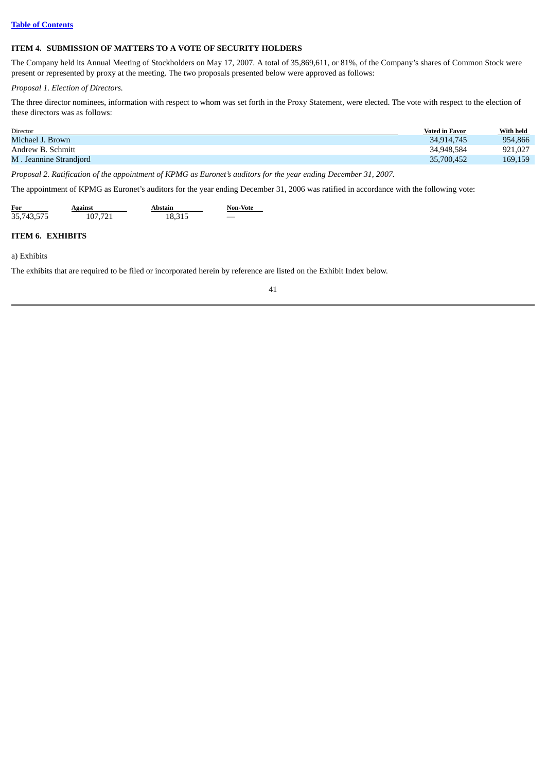## <span id="page-41-0"></span>**ITEM 4. SUBMISSION OF MATTERS TO A VOTE OF SECURITY HOLDERS**

The Company held its Annual Meeting of Stockholders on May 17, 2007. A total of 35,869,611, or 81%, of the Company's shares of Common Stock were present or represented by proxy at the meeting. The two proposals presented below were approved as follows:

## *Proposal 1. Election of Directors.*

The three director nominees, information with respect to whom was set forth in the Proxy Statement, were elected. The vote with respect to the election of these directors was as follows:

| Director               | <b>Voted in Favor</b> | <b>With held</b> |
|------------------------|-----------------------|------------------|
| Michael J. Brown       | 34,914,745            | 954,866          |
| Andrew B. Schmitt      | 34,948,584            | 921,027          |
| M. Jeannine Strandjord | 35,700,452            | 169,159          |

Proposal 2. Ratification of the appointment of KPMG as Euronet's auditors for the year ending December 31, 2007.

The appointment of KPMG as Euronet's auditors for the year ending December 31, 2006 was ratified in accordance with the following vote:

**For Against Abstain Non-Vote** 35,743,575 107,721 18,315 —

#### <span id="page-41-1"></span>**ITEM 6. EXHIBITS**

a) Exhibits

The exhibits that are required to be filed or incorporated herein by reference are listed on the Exhibit Index below.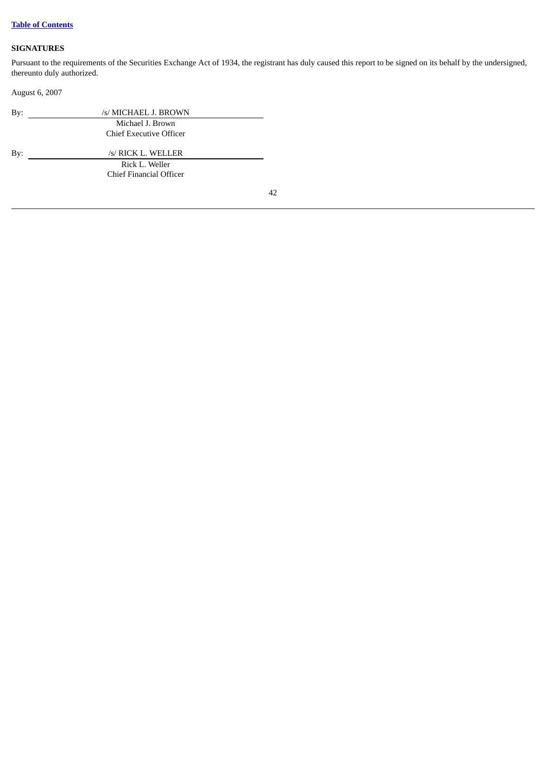## **SIGNATURES**

Pursuant to the requirements of the Securities Exchange Act of 1934, the registrant has duly caused this report to be signed on its behalf by the undersigned, thereunto duly authorized.

August 6, 2007

| Bv: | /s/ MICHAEL J. BROWN    |
|-----|-------------------------|
|     | Michael J. Brown        |
|     | Chief Executive Officer |
| Bv: | /s/ RICK L. WELLER      |
|     | Rick L. Weller          |

Chief Financial Officer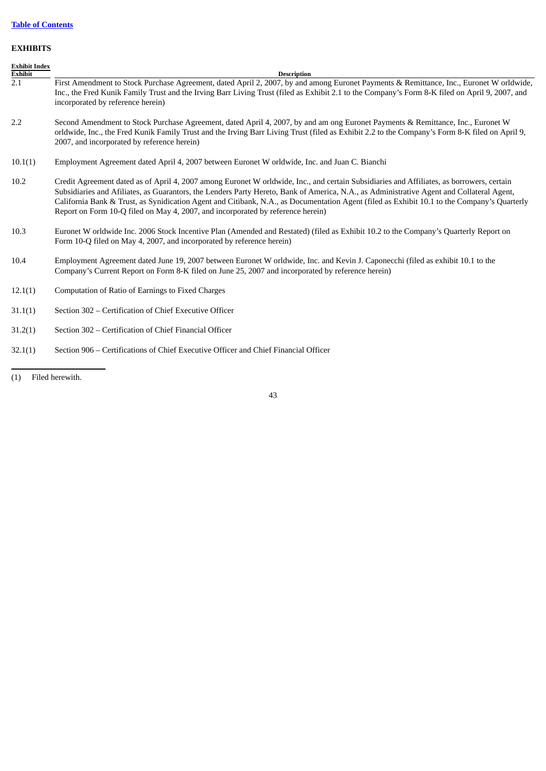## **Table of [Contents](#page-2-0)**

## **EXHIBITS**

| <b>Exhibit Index</b><br><b>Exhibit</b> | <b>Description</b>                                                                                                                                                                                                                                                                                                                                                                                                                                                                                                       |
|----------------------------------------|--------------------------------------------------------------------------------------------------------------------------------------------------------------------------------------------------------------------------------------------------------------------------------------------------------------------------------------------------------------------------------------------------------------------------------------------------------------------------------------------------------------------------|
| 2.1                                    | First Amendment to Stock Purchase Agreement, dated April 2, 2007, by and among Euronet Payments & Remittance, Inc., Euronet W orldwide,<br>Inc., the Fred Kunik Family Trust and the Irving Barr Living Trust (filed as Exhibit 2.1 to the Company's Form 8-K filed on April 9, 2007, and<br>incorporated by reference herein)                                                                                                                                                                                           |
| 2.2                                    | Second Amendment to Stock Purchase Agreement, dated April 4, 2007, by and am ong Euronet Payments & Remittance, Inc., Euronet W<br>orldwide, Inc., the Fred Kunik Family Trust and the Irving Barr Living Trust (filed as Exhibit 2.2 to the Company's Form 8-K filed on April 9,<br>2007, and incorporated by reference herein)                                                                                                                                                                                         |
| 10.1(1)                                | Employment Agreement dated April 4, 2007 between Euronet W orldwide, Inc. and Juan C. Bianchi                                                                                                                                                                                                                                                                                                                                                                                                                            |
| 10.2                                   | Credit Agreement dated as of April 4, 2007 among Euronet W orldwide, Inc., and certain Subsidiaries and Affiliates, as borrowers, certain<br>Subsidiaries and Afiliates, as Guarantors, the Lenders Party Hereto, Bank of America, N.A., as Administrative Agent and Collateral Agent,<br>California Bank & Trust, as Synidication Agent and Citibank, N.A., as Documentation Agent (filed as Exhibit 10.1 to the Company's Quarterly<br>Report on Form 10-Q filed on May 4, 2007, and incorporated by reference herein) |
| 10.3                                   | Euronet W orldwide Inc. 2006 Stock Incentive Plan (Amended and Restated) (filed as Exhibit 10.2 to the Company's Quarterly Report on<br>Form 10-Q filed on May 4, 2007, and incorporated by reference herein)                                                                                                                                                                                                                                                                                                            |
| 10.4                                   | Employment Agreement dated June 19, 2007 between Euronet W orldwide, Inc. and Kevin J. Caponecchi (filed as exhibit 10.1 to the<br>Company's Current Report on Form 8-K filed on June 25, 2007 and incorporated by reference herein)                                                                                                                                                                                                                                                                                     |
| 12.1(1)                                | Computation of Ratio of Earnings to Fixed Charges                                                                                                                                                                                                                                                                                                                                                                                                                                                                        |
| 31.1(1)                                | Section 302 – Certification of Chief Executive Officer                                                                                                                                                                                                                                                                                                                                                                                                                                                                   |
| 31.2(1)                                | Section 302 – Certification of Chief Financial Officer                                                                                                                                                                                                                                                                                                                                                                                                                                                                   |
| 32.1(1)                                | Section 906 – Certifications of Chief Executive Officer and Chief Financial Officer                                                                                                                                                                                                                                                                                                                                                                                                                                      |

(1) Filed herewith.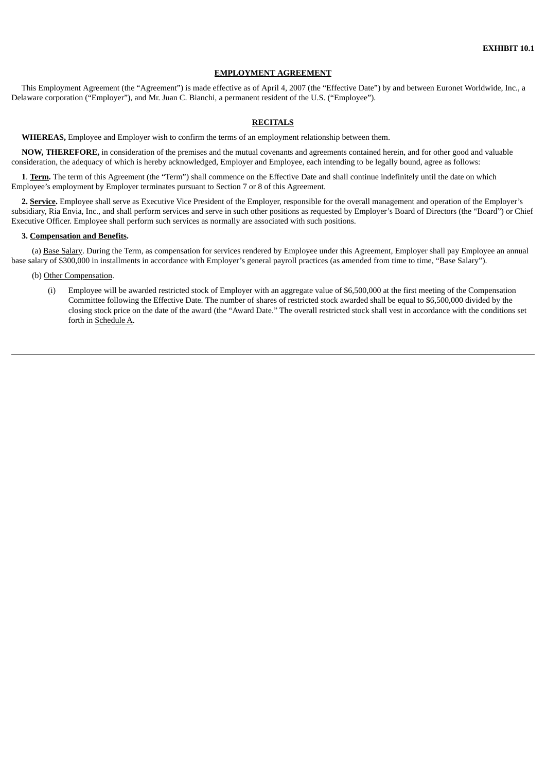#### **EMPLOYMENT AGREEMENT**

This Employment Agreement (the "Agreement") is made effective as of April 4, 2007 (the "Effective Date") by and between Euronet Worldwide, Inc., a Delaware corporation ("Employer"), and Mr. Juan C. Bianchi, a permanent resident of the U.S. ("Employee").

#### **RECITALS**

**WHEREAS,** Employee and Employer wish to confirm the terms of an employment relationship between them.

**NOW, THEREFORE,** in consideration of the premises and the mutual covenants and agreements contained herein, and for other good and valuable consideration, the adequacy of which is hereby acknowledged, Employer and Employee, each intending to be legally bound, agree as follows:

**1**. **Term.** The term of this Agreement (the "Term") shall commence on the Effective Date and shall continue indefinitely until the date on which Employee's employment by Employer terminates pursuant to Section 7 or 8 of this Agreement.

**2. Service.** Employee shall serve as Executive Vice President of the Employer, responsible for the overall management and operation of the Employer's subsidiary, Ria Envia, Inc., and shall perform services and serve in such other positions as requested by Employer's Board of Directors (the "Board") or Chief Executive Officer. Employee shall perform such services as normally are associated with such positions.

#### **3. Compensation and Benefits.**

(a) Base Salary. During the Term, as compensation for services rendered by Employee under this Agreement, Employer shall pay Employee an annual base salary of \$300,000 in installments in accordance with Employer's general payroll practices (as amended from time to time, "Base Salary").

#### (b) Other Compensation.

(i) Employee will be awarded restricted stock of Employer with an aggregate value of \$6,500,000 at the first meeting of the Compensation Committee following the Effective Date. The number of shares of restricted stock awarded shall be equal to \$6,500,000 divided by the closing stock price on the date of the award (the "Award Date." The overall restricted stock shall vest in accordance with the conditions set forth in Schedule A.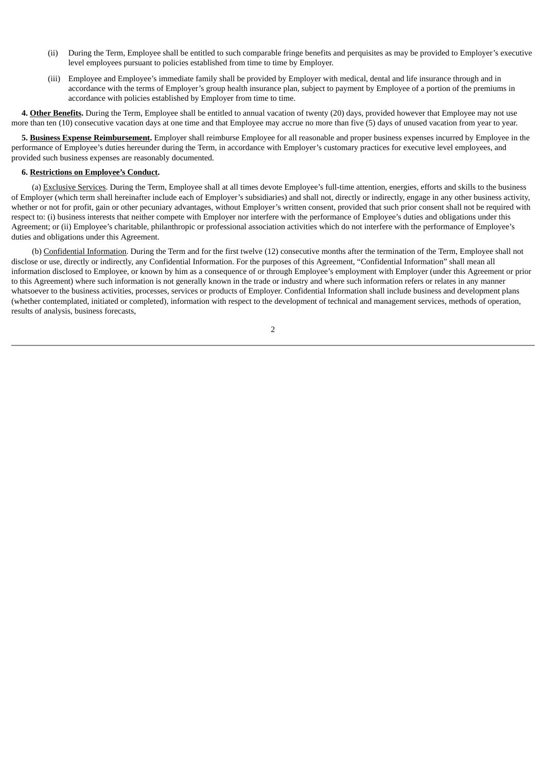- (ii) During the Term, Employee shall be entitled to such comparable fringe benefits and perquisites as may be provided to Employer's executive level employees pursuant to policies established from time to time by Employer.
- (iii) Employee and Employee's immediate family shall be provided by Employer with medical, dental and life insurance through and in accordance with the terms of Employer's group health insurance plan, subject to payment by Employee of a portion of the premiums in accordance with policies established by Employer from time to time.

**4. Other Benefits.** During the Term, Employee shall be entitled to annual vacation of twenty (20) days, provided however that Employee may not use more than ten (10) consecutive vacation days at one time and that Employee may accrue no more than five (5) days of unused vacation from year to year.

**5. Business Expense Reimbursement.** Employer shall reimburse Employee for all reasonable and proper business expenses incurred by Employee in the performance of Employee's duties hereunder during the Term, in accordance with Employer's customary practices for executive level employees, and provided such business expenses are reasonably documented.

#### **6. Restrictions on Employee's Conduct.**

(a) Exclusive Services. During the Term, Employee shall at all times devote Employee's full-time attention, energies, efforts and skills to the business of Employer (which term shall hereinafter include each of Employer's subsidiaries) and shall not, directly or indirectly, engage in any other business activity, whether or not for profit, gain or other pecuniary advantages, without Employer's written consent, provided that such prior consent shall not be required with respect to: (i) business interests that neither compete with Employer nor interfere with the performance of Employee's duties and obligations under this Agreement; or (ii) Employee's charitable, philanthropic or professional association activities which do not interfere with the performance of Employee's duties and obligations under this Agreement.

(b) Confidential Information. During the Term and for the first twelve (12) consecutive months after the termination of the Term, Employee shall not disclose or use, directly or indirectly, any Confidential Information. For the purposes of this Agreement, "Confidential Information" shall mean all information disclosed to Employee, or known by him as a consequence of or through Employee's employment with Employer (under this Agreement or prior to this Agreement) where such information is not generally known in the trade or industry and where such information refers or relates in any manner whatsoever to the business activities, processes, services or products of Employer. Confidential Information shall include business and development plans (whether contemplated, initiated or completed), information with respect to the development of technical and management services, methods of operation, results of analysis, business forecasts,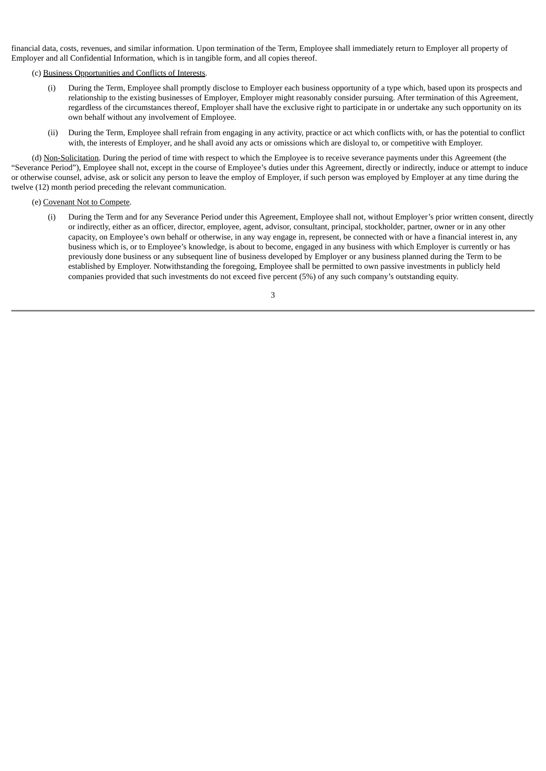financial data, costs, revenues, and similar information. Upon termination of the Term, Employee shall immediately return to Employer all property of Employer and all Confidential Information, which is in tangible form, and all copies thereof.

#### (c) Business Opportunities and Conflicts of Interests.

- (i) During the Term, Employee shall promptly disclose to Employer each business opportunity of a type which, based upon its prospects and relationship to the existing businesses of Employer, Employer might reasonably consider pursuing. After termination of this Agreement, regardless of the circumstances thereof, Employer shall have the exclusive right to participate in or undertake any such opportunity on its own behalf without any involvement of Employee.
- (ii) During the Term, Employee shall refrain from engaging in any activity, practice or act which conflicts with, or has the potential to conflict with, the interests of Employer, and he shall avoid any acts or omissions which are disloyal to, or competitive with Employer.

(d) Non-Solicitation. During the period of time with respect to which the Employee is to receive severance payments under this Agreement (the "Severance Period"), Employee shall not, except in the course of Employee's duties under this Agreement, directly or indirectly, induce or attempt to induce or otherwise counsel, advise, ask or solicit any person to leave the employ of Employer, if such person was employed by Employer at any time during the twelve (12) month period preceding the relevant communication.

#### (e) Covenant Not to Compete.

(i) During the Term and for any Severance Period under this Agreement, Employee shall not, without Employer's prior written consent, directly or indirectly, either as an officer, director, employee, agent, advisor, consultant, principal, stockholder, partner, owner or in any other capacity, on Employee's own behalf or otherwise, in any way engage in, represent, be connected with or have a financial interest in, any business which is, or to Employee's knowledge, is about to become, engaged in any business with which Employer is currently or has previously done business or any subsequent line of business developed by Employer or any business planned during the Term to be established by Employer. Notwithstanding the foregoing, Employee shall be permitted to own passive investments in publicly held companies provided that such investments do not exceed five percent (5%) of any such company's outstanding equity.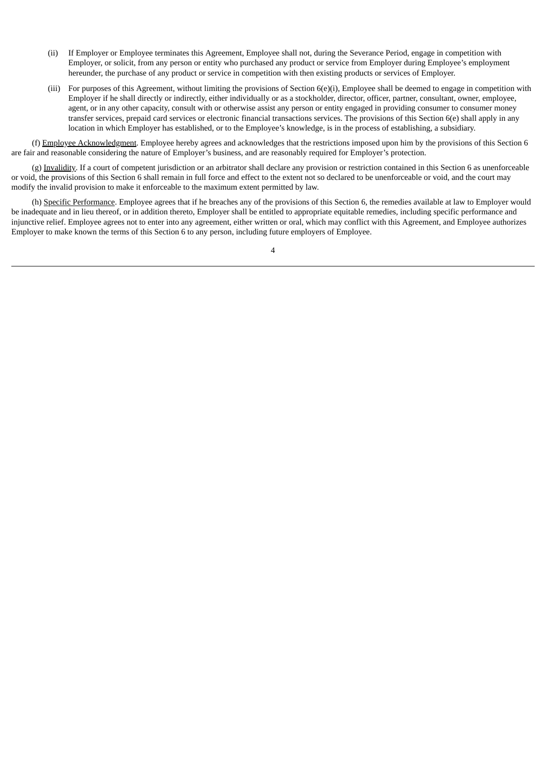- (ii) If Employer or Employee terminates this Agreement, Employee shall not, during the Severance Period, engage in competition with Employer, or solicit, from any person or entity who purchased any product or service from Employer during Employee's employment hereunder, the purchase of any product or service in competition with then existing products or services of Employer.
- (iii) For purposes of this Agreement, without limiting the provisions of Section 6(e)(i), Employee shall be deemed to engage in competition with Employer if he shall directly or indirectly, either individually or as a stockholder, director, officer, partner, consultant, owner, employee, agent, or in any other capacity, consult with or otherwise assist any person or entity engaged in providing consumer to consumer money transfer services, prepaid card services or electronic financial transactions services. The provisions of this Section 6(e) shall apply in any location in which Employer has established, or to the Employee's knowledge, is in the process of establishing, a subsidiary.

(f) Employee Acknowledgment. Employee hereby agrees and acknowledges that the restrictions imposed upon him by the provisions of this Section 6 are fair and reasonable considering the nature of Employer's business, and are reasonably required for Employer's protection.

(g) Invalidity. If a court of competent jurisdiction or an arbitrator shall declare any provision or restriction contained in this Section 6 as unenforceable or void, the provisions of this Section 6 shall remain in full force and effect to the extent not so declared to be unenforceable or void, and the court may modify the invalid provision to make it enforceable to the maximum extent permitted by law.

(h) Specific Performance. Employee agrees that if he breaches any of the provisions of this Section 6, the remedies available at law to Employer would be inadequate and in lieu thereof, or in addition thereto, Employer shall be entitled to appropriate equitable remedies, including specific performance and injunctive relief. Employee agrees not to enter into any agreement, either written or oral, which may conflict with this Agreement, and Employee authorizes Employer to make known the terms of this Section 6 to any person, including future employers of Employee.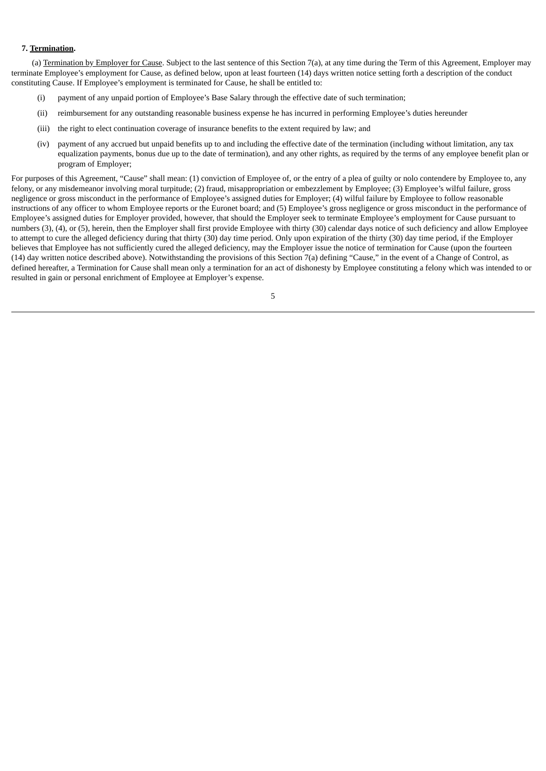#### **7. Termination.**

(a) Termination by Employer for Cause. Subject to the last sentence of this Section 7(a), at any time during the Term of this Agreement, Employer may terminate Employee's employment for Cause, as defined below, upon at least fourteen (14) days written notice setting forth a description of the conduct constituting Cause. If Employee's employment is terminated for Cause, he shall be entitled to:

- (i) payment of any unpaid portion of Employee's Base Salary through the effective date of such termination;
- (ii) reimbursement for any outstanding reasonable business expense he has incurred in performing Employee's duties hereunder
- (iii) the right to elect continuation coverage of insurance benefits to the extent required by law; and
- (iv) payment of any accrued but unpaid benefits up to and including the effective date of the termination (including without limitation, any tax equalization payments, bonus due up to the date of termination), and any other rights, as required by the terms of any employee benefit plan or program of Employer;

For purposes of this Agreement, "Cause" shall mean: (1) conviction of Employee of, or the entry of a plea of guilty or nolo contendere by Employee to, any felony, or any misdemeanor involving moral turpitude; (2) fraud, misappropriation or embezzlement by Employee; (3) Employee's wilful failure, gross negligence or gross misconduct in the performance of Employee's assigned duties for Employer; (4) wilful failure by Employee to follow reasonable instructions of any officer to whom Employee reports or the Euronet board; and (5) Employee's gross negligence or gross misconduct in the performance of Employee's assigned duties for Employer provided, however, that should the Employer seek to terminate Employee's employment for Cause pursuant to numbers (3), (4), or (5), herein, then the Employer shall first provide Employee with thirty (30) calendar days notice of such deficiency and allow Employee to attempt to cure the alleged deficiency during that thirty (30) day time period. Only upon expiration of the thirty (30) day time period, if the Employer believes that Employee has not sufficiently cured the alleged deficiency, may the Employer issue the notice of termination for Cause (upon the fourteen (14) day written notice described above). Notwithstanding the provisions of this Section 7(a) defining "Cause," in the event of a Change of Control, as defined hereafter, a Termination for Cause shall mean only a termination for an act of dishonesty by Employee constituting a felony which was intended to or resulted in gain or personal enrichment of Employee at Employer's expense.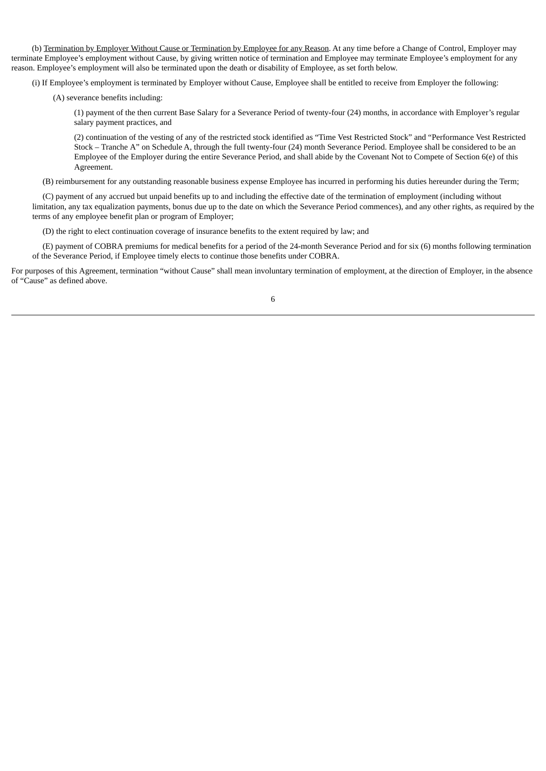(b) Termination by Employer Without Cause or Termination by Employee for any Reason. At any time before a Change of Control, Employer may terminate Employee's employment without Cause, by giving written notice of termination and Employee may terminate Employee's employment for any reason. Employee's employment will also be terminated upon the death or disability of Employee, as set forth below.

(i) If Employee's employment is terminated by Employer without Cause, Employee shall be entitled to receive from Employer the following:

(A) severance benefits including:

(1) payment of the then current Base Salary for a Severance Period of twenty-four (24) months, in accordance with Employer's regular salary payment practices, and

(2) continuation of the vesting of any of the restricted stock identified as "Time Vest Restricted Stock" and "Performance Vest Restricted Stock – Tranche A" on Schedule A, through the full twenty-four (24) month Severance Period. Employee shall be considered to be an Employee of the Employer during the entire Severance Period, and shall abide by the Covenant Not to Compete of Section 6(e) of this Agreement.

(B) reimbursement for any outstanding reasonable business expense Employee has incurred in performing his duties hereunder during the Term;

(C) payment of any accrued but unpaid benefits up to and including the effective date of the termination of employment (including without limitation, any tax equalization payments, bonus due up to the date on which the Severance Period commences), and any other rights, as required by the terms of any employee benefit plan or program of Employer;

(D) the right to elect continuation coverage of insurance benefits to the extent required by law; and

(E) payment of COBRA premiums for medical benefits for a period of the 24-month Severance Period and for six (6) months following termination of the Severance Period, if Employee timely elects to continue those benefits under COBRA.

For purposes of this Agreement, termination "without Cause" shall mean involuntary termination of employment, at the direction of Employer, in the absence of "Cause" as defined above.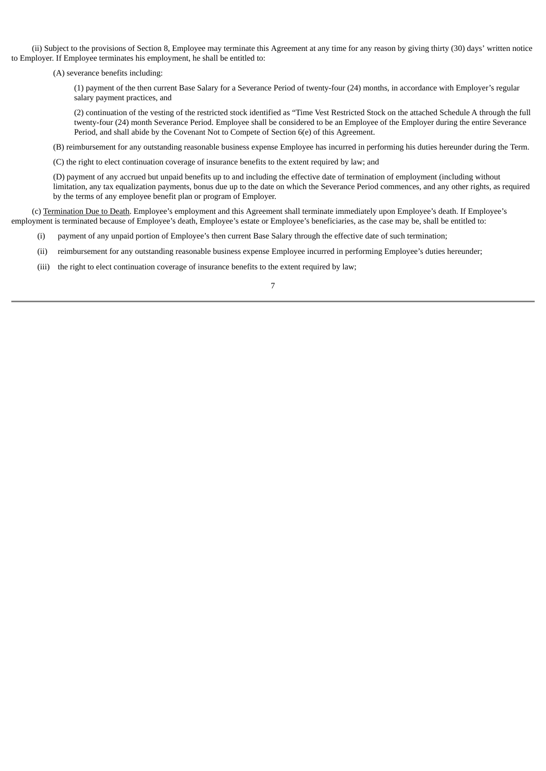(ii) Subject to the provisions of Section 8, Employee may terminate this Agreement at any time for any reason by giving thirty (30) days' written notice to Employer. If Employee terminates his employment, he shall be entitled to:

(A) severance benefits including:

(1) payment of the then current Base Salary for a Severance Period of twenty-four (24) months, in accordance with Employer's regular salary payment practices, and

(2) continuation of the vesting of the restricted stock identified as "Time Vest Restricted Stock on the attached Schedule A through the full twenty-four (24) month Severance Period. Employee shall be considered to be an Employee of the Employer during the entire Severance Period, and shall abide by the Covenant Not to Compete of Section 6(e) of this Agreement.

(B) reimbursement for any outstanding reasonable business expense Employee has incurred in performing his duties hereunder during the Term.

(C) the right to elect continuation coverage of insurance benefits to the extent required by law; and

(D) payment of any accrued but unpaid benefits up to and including the effective date of termination of employment (including without limitation, any tax equalization payments, bonus due up to the date on which the Severance Period commences, and any other rights, as required by the terms of any employee benefit plan or program of Employer.

(c) Termination Due to Death. Employee's employment and this Agreement shall terminate immediately upon Employee's death. If Employee's employment is terminated because of Employee's death, Employee's estate or Employee's beneficiaries, as the case may be, shall be entitled to:

- (i) payment of any unpaid portion of Employee's then current Base Salary through the effective date of such termination;
- (ii) reimbursement for any outstanding reasonable business expense Employee incurred in performing Employee's duties hereunder;
- (iii) the right to elect continuation coverage of insurance benefits to the extent required by law;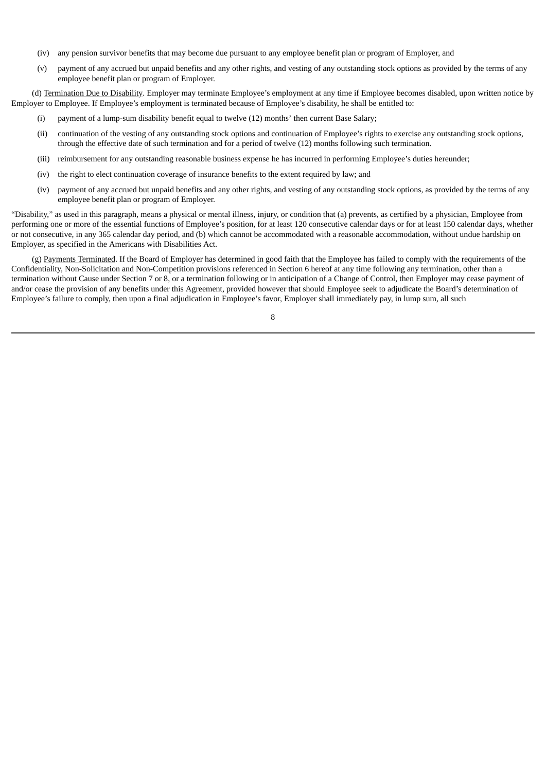- (iv) any pension survivor benefits that may become due pursuant to any employee benefit plan or program of Employer, and
- (v) payment of any accrued but unpaid benefits and any other rights, and vesting of any outstanding stock options as provided by the terms of any employee benefit plan or program of Employer.

(d) Termination Due to Disability. Employer may terminate Employee's employment at any time if Employee becomes disabled, upon written notice by Employer to Employee. If Employee's employment is terminated because of Employee's disability, he shall be entitled to:

- (i) payment of a lump-sum disability benefit equal to twelve (12) months' then current Base Salary;
- (ii) continuation of the vesting of any outstanding stock options and continuation of Employee's rights to exercise any outstanding stock options, through the effective date of such termination and for a period of twelve (12) months following such termination.
- (iii) reimbursement for any outstanding reasonable business expense he has incurred in performing Employee's duties hereunder;
- (iv) the right to elect continuation coverage of insurance benefits to the extent required by law; and
- (iv) payment of any accrued but unpaid benefits and any other rights, and vesting of any outstanding stock options, as provided by the terms of any employee benefit plan or program of Employer.

"Disability," as used in this paragraph, means a physical or mental illness, injury, or condition that (a) prevents, as certified by a physician, Employee from performing one or more of the essential functions of Employee's position, for at least 120 consecutive calendar days or for at least 150 calendar days, whether or not consecutive, in any 365 calendar day period, and (b) which cannot be accommodated with a reasonable accommodation, without undue hardship on Employer, as specified in the Americans with Disabilities Act.

(g) Payments Terminated. If the Board of Employer has determined in good faith that the Employee has failed to comply with the requirements of the Confidentiality, Non-Solicitation and Non-Competition provisions referenced in Section 6 hereof at any time following any termination, other than a termination without Cause under Section 7 or 8, or a termination following or in anticipation of a Change of Control, then Employer may cease payment of and/or cease the provision of any benefits under this Agreement, provided however that should Employee seek to adjudicate the Board's determination of Employee's failure to comply, then upon a final adjudication in Employee's favor, Employer shall immediately pay, in lump sum, all such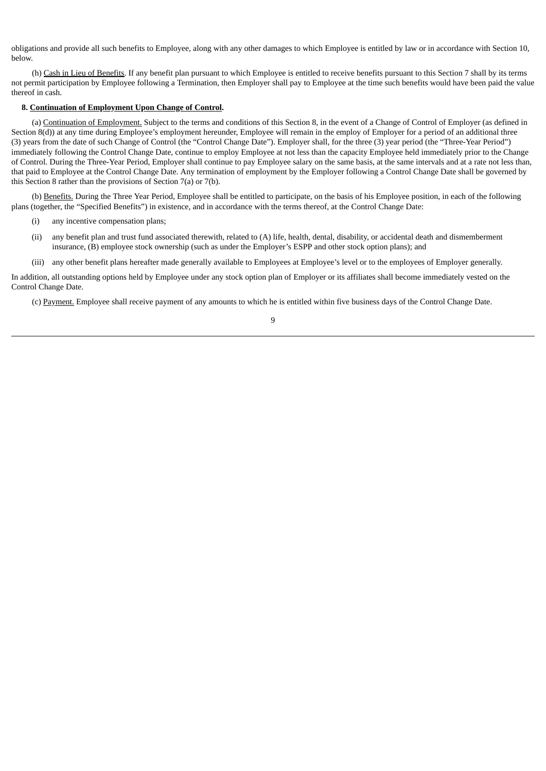obligations and provide all such benefits to Employee, along with any other damages to which Employee is entitled by law or in accordance with Section 10, below.

(h) Cash in Lieu of Benefits. If any benefit plan pursuant to which Employee is entitled to receive benefits pursuant to this Section 7 shall by its terms not permit participation by Employee following a Termination, then Employer shall pay to Employee at the time such benefits would have been paid the value thereof in cash.

#### **8. Continuation of Employment Upon Change of Control.**

(a) Continuation of Employment. Subject to the terms and conditions of this Section 8, in the event of a Change of Control of Employer (as defined in Section 8(d)) at any time during Employee's employment hereunder, Employee will remain in the employ of Employer for a period of an additional three (3) years from the date of such Change of Control (the "Control Change Date"). Employer shall, for the three (3) year period (the "Three-Year Period") immediately following the Control Change Date, continue to employ Employee at not less than the capacity Employee held immediately prior to the Change of Control. During the Three-Year Period, Employer shall continue to pay Employee salary on the same basis, at the same intervals and at a rate not less than, that paid to Employee at the Control Change Date. Any termination of employment by the Employer following a Control Change Date shall be governed by this Section 8 rather than the provisions of Section 7(a) or 7(b).

(b) Benefits. During the Three Year Period, Employee shall be entitled to participate, on the basis of his Employee position, in each of the following plans (together, the "Specified Benefits") in existence, and in accordance with the terms thereof, at the Control Change Date:

- (i) any incentive compensation plans;
- (ii) any benefit plan and trust fund associated therewith, related to (A) life, health, dental, disability, or accidental death and dismemberment insurance, (B) employee stock ownership (such as under the Employer's ESPP and other stock option plans); and
- (iii) any other benefit plans hereafter made generally available to Employees at Employee's level or to the employees of Employer generally.

In addition, all outstanding options held by Employee under any stock option plan of Employer or its affiliates shall become immediately vested on the Control Change Date.

(c) Payment. Employee shall receive payment of any amounts to which he is entitled within five business days of the Control Change Date.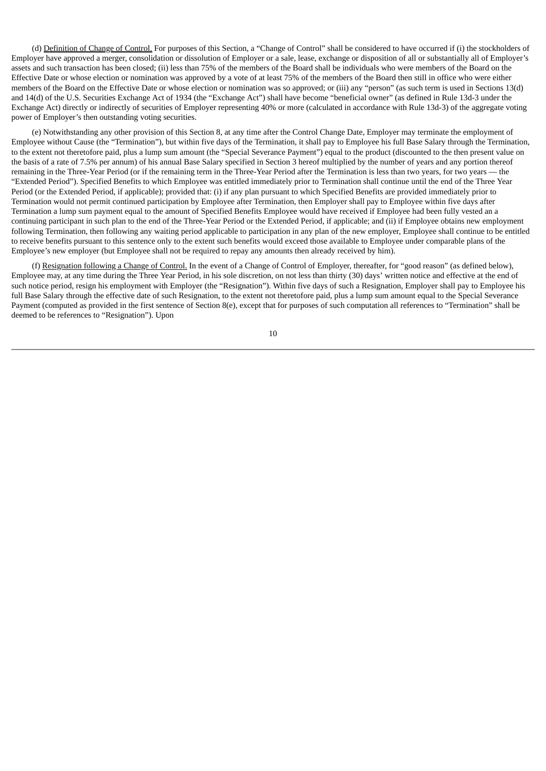(d) Definition of Change of Control. For purposes of this Section, a "Change of Control" shall be considered to have occurred if (i) the stockholders of Employer have approved a merger, consolidation or dissolution of Employer or a sale, lease, exchange or disposition of all or substantially all of Employer's assets and such transaction has been closed; (ii) less than 75% of the members of the Board shall be individuals who were members of the Board on the Effective Date or whose election or nomination was approved by a vote of at least 75% of the members of the Board then still in office who were either members of the Board on the Effective Date or whose election or nomination was so approved; or (iii) any "person" (as such term is used in Sections 13(d) and 14(d) of the U.S. Securities Exchange Act of 1934 (the "Exchange Act") shall have become "beneficial owner" (as defined in Rule 13d-3 under the Exchange Act) directly or indirectly of securities of Employer representing 40% or more (calculated in accordance with Rule 13d-3) of the aggregate voting power of Employer's then outstanding voting securities.

(e) Notwithstanding any other provision of this Section 8, at any time after the Control Change Date, Employer may terminate the employment of Employee without Cause (the "Termination"), but within five days of the Termination, it shall pay to Employee his full Base Salary through the Termination, to the extent not theretofore paid, plus a lump sum amount (the "Special Severance Payment") equal to the product (discounted to the then present value on the basis of a rate of 7.5% per annum) of his annual Base Salary specified in Section 3 hereof multiplied by the number of years and any portion thereof remaining in the Three-Year Period (or if the remaining term in the Three-Year Period after the Termination is less than two years, for two years — the "Extended Period"). Specified Benefits to which Employee was entitled immediately prior to Termination shall continue until the end of the Three Year Period (or the Extended Period, if applicable); provided that: (i) if any plan pursuant to which Specified Benefits are provided immediately prior to Termination would not permit continued participation by Employee after Termination, then Employer shall pay to Employee within five days after Termination a lump sum payment equal to the amount of Specified Benefits Employee would have received if Employee had been fully vested an a continuing participant in such plan to the end of the Three-Year Period or the Extended Period, if applicable; and (ii) if Employee obtains new employment following Termination, then following any waiting period applicable to participation in any plan of the new employer, Employee shall continue to be entitled to receive benefits pursuant to this sentence only to the extent such benefits would exceed those available to Employee under comparable plans of the Employee's new employer (but Employee shall not be required to repay any amounts then already received by him).

(f) Resignation following a Change of Control. In the event of a Change of Control of Employer, thereafter, for "good reason" (as defined below), Employee may, at any time during the Three Year Period, in his sole discretion, on not less than thirty (30) days' written notice and effective at the end of such notice period, resign his employment with Employer (the "Resignation"). Within five days of such a Resignation, Employer shall pay to Employee his full Base Salary through the effective date of such Resignation, to the extent not theretofore paid, plus a lump sum amount equal to the Special Severance Payment (computed as provided in the first sentence of Section 8(e), except that for purposes of such computation all references to "Termination" shall be deemed to be references to "Resignation"). Upon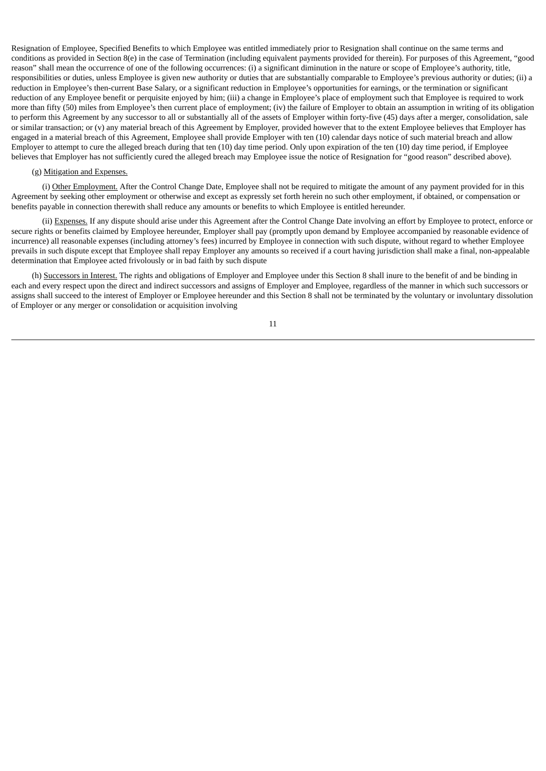Resignation of Employee, Specified Benefits to which Employee was entitled immediately prior to Resignation shall continue on the same terms and conditions as provided in Section 8(e) in the case of Termination (including equivalent payments provided for therein). For purposes of this Agreement, "good reason" shall mean the occurrence of one of the following occurrences: (i) a significant diminution in the nature or scope of Employee's authority, title, responsibilities or duties, unless Employee is given new authority or duties that are substantially comparable to Employee's previous authority or duties; (ii) a reduction in Employee's then-current Base Salary, or a significant reduction in Employee's opportunities for earnings, or the termination or significant reduction of any Employee benefit or perquisite enjoyed by him; (iii) a change in Employee's place of employment such that Employee is required to work more than fifty (50) miles from Employee's then current place of employment; (iv) the failure of Employer to obtain an assumption in writing of its obligation to perform this Agreement by any successor to all or substantially all of the assets of Employer within forty-five (45) days after a merger, consolidation, sale or similar transaction; or (v) any material breach of this Agreement by Employer, provided however that to the extent Employee believes that Employer has engaged in a material breach of this Agreement, Employee shall provide Employer with ten (10) calendar days notice of such material breach and allow Employer to attempt to cure the alleged breach during that ten (10) day time period. Only upon expiration of the ten (10) day time period, if Employee believes that Employer has not sufficiently cured the alleged breach may Employee issue the notice of Resignation for "good reason" described above).

#### (g) Mitigation and Expenses.

(i) Other Employment. After the Control Change Date, Employee shall not be required to mitigate the amount of any payment provided for in this Agreement by seeking other employment or otherwise and except as expressly set forth herein no such other employment, if obtained, or compensation or benefits payable in connection therewith shall reduce any amounts or benefits to which Employee is entitled hereunder.

(ii) Expenses. If any dispute should arise under this Agreement after the Control Change Date involving an effort by Employee to protect, enforce or secure rights or benefits claimed by Employee hereunder, Employer shall pay (promptly upon demand by Employee accompanied by reasonable evidence of incurrence) all reasonable expenses (including attorney's fees) incurred by Employee in connection with such dispute, without regard to whether Employee prevails in such dispute except that Employee shall repay Employer any amounts so received if a court having jurisdiction shall make a final, non-appealable determination that Employee acted frivolously or in bad faith by such dispute

(h) Successors in Interest. The rights and obligations of Employer and Employee under this Section 8 shall inure to the benefit of and be binding in each and every respect upon the direct and indirect successors and assigns of Employer and Employee, regardless of the manner in which such successors or assigns shall succeed to the interest of Employer or Employee hereunder and this Section 8 shall not be terminated by the voluntary or involuntary dissolution of Employer or any merger or consolidation or acquisition involving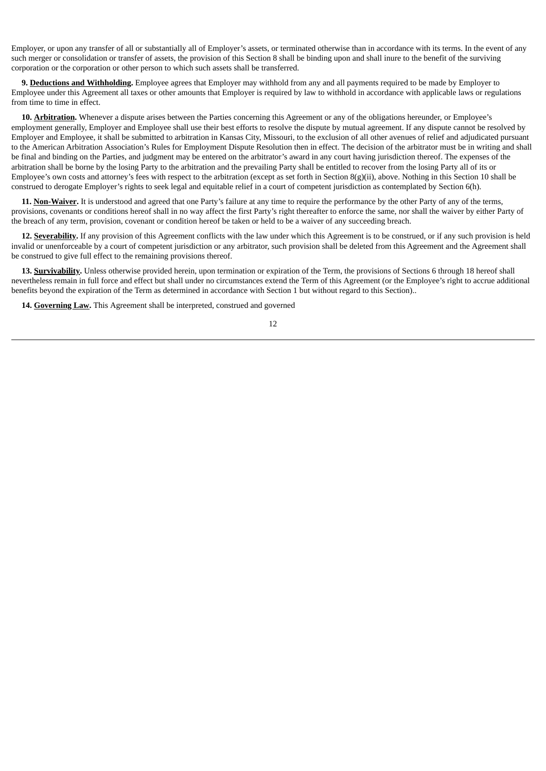Employer, or upon any transfer of all or substantially all of Employer's assets, or terminated otherwise than in accordance with its terms. In the event of any such merger or consolidation or transfer of assets, the provision of this Section 8 shall be binding upon and shall inure to the benefit of the surviving corporation or the corporation or other person to which such assets shall be transferred.

**9. Deductions and Withholding.** Employee agrees that Employer may withhold from any and all payments required to be made by Employer to Employee under this Agreement all taxes or other amounts that Employer is required by law to withhold in accordance with applicable laws or regulations from time to time in effect.

**10. Arbitration.** Whenever a dispute arises between the Parties concerning this Agreement or any of the obligations hereunder, or Employee's employment generally, Employer and Employee shall use their best efforts to resolve the dispute by mutual agreement. If any dispute cannot be resolved by Employer and Employee, it shall be submitted to arbitration in Kansas City, Missouri, to the exclusion of all other avenues of relief and adjudicated pursuant to the American Arbitration Association's Rules for Employment Dispute Resolution then in effect. The decision of the arbitrator must be in writing and shall be final and binding on the Parties, and judgment may be entered on the arbitrator's award in any court having jurisdiction thereof. The expenses of the arbitration shall be borne by the losing Party to the arbitration and the prevailing Party shall be entitled to recover from the losing Party all of its or Employee's own costs and attorney's fees with respect to the arbitration (except as set forth in Section 8(g)(ii), above. Nothing in this Section 10 shall be construed to derogate Employer's rights to seek legal and equitable relief in a court of competent jurisdiction as contemplated by Section 6(h).

**11. Non-Waiver.** It is understood and agreed that one Party's failure at any time to require the performance by the other Party of any of the terms, provisions, covenants or conditions hereof shall in no way affect the first Party's right thereafter to enforce the same, nor shall the waiver by either Party of the breach of any term, provision, covenant or condition hereof be taken or held to be a waiver of any succeeding breach.

**12. Severability.** If any provision of this Agreement conflicts with the law under which this Agreement is to be construed, or if any such provision is held invalid or unenforceable by a court of competent jurisdiction or any arbitrator, such provision shall be deleted from this Agreement and the Agreement shall be construed to give full effect to the remaining provisions thereof.

**13. Survivability.** Unless otherwise provided herein, upon termination or expiration of the Term, the provisions of Sections 6 through 18 hereof shall nevertheless remain in full force and effect but shall under no circumstances extend the Term of this Agreement (or the Employee's right to accrue additional benefits beyond the expiration of the Term as determined in accordance with Section 1 but without regard to this Section)..

**14. Governing Law.** This Agreement shall be interpreted, construed and governed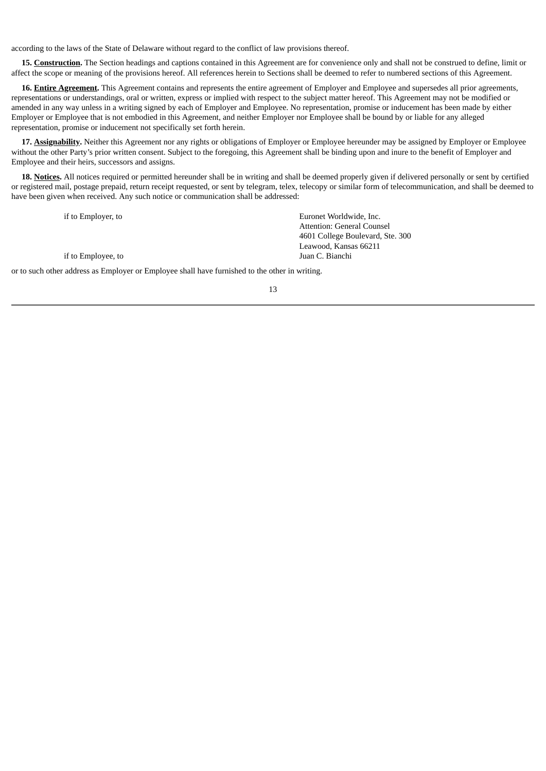according to the laws of the State of Delaware without regard to the conflict of law provisions thereof.

**15. Construction.** The Section headings and captions contained in this Agreement are for convenience only and shall not be construed to define, limit or affect the scope or meaning of the provisions hereof. All references herein to Sections shall be deemed to refer to numbered sections of this Agreement.

**16. Entire Agreement.** This Agreement contains and represents the entire agreement of Employer and Employee and supersedes all prior agreements, representations or understandings, oral or written, express or implied with respect to the subject matter hereof. This Agreement may not be modified or amended in any way unless in a writing signed by each of Employer and Employee. No representation, promise or inducement has been made by either Employer or Employee that is not embodied in this Agreement, and neither Employer nor Employee shall be bound by or liable for any alleged representation, promise or inducement not specifically set forth herein.

**17. Assignability.** Neither this Agreement nor any rights or obligations of Employer or Employee hereunder may be assigned by Employer or Employee without the other Party's prior written consent. Subject to the foregoing, this Agreement shall be binding upon and inure to the benefit of Employer and Employee and their heirs, successors and assigns.

**18. Notices.** All notices required or permitted hereunder shall be in writing and shall be deemed properly given if delivered personally or sent by certified or registered mail, postage prepaid, return receipt requested, or sent by telegram, telex, telecopy or similar form of telecommunication, and shall be deemed to have been given when received. Any such notice or communication shall be addressed:

|  | if to Employer, to |  |  |
|--|--------------------|--|--|
|  |                    |  |  |

if the Euronet Worldwide, Inc. Attention: General Counsel 4601 College Boulevard, Ste. 300 Leawood, Kansas 66211 if to Employee, to Juan C. Bianchi

or to such other address as Employer or Employee shall have furnished to the other in writing.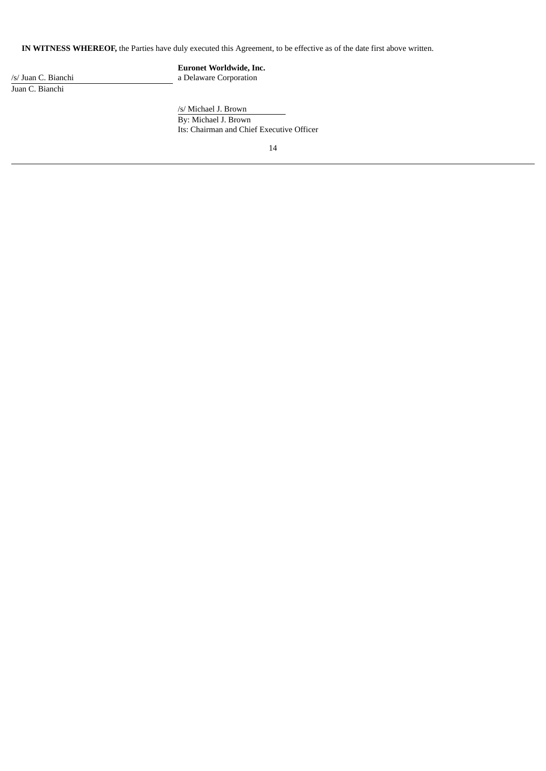**IN WITNESS WHEREOF,** the Parties have duly executed this Agreement, to be effective as of the date first above written.

/s/ Juan C. Bianchi a Delaware Corporation Juan C. Bianchi

## **Euronet Worldwide, Inc.**

/s/ Michael J. Brown By: Michael J. Brown Its: Chairman and Chief Executive Officer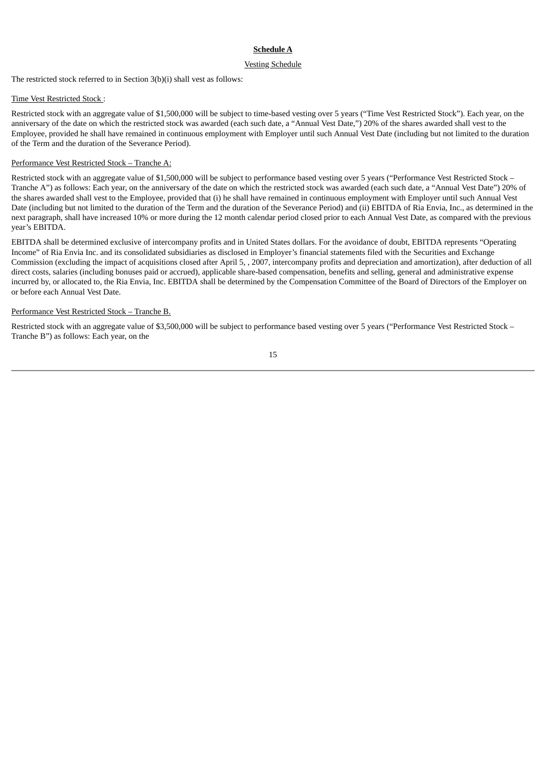#### **Schedule A**

#### Vesting Schedule

The restricted stock referred to in Section 3(b)(i) shall vest as follows:

#### Time Vest Restricted Stock :

Restricted stock with an aggregate value of \$1,500,000 will be subject to time-based vesting over 5 years ("Time Vest Restricted Stock"). Each year, on the anniversary of the date on which the restricted stock was awarded (each such date, a "Annual Vest Date,") 20% of the shares awarded shall vest to the Employee, provided he shall have remained in continuous employment with Employer until such Annual Vest Date (including but not limited to the duration of the Term and the duration of the Severance Period).

#### Performance Vest Restricted Stock – Tranche A:

Restricted stock with an aggregate value of \$1,500,000 will be subject to performance based vesting over 5 years ("Performance Vest Restricted Stock – Tranche A") as follows: Each year, on the anniversary of the date on which the restricted stock was awarded (each such date, a "Annual Vest Date") 20% of the shares awarded shall vest to the Employee, provided that (i) he shall have remained in continuous employment with Employer until such Annual Vest Date (including but not limited to the duration of the Term and the duration of the Severance Period) and (ii) EBITDA of Ria Envia, Inc., as determined in the next paragraph, shall have increased 10% or more during the 12 month calendar period closed prior to each Annual Vest Date, as compared with the previous year's EBITDA.

EBITDA shall be determined exclusive of intercompany profits and in United States dollars. For the avoidance of doubt, EBITDA represents "Operating Income" of Ria Envia Inc. and its consolidated subsidiaries as disclosed in Employer's financial statements filed with the Securities and Exchange Commission (excluding the impact of acquisitions closed after April 5, , 2007, intercompany profits and depreciation and amortization), after deduction of all direct costs, salaries (including bonuses paid or accrued), applicable share-based compensation, benefits and selling, general and administrative expense incurred by, or allocated to, the Ria Envia, Inc. EBITDA shall be determined by the Compensation Committee of the Board of Directors of the Employer on or before each Annual Vest Date.

#### Performance Vest Restricted Stock – Tranche B.

Restricted stock with an aggregate value of \$3,500,000 will be subject to performance based vesting over 5 years ("Performance Vest Restricted Stock – Tranche B") as follows: Each year, on the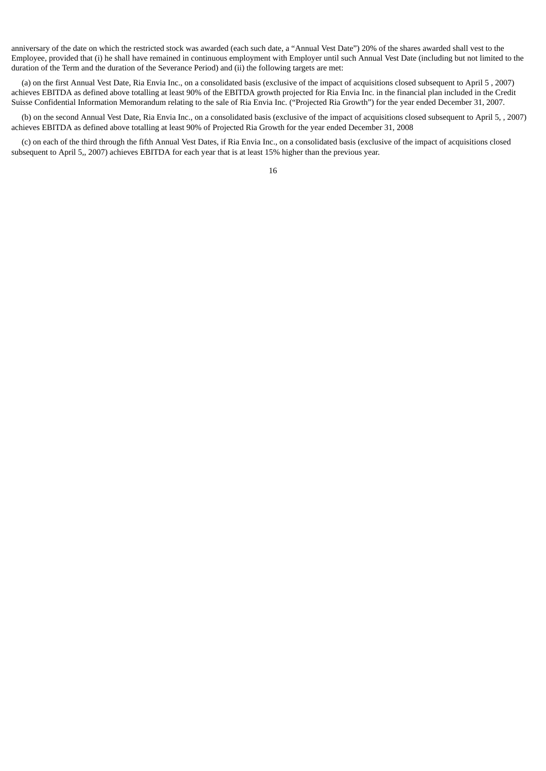anniversary of the date on which the restricted stock was awarded (each such date, a "Annual Vest Date") 20% of the shares awarded shall vest to the Employee, provided that (i) he shall have remained in continuous employment with Employer until such Annual Vest Date (including but not limited to the duration of the Term and the duration of the Severance Period) and (ii) the following targets are met:

(a) on the first Annual Vest Date, Ria Envia Inc., on a consolidated basis (exclusive of the impact of acquisitions closed subsequent to April 5 , 2007) achieves EBITDA as defined above totalling at least 90% of the EBITDA growth projected for Ria Envia Inc. in the financial plan included in the Credit Suisse Confidential Information Memorandum relating to the sale of Ria Envia Inc. ("Projected Ria Growth") for the year ended December 31, 2007.

(b) on the second Annual Vest Date, Ria Envia Inc., on a consolidated basis (exclusive of the impact of acquisitions closed subsequent to April 5, , 2007) achieves EBITDA as defined above totalling at least 90% of Projected Ria Growth for the year ended December 31, 2008

(c) on each of the third through the fifth Annual Vest Dates, if Ria Envia Inc., on a consolidated basis (exclusive of the impact of acquisitions closed subsequent to April 5,, 2007) achieves EBITDA for each year that is at least 15% higher than the previous year.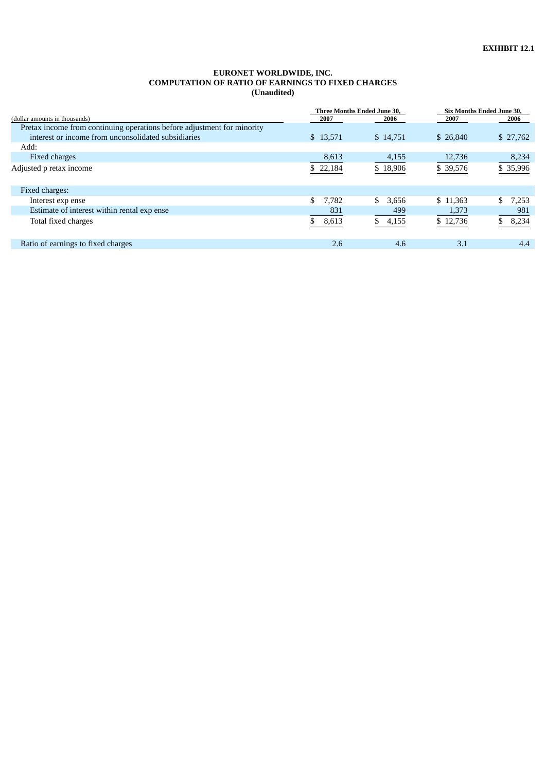#### **EURONET WORLDWIDE, INC. COMPUTATION OF RATIO OF EARNINGS TO FIXED CHARGES (Unaudited)**

|                                                                         | Three Months Ended June 30, |             | <b>Six Months Ended June 30,</b> |          |
|-------------------------------------------------------------------------|-----------------------------|-------------|----------------------------------|----------|
| (dollar amounts in thousands)                                           | 2007                        | 2006        | 2007                             | 2006     |
| Pretax income from continuing operations before adjustment for minority |                             |             |                                  |          |
| interest or income from unconsolidated subsidiaries                     | \$13,571                    | \$14,751    | \$26.840                         | \$27,762 |
| Add:                                                                    |                             |             |                                  |          |
| Fixed charges                                                           | 8,613                       | 4,155       | 12,736                           | 8,234    |
| Adjusted p retax income                                                 | \$22,184                    | \$18,906    | \$39,576                         | \$35,996 |
| Fixed charges:                                                          |                             |             |                                  |          |
| Interest exp ense                                                       | \$<br>7.782                 | \$<br>3.656 | \$11,363                         | 7,253    |
| Estimate of interest within rental exp ense                             | 831                         | 499         | 1,373                            | 981      |
| Total fixed charges                                                     | 8,613                       | 4,155       | \$12,736                         | 8,234    |
| Ratio of earnings to fixed charges                                      | 2.6                         | 4.6         | 3.1                              | 4.4      |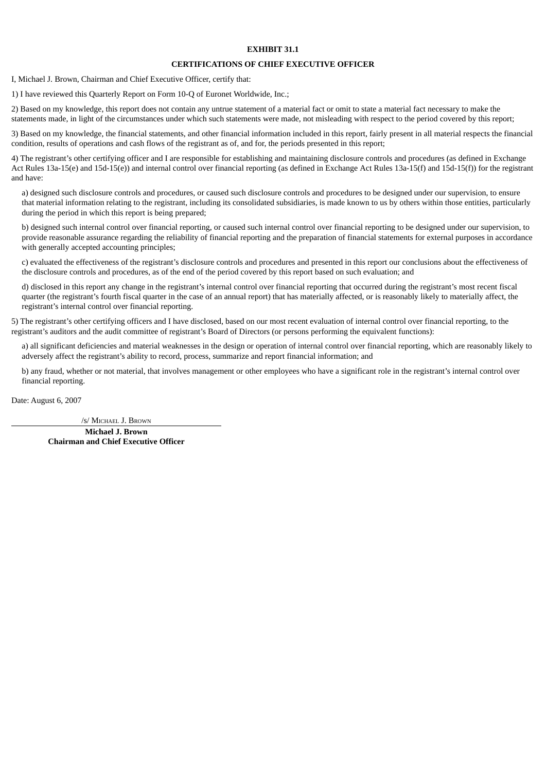## **EXHIBIT 31.1**

#### **CERTIFICATIONS OF CHIEF EXECUTIVE OFFICER**

I, Michael J. Brown, Chairman and Chief Executive Officer, certify that:

1) I have reviewed this Quarterly Report on Form 10-Q of Euronet Worldwide, Inc.;

2) Based on my knowledge, this report does not contain any untrue statement of a material fact or omit to state a material fact necessary to make the statements made, in light of the circumstances under which such statements were made, not misleading with respect to the period covered by this report;

3) Based on my knowledge, the financial statements, and other financial information included in this report, fairly present in all material respects the financial condition, results of operations and cash flows of the registrant as of, and for, the periods presented in this report;

4) The registrant's other certifying officer and I are responsible for establishing and maintaining disclosure controls and procedures (as defined in Exchange Act Rules 13a-15(e) and 15d-15(e)) and internal control over financial reporting (as defined in Exchange Act Rules 13a-15(f) and 15d-15(f)) for the registrant and have:

a) designed such disclosure controls and procedures, or caused such disclosure controls and procedures to be designed under our supervision, to ensure that material information relating to the registrant, including its consolidated subsidiaries, is made known to us by others within those entities, particularly during the period in which this report is being prepared;

b) designed such internal control over financial reporting, or caused such internal control over financial reporting to be designed under our supervision, to provide reasonable assurance regarding the reliability of financial reporting and the preparation of financial statements for external purposes in accordance with generally accepted accounting principles;

c) evaluated the effectiveness of the registrant's disclosure controls and procedures and presented in this report our conclusions about the effectiveness of the disclosure controls and procedures, as of the end of the period covered by this report based on such evaluation; and

d) disclosed in this report any change in the registrant's internal control over financial reporting that occurred during the registrant's most recent fiscal quarter (the registrant's fourth fiscal quarter in the case of an annual report) that has materially affected, or is reasonably likely to materially affect, the registrant's internal control over financial reporting.

5) The registrant's other certifying officers and I have disclosed, based on our most recent evaluation of internal control over financial reporting, to the registrant's auditors and the audit committee of registrant's Board of Directors (or persons performing the equivalent functions):

a) all significant deficiencies and material weaknesses in the design or operation of internal control over financial reporting, which are reasonably likely to adversely affect the registrant's ability to record, process, summarize and report financial information; and

b) any fraud, whether or not material, that involves management or other employees who have a significant role in the registrant's internal control over financial reporting.

Date: August 6, 2007

/s/ MICHAEL J. BROWN

**Michael J. Brown Chairman and Chief Executive Officer**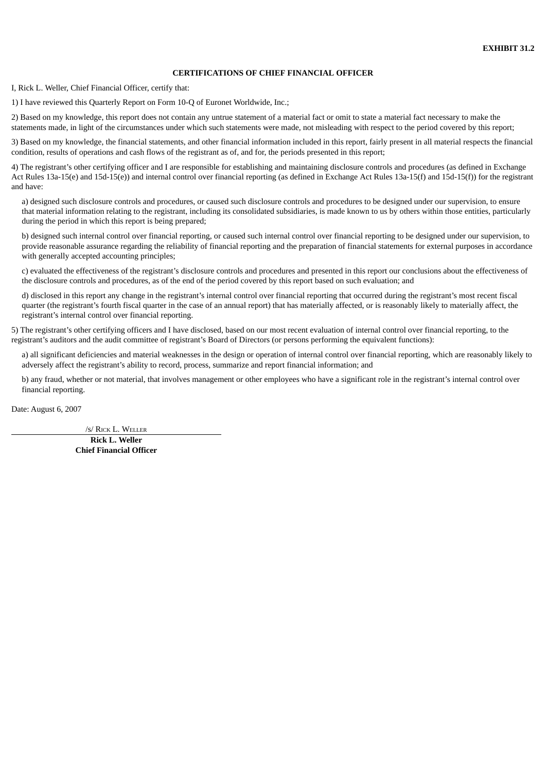#### **CERTIFICATIONS OF CHIEF FINANCIAL OFFICER**

I, Rick L. Weller, Chief Financial Officer, certify that:

1) I have reviewed this Quarterly Report on Form 10-Q of Euronet Worldwide, Inc.;

2) Based on my knowledge, this report does not contain any untrue statement of a material fact or omit to state a material fact necessary to make the statements made, in light of the circumstances under which such statements were made, not misleading with respect to the period covered by this report;

3) Based on my knowledge, the financial statements, and other financial information included in this report, fairly present in all material respects the financial condition, results of operations and cash flows of the registrant as of, and for, the periods presented in this report;

4) The registrant's other certifying officer and I are responsible for establishing and maintaining disclosure controls and procedures (as defined in Exchange Act Rules 13a-15(e) and 15d-15(e)) and internal control over financial reporting (as defined in Exchange Act Rules 13a-15(f) and 15d-15(f)) for the registrant and have:

a) designed such disclosure controls and procedures, or caused such disclosure controls and procedures to be designed under our supervision, to ensure that material information relating to the registrant, including its consolidated subsidiaries, is made known to us by others within those entities, particularly during the period in which this report is being prepared;

b) designed such internal control over financial reporting, or caused such internal control over financial reporting to be designed under our supervision, to provide reasonable assurance regarding the reliability of financial reporting and the preparation of financial statements for external purposes in accordance with generally accepted accounting principles;

c) evaluated the effectiveness of the registrant's disclosure controls and procedures and presented in this report our conclusions about the effectiveness of the disclosure controls and procedures, as of the end of the period covered by this report based on such evaluation; and

d) disclosed in this report any change in the registrant's internal control over financial reporting that occurred during the registrant's most recent fiscal quarter (the registrant's fourth fiscal quarter in the case of an annual report) that has materially affected, or is reasonably likely to materially affect, the registrant's internal control over financial reporting.

5) The registrant's other certifying officers and I have disclosed, based on our most recent evaluation of internal control over financial reporting, to the registrant's auditors and the audit committee of registrant's Board of Directors (or persons performing the equivalent functions):

a) all significant deficiencies and material weaknesses in the design or operation of internal control over financial reporting, which are reasonably likely to adversely affect the registrant's ability to record, process, summarize and report financial information; and

b) any fraud, whether or not material, that involves management or other employees who have a significant role in the registrant's internal control over financial reporting.

Date: August 6, 2007

/s/ RICK L. WELLER

**Rick L. Weller Chief Financial Officer**